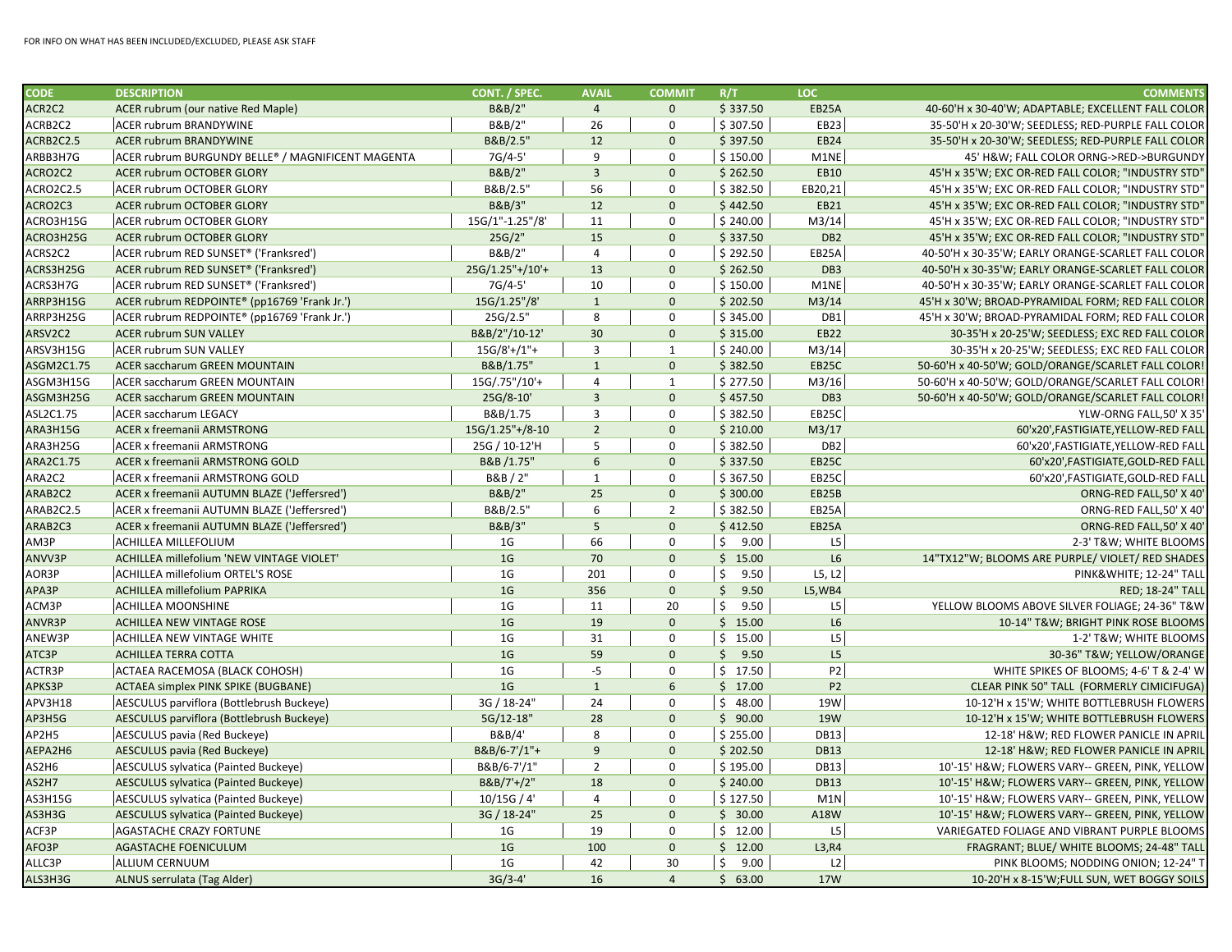| <b>CODE</b>      | <b>DESCRIPTION</b>                                | CONT. / SPEC.       | <b>AVAIL</b>    | <b>COMMIT</b>  | R/T                   | LOC.            | <b>COMMENTS</b>                                    |
|------------------|---------------------------------------------------|---------------------|-----------------|----------------|-----------------------|-----------------|----------------------------------------------------|
| ACR2C2           | ACER rubrum (our native Red Maple)                | B&B/2"              | $\overline{4}$  | $\mathbf{0}$   | \$337.50              | EB25A           | 40-60'H x 30-40'W; ADAPTABLE; EXCELLENT FALL COLOR |
| ACRB2C2          | <b>ACER rubrum BRANDYWINE</b>                     | B&B/2"              | 26              | 0              | \$307.50              | EB23            | 35-50'H x 20-30'W; SEEDLESS; RED-PURPLE FALL COLOR |
| ACRB2C2.5        | <b>ACER rubrum BRANDYWINE</b>                     | B&B/2.5"            | 12              | $\mathbf{0}$   | \$397.50              | EB24            | 35-50'H x 20-30'W; SEEDLESS; RED-PURPLE FALL COLOR |
| ARBB3H7G         | ACER rubrum BURGUNDY BELLE® / MAGNIFICENT MAGENTA | 7G/4-5'             | 9               | 0              | \$150.00              | M1NE            | 45' H&W FALL COLOR ORNG->RED->BURGUNDY             |
| ACRO2C2          | <b>ACER rubrum OCTOBER GLORY</b>                  | B&B/2"              | $\overline{3}$  | $\mathbf{0}$   | \$262.50              | <b>EB10</b>     | 45'H x 35'W; EXC OR-RED FALL COLOR; "INDUSTRY STD" |
| <b>ACRO2C2.5</b> | ACER rubrum OCTOBER GLORY                         | B&B/2.5"            | 56              | 0              | \$382.50              | EB20,21         | 45'H x 35'W; EXC OR-RED FALL COLOR; "INDUSTRY STD" |
| ACRO2C3          | <b>ACER rubrum OCTOBER GLORY</b>                  | B&B/3"              | 12              | $\mathbf{0}$   | \$442.50              | EB21            | 45'H x 35'W; EXC OR-RED FALL COLOR; "INDUSTRY STD" |
| ACRO3H15G        | ACER rubrum OCTOBER GLORY                         | 15G/1"-1.25"/8'     | 11              | 0              | \$240.00              | M3/14           | 45'H x 35'W; EXC OR-RED FALL COLOR; "INDUSTRY STD" |
| ACRO3H25G        | ACER rubrum OCTOBER GLORY                         | 25G/2"              | 15              | $\mathbf{0}$   | \$337.50              | DB <sub>2</sub> | 45'H x 35'W; EXC OR-RED FALL COLOR; "INDUSTRY STD" |
| ACRS2C2          | ACER rubrum RED SUNSET® ('Franksred')             | B&B/2"              | $\overline{4}$  | $\Omega$       | \$292.50              | EB25A           | 40-50'H x 30-35'W; EARLY ORANGE-SCARLET FALL COLOR |
| ACRS3H25G        | ACER rubrum RED SUNSET® ('Franksred')             | 25G/1.25"+/10'+     | 13              | $\Omega$       | \$262.50              | DB <sub>3</sub> | 40-50'H x 30-35'W; EARLY ORANGE-SCARLET FALL COLOR |
| ACRS3H7G         | ACER rubrum RED SUNSET® ('Franksred')             | 7G/4-5'             | 10              | 0              | \$150.00              | M1NE            | 40-50'H x 30-35'W; EARLY ORANGE-SCARLET FALL COLOR |
| ARRP3H15G        | ACER rubrum REDPOINTE® (pp16769 'Frank Jr.')      | 15G/1.25"/8'        | $\mathbf{1}$    | $\mathbf{0}$   | \$202.50              | M3/14           | 45'H x 30'W; BROAD-PYRAMIDAL FORM; RED FALL COLOR  |
| ARRP3H25G        | ACER rubrum REDPOINTE® (pp16769 'Frank Jr.')      | 25G/2.5"            | 8               | 0              | \$345.00              | DB1             | 45'H x 30'W; BROAD-PYRAMIDAL FORM; RED FALL COLOR  |
| ARSV2C2          | <b>ACER rubrum SUN VALLEY</b>                     | B&B/2"/10-12'       | 30              | $\mathbf{0}$   | \$315.00              | EB22            | 30-35'H x 20-25'W; SEEDLESS; EXC RED FALL COLOR    |
| ARSV3H15G        | ACER rubrum SUN VALLEY                            | $15G/8'+/1"+$       | $\overline{3}$  | $\mathbf{1}$   | \$240.00              | M3/14           | 30-35'H x 20-25'W; SEEDLESS; EXC RED FALL COLOR    |
| ASGM2C1.75       | <b>ACER saccharum GREEN MOUNTAIN</b>              | B&B/1.75"           | $\mathbf{1}$    | $\mathbf{0}$   | \$382.50              | EB25C           | 50-60'H x 40-50'W; GOLD/ORANGE/SCARLET FALL COLOR! |
| ASGM3H15G        | <b>ACER saccharum GREEN MOUNTAIN</b>              | 15G/.75"/10'+       | $\overline{4}$  | $\mathbf{1}$   | \$277.50              | M3/16           | 50-60'H x 40-50'W; GOLD/ORANGE/SCARLET FALL COLOR! |
| ASGM3H25G        | ACER saccharum GREEN MOUNTAIN                     | 25G/8-10'           | $\overline{3}$  | $\mathbf{0}$   | \$457.50              | DB <sub>3</sub> | 50-60'H x 40-50'W; GOLD/ORANGE/SCARLET FALL COLOR! |
| ASL2C1.75        | <b>ACER saccharum LEGACY</b>                      | B&B/1.75            | 3               | 0              | \$382.50              | EB25C           | YLW-ORNG FALL,50' X 35'                            |
| ARA3H15G         | ACER x freemanii ARMSTRONG                        | $15G/1.25" + /8-10$ | $\overline{2}$  | $\mathbf{0}$   | \$210.00              | M3/17           | 60'x20', FASTIGIATE, YELLOW-RED FALL               |
| ARA3H25G         | <b>ACER x freemanii ARMSTRONG</b>                 | 25G / 10-12'H       | 5               | 0              | \$382.50              | DB <sub>2</sub> | 60'x20', FASTIGIATE, YELLOW-RED FALL               |
| ARA2C1.75        | ACER x freemanii ARMSTRONG GOLD                   | B&B /1.75"          | $6\overline{6}$ | $\mathbf{0}$   | \$337.50              | EB25C           | 60'x20', FASTIGIATE, GOLD-RED FALL                 |
| ARA2C2           | ACER x freemanii ARMSTRONG GOLD                   | B&B/2"              | $\mathbf{1}$    | 0              | \$367.50              | EB25C           | 60'x20', FASTIGIATE, GOLD-RED FALL                 |
| ARAB2C2          | ACER x freemanii AUTUMN BLAZE ('Jeffersred')      | B&B/2"              | 25              | $\mathbf{0}$   | \$300.00              | EB25B           | ORNG-RED FALL,50' X 40'                            |
| ARAB2C2.5        | ACER x freemanii AUTUMN BLAZE ('Jeffersred')      | B&B/2.5"            | 6               | $\overline{2}$ | \$382.50              | EB25A           | ORNG-RED FALL,50' X 40'                            |
| ARAB2C3          | ACER x freemanii AUTUMN BLAZE ('Jeffersred')      | B&B/3"              | $5\phantom{.0}$ | $\mathbf{0}$   | \$412.50              | EB25A           | ORNG-RED FALL,50' X 40'                            |
| AM3P             | <b>ACHILLEA MILLEFOLIUM</b>                       | 1 <sub>G</sub>      | 66              | 0              | \$<br>9.00            | L <sub>5</sub>  | 2-3' T&W WHITE BLOOMS                              |
| ANVV3P           | ACHILLEA millefolium 'NEW VINTAGE VIOLET'         | 1 <sub>G</sub>      | 70              | $\mathbf{0}$   | \$15.00               | L6              | 14"TX12"W; BLOOMS ARE PURPLE/ VIOLET/ RED SHADES   |
| AOR3P            | ACHILLEA millefolium ORTEL'S ROSE                 | 1 <sub>G</sub>      | 201             | 0              | \$<br>9.50            | L5, L2          | PINK&WHITE 12-24" TALL                             |
| APA3P            | ACHILLEA millefolium PAPRIKA                      | 1 <sub>G</sub>      | 356             | $\mathbf{0}$   | $\frac{1}{2}$<br>9.50 | L5, WB4         | <b>RED; 18-24" TALL</b>                            |
| ACM3P            | <b>ACHILLEA MOONSHINE</b>                         | 1 <sub>G</sub>      | 11              | 20             | \$<br>9.50            | L <sub>5</sub>  | YELLOW BLOOMS ABOVE SILVER FOLIAGE; 24-36" T&W     |
| ANVR3P           | ACHILLEA NEW VINTAGE ROSE                         | 1 <sub>G</sub>      | 19              | $\overline{0}$ | \$15.00               | L6              | 10-14" T&W BRIGHT PINK ROSE BLOOMS                 |
| ANEW3P           | <b>ACHILLEA NEW VINTAGE WHITE</b>                 | 1 <sub>G</sub>      | 31              | $\mathbf 0$    | \$15.00               | L <sub>5</sub>  | 1-2' T&W WHITE BLOOMS                              |
| ATC3P            | ACHILLEA TERRA COTTA                              | 1 <sub>G</sub>      | 59              | $\mathbf{0}$   | \$9.50                | L <sub>5</sub>  | 30-36" T&W YELLOW/ORANGE                           |
| ACTR3P           | ACTAEA RACEMOSA (BLACK COHOSH)                    | 1 <sub>G</sub>      | $-5$            | 0              | \$17.50               | P <sub>2</sub>  | WHITE SPIKES OF BLOOMS; 4-6' T & 2-4' W            |
| APKS3P           | <b>ACTAEA simplex PINK SPIKE (BUGBANE)</b>        | 1 <sub>G</sub>      | $\mathbf{1}$    | 6              | \$17.00               | P <sub>2</sub>  | CLEAR PINK 50" TALL (FORMERLY CIMICIFUGA)          |
| APV3H18          | AESCULUS parviflora (Bottlebrush Buckeye)         | 3G / 18-24"         | 24              | $\mathbf 0$    | \$48.00               | 19W             | 10-12'H x 15'W; WHITE BOTTLEBRUSH FLOWERS          |
| AP3H5G           | AESCULUS parviflora (Bottlebrush Buckeye)         | 5G/12-18"           | 28              | $\mathbf{0}$   | \$90.00               | <b>19W</b>      | 10-12'H x 15'W; WHITE BOTTLEBRUSH FLOWERS          |
| AP2H5            | AESCULUS pavia (Red Buckeye)                      | B&B/4'              | 8               | $\mathbf 0$    | \$255.00              | <b>DB13</b>     | 12-18' H&W RED FLOWER PANICLE IN APRIL             |
| AEPA2H6          | <b>AESCULUS pavia (Red Buckeye)</b>               | B&B/6-7'/1"+        | 9               | $\mathbf{0}$   | \$202.50              | <b>DB13</b>     | 12-18' H&W RED FLOWER PANICLE IN APRIL             |
| AS2H6            | AESCULUS sylvatica (Painted Buckeye)              | B&B/6-7'/1"         | $\overline{2}$  | $\mathbf 0$    | \$195.00              | <b>DB13</b>     | 10'-15' H&W FLOWERS VARY-- GREEN, PINK, YELLOW     |
| AS2H7            | AESCULUS sylvatica (Painted Buckeye)              | B&B/7'+/2"          | 18              | $\mathbf{0}$   | \$240.00              | <b>DB13</b>     | 10'-15' H&W FLOWERS VARY-- GREEN, PINK, YELLOW     |
| AS3H15G          | AESCULUS sylvatica (Painted Buckeye)              | 10/15G / 4'         | $\overline{4}$  | $\mathbf 0$    | \$127.50              | M1N             | 10'-15' H&W FLOWERS VARY-- GREEN, PINK, YELLOW     |
| AS3H3G           | AESCULUS sylvatica (Painted Buckeye)              | 3G / 18-24"         | 25              | $\mathbf{0}$   | \$30.00               | A18W            | 10'-15' H&W FLOWERS VARY-- GREEN, PINK, YELLOW     |
| ACF3P            | <b>AGASTACHE CRAZY FORTUNE</b>                    | 1 <sub>G</sub>      | 19              | 0              | \$12.00               | L <sub>5</sub>  | VARIEGATED FOLIAGE AND VIBRANT PURPLE BLOOMS       |
| AFO3P            | <b>AGASTACHE FOENICULUM</b>                       | 1 <sub>G</sub>      | 100             | $\mathbf{0}$   | \$12.00               | L3, R4          | FRAGRANT; BLUE/ WHITE BLOOMS; 24-48" TALL          |
| ALLC3P           | <b>ALLIUM CERNUUM</b>                             | 1 <sub>G</sub>      | 42              | 30             | \$<br>9.00            | L2              | PINK BLOOMS; NODDING ONION; 12-24" T               |
| ALS3H3G          | ALNUS serrulata (Tag Alder)                       | $3G/3-4'$           | 16              | $\overline{4}$ | \$63.00               | <b>17W</b>      | 10-20'H x 8-15'W; FULL SUN, WET BOGGY SOILS        |
|                  |                                                   |                     |                 |                |                       |                 |                                                    |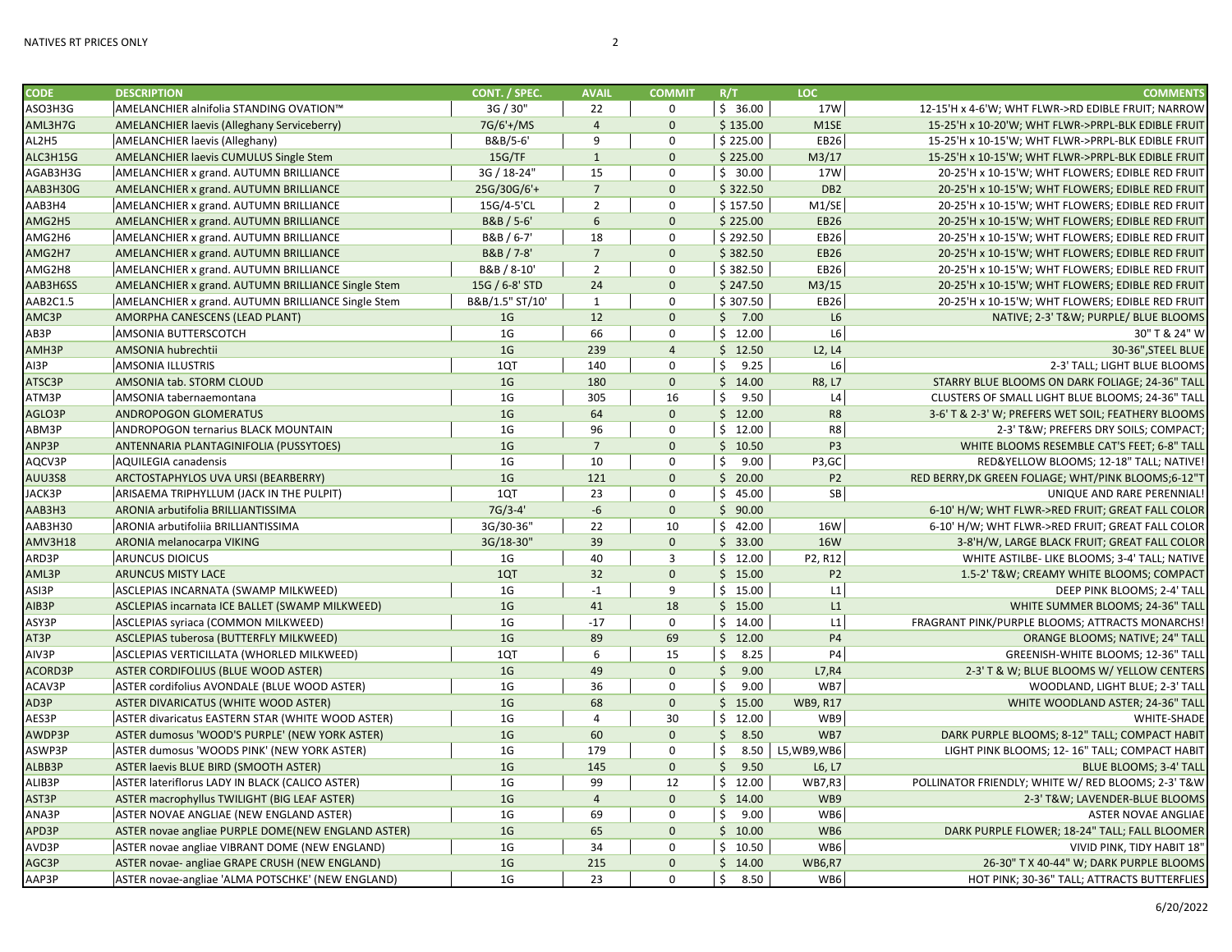| <b>CODE</b> | <b>DESCRIPTION</b>                                 | CONT. / SPEC.   | <b>AVAIL</b>    | <b>COMMIT</b>  | R/T        | LOC             | <b>COMMENTS</b>                                     |
|-------------|----------------------------------------------------|-----------------|-----------------|----------------|------------|-----------------|-----------------------------------------------------|
| ASO3H3G     | AMELANCHIER alnifolia STANDING OVATION™            | 3G / 30"        | 22              | 0              | \$36.00    | 17W             | 12-15'H x 4-6'W; WHT FLWR->RD EDIBLE FRUIT; NARROW  |
| AML3H7G     | AMELANCHIER laevis (Alleghany Serviceberry)        | 7G/6'+/MS       | $\overline{4}$  | $\mathbf 0$    | \$135.00   | M1SE            | 15-25'H x 10-20'W; WHT FLWR->PRPL-BLK EDIBLE FRUIT  |
| AL2H5       | <b>AMELANCHIER laevis (Alleghany)</b>              | B&B/5-6'        | 9               | $\mathbf 0$    | \$225.00   | EB26            | 15-25'H x 10-15'W; WHT FLWR->PRPL-BLK EDIBLE FRUIT  |
| ALC3H15G    | AMELANCHIER laevis CUMULUS Single Stem             | 15G/TF          | 1               | $\mathbf{0}$   | \$225.00   | M3/17           | 15-25'H x 10-15'W; WHT FLWR->PRPL-BLK EDIBLE FRUIT  |
| AGAB3H3G    | AMELANCHIER x grand. AUTUMN BRILLIANCE             | 3G / 18-24"     | 15              | $\mathbf 0$    | \$30.00    | 17W             | 20-25'H x 10-15'W; WHT FLOWERS; EDIBLE RED FRUIT    |
| AAB3H30G    | AMELANCHIER x grand. AUTUMN BRILLIANCE             | 25G/30G/6'+     | $\overline{7}$  | $\mathbf{0}$   | \$322.50   | DB <sub>2</sub> | 20-25'H x 10-15'W; WHT FLOWERS; EDIBLE RED FRUIT    |
| AAB3H4      | AMELANCHIER x grand. AUTUMN BRILLIANCE             | 15G/4-5'CL      | $\overline{2}$  | $\mathbf 0$    | \$157.50   | M1/SE           | 20-25'H x 10-15'W; WHT FLOWERS; EDIBLE RED FRUIT    |
| AMG2H5      | AMELANCHIER x grand. AUTUMN BRILLIANCE             | B&B / 5-6'      | $6\overline{6}$ | $\mathbf{0}$   | \$225.00   | <b>EB26</b>     | 20-25'H x 10-15'W; WHT FLOWERS; EDIBLE RED FRUIT    |
| AMG2H6      | <b>AMELANCHIER x grand. AUTUMN BRILLIANCE</b>      | B&B / 6-7'      | 18              | $\mathbf 0$    | \$292.50   | EB26            | 20-25'H x 10-15'W; WHT FLOWERS; EDIBLE RED FRUIT    |
| AMG2H7      | AMELANCHIER x grand. AUTUMN BRILLIANCE             | B&B / 7-8'      | $7\overline{ }$ | $\mathbf{0}$   | \$382.50   | <b>EB26</b>     | 20-25'H x 10-15'W; WHT FLOWERS; EDIBLE RED FRUIT    |
| AMG2H8      | AMELANCHIER x grand. AUTUMN BRILLIANCE             | B&B / 8-10'     | $\overline{2}$  | $\mathsf 0$    | \$382.50   | EB26            | 20-25'H x 10-15'W; WHT FLOWERS; EDIBLE RED FRUIT    |
| AAB3H6SS    | AMELANCHIER x grand. AUTUMN BRILLIANCE Single Stem | 15G / 6-8' STD  | 24              | $\mathbf{0}$   | \$247.50   | M3/15           | 20-25'H x 10-15'W; WHT FLOWERS; EDIBLE RED FRUIT    |
| AAB2C1.5    | AMELANCHIER x grand. AUTUMN BRILLIANCE Single Stem | B&B/1.5" ST/10' | $\mathbf{1}$    | 0              | \$307.50   | EB26            | 20-25'H x 10-15'W; WHT FLOWERS; EDIBLE RED FRUIT    |
| AMC3P       | AMORPHA CANESCENS (LEAD PLANT)                     | 1 <sub>G</sub>  | 12              | $\mathbf 0$    | \$7.00     | L6              | NATIVE; 2-3' T&W PURPLE/ BLUE BLOOMS                |
| AB3P        | AMSONIA BUTTERSCOTCH                               | 1G              | 66              | $\mathbf 0$    | \$12.00    | L6              | 30" T & 24" W                                       |
| AMH3P       | AMSONIA hubrechtii                                 | 1 <sub>G</sub>  | 239             | $\overline{4}$ | \$12.50    | L2, L4          | 30-36", STEEL BLUE                                  |
| AI3P        | <b>AMSONIA ILLUSTRIS</b>                           | 1QT             | 140             | $\mathbf 0$    | Ś.<br>9.25 | L6              | 2-3' TALL; LIGHT BLUE BLOOMS                        |
| ATSC3P      | AMSONIA tab. STORM CLOUD                           | 1 <sub>G</sub>  | 180             | $\mathbf{0}$   | \$14.00    | R8, L7          | STARRY BLUE BLOOMS ON DARK FOLIAGE; 24-36" TALL     |
| ATM3P       | AMSONIA tabernaemontana                            | 1 <sub>G</sub>  | 305             | 16             | \$<br>9.50 | L4              | CLUSTERS OF SMALL LIGHT BLUE BLOOMS; 24-36" TALL    |
| AGLO3P      | ANDROPOGON GLOMERATUS                              | 1 <sub>G</sub>  | 64              | $\mathbf{0}$   | \$12.00    | R <sub>8</sub>  | 3-6' T & 2-3' W; PREFERS WET SOIL; FEATHERY BLOOMS  |
| ABM3P       | ANDROPOGON ternarius BLACK MOUNTAIN                | 1 <sub>G</sub>  | 96              | $\mathsf 0$    | \$12.00    | R8              | 2-3' T&W PREFERS DRY SOILS; COMPACT;                |
| ANP3P       | ANTENNARIA PLANTAGINIFOLIA (PUSSYTOES)             | 1 <sub>G</sub>  | $\overline{7}$  | $\mathbf 0$    | \$10.50    | P <sub>3</sub>  | WHITE BLOOMS RESEMBLE CAT'S FEET; 6-8" TALL         |
| AQCV3P      | <b>AQUILEGIA canadensis</b>                        | 1 <sub>G</sub>  | 10              | $\mathbf 0$    | \$<br>9.00 | P3,GC           | RED&YELLOW BLOOMS; 12-18" TALL; NATIVE!             |
| AUU3S8      | ARCTOSTAPHYLOS UVA URSI (BEARBERRY)                | 1 <sub>G</sub>  | 121             | $\mathbf{0}$   | \$20.00    | <b>P2</b>       | RED BERRY, DK GREEN FOLIAGE; WHT/PINK BLOOMS;6-12"T |
| JACK3P      | ARISAEMA TRIPHYLLUM (JACK IN THE PULPIT)           | 1QT             | 23              | $\pmb{0}$      | \$45.00    | SB              | UNIQUE AND RARE PERENNIAL!                          |
| AAB3H3      | ARONIA arbutifolia BRILLIANTISSIMA                 | $7G/3-4'$       | $-6$            | $\mathbf{0}$   | \$90.00    |                 | 6-10' H/W; WHT FLWR->RED FRUIT; GREAT FALL COLOR    |
| AAB3H30     | ARONIA arbutifoliia BRILLIANTISSIMA                | 3G/30-36"       | 22              | 10             | \$42.00    | <b>16W</b>      | 6-10' H/W; WHT FLWR->RED FRUIT; GREAT FALL COLOR    |
| AMV3H18     | ARONIA melanocarpa VIKING                          | 3G/18-30"       | 39              | $\mathbf{0}$   | \$33.00    | <b>16W</b>      | 3-8'H/W, LARGE BLACK FRUIT; GREAT FALL COLOR        |
| ARD3P       | <b>ARUNCUS DIOICUS</b>                             | 1G              | 40              | $\overline{3}$ | \$12.00    | P2, R12         | WHITE ASTILBE- LIKE BLOOMS; 3-4' TALL; NATIVE       |
| AML3P       | <b>ARUNCUS MISTY LACE</b>                          | 1QT             | 32              | $\mathbf{0}$   | \$15.00    | P <sub>2</sub>  | 1.5-2' T&W CREAMY WHITE BLOOMS; COMPACT             |
| ASI3P       | ASCLEPIAS INCARNATA (SWAMP MILKWEED)               | 1 <sub>G</sub>  | $-1$            | 9              | \$15.00    | L1              | DEEP PINK BLOOMS; 2-4' TALL                         |
| AIB3P       | ASCLEPIAS incarnata ICE BALLET (SWAMP MILKWEED)    | 1 <sub>G</sub>  | 41              | 18             | \$15.00    | L1              | WHITE SUMMER BLOOMS; 24-36" TALL                    |
| ASY3P       | ASCLEPIAS syriaca (COMMON MILKWEED)                | 1 <sub>G</sub>  | $-17$           | $\mathbf 0$    | \$14.00    | L1              | FRAGRANT PINK/PURPLE BLOOMS; ATTRACTS MONARCHS!     |
| AT3P        | ASCLEPIAS tuberosa (BUTTERFLY MILKWEED)            | 1 <sub>G</sub>  | 89              | 69             | \$12.00    | <b>P4</b>       | ORANGE BLOOMS; NATIVE; 24" TALL                     |
| AIV3P       | ASCLEPIAS VERTICILLATA (WHORLED MILKWEED)          | 1QT             | 6               | 15             | \$<br>8.25 | <b>P4</b>       | GREENISH-WHITE BLOOMS; 12-36" TALL                  |
| ACORD3P     | ASTER CORDIFOLIUS (BLUE WOOD ASTER)                | 1 <sub>G</sub>  | 49              | $\mathbf 0$    | 9.00<br>\$ | L7, R4          | 2-3' T & W; BLUE BLOOMS W/ YELLOW CENTERS           |
| ACAV3P      | ASTER cordifolius AVONDALE (BLUE WOOD ASTER)       | 1 <sub>G</sub>  | 36              | $\mathbf 0$    | \$<br>9.00 | WB7             | WOODLAND, LIGHT BLUE; 2-3' TALL                     |
| AD3P        | ASTER DIVARICATUS (WHITE WOOD ASTER)               | 1 <sub>G</sub>  | 68              | $\mathbf 0$    | \$15.00    | <b>WB9, R17</b> | WHITE WOODLAND ASTER; 24-36" TALL                   |
| AES3P       | ASTER divaricatus EASTERN STAR (WHITE WOOD ASTER)  | 1 <sub>G</sub>  | $\overline{4}$  | 30             | \$12.00    | WB9             | <b>WHITE-SHADE</b>                                  |
| AWDP3P      | ASTER dumosus 'WOOD'S PURPLE' (NEW YORK ASTER)     | 1 <sub>G</sub>  | 60              | $\mathbf{0}$   | \$<br>8.50 | WB7             | DARK PURPLE BLOOMS; 8-12" TALL; COMPACT HABIT       |
| ASWP3P      | ASTER dumosus 'WOODS PINK' (NEW YORK ASTER)        | 1G              | 179             | $\mathbf 0$    | \$<br>8.50 | L5, WB9, WB6    | LIGHT PINK BLOOMS; 12-16" TALL; COMPACT HABIT       |
| ALBB3P      | <b>ASTER laevis BLUE BIRD (SMOOTH ASTER)</b>       | 1 <sub>G</sub>  | 145             | $\mathbf 0$    | 9.50<br>\$ | L6, L7          | <b>BLUE BLOOMS; 3-4' TALL</b>                       |
| ALIB3P      | ASTER lateriflorus LADY IN BLACK (CALICO ASTER)    | 1G              | 99              | 12             | \$12.00    | <b>WB7,R3</b>   | POLLINATOR FRIENDLY; WHITE W/ RED BLOOMS; 2-3' T&W  |
| AST3P       | ASTER macrophyllus TWILIGHT (BIG LEAF ASTER)       | 1 <sub>G</sub>  | $\overline{4}$  | $\mathbf{0}$   | \$14.00    | WB9             | 2-3' T&W LAVENDER-BLUE BLOOMS                       |
| ANA3P       | ASTER NOVAE ANGLIAE (NEW ENGLAND ASTER)            | 1 <sub>G</sub>  | 69              | $\mathbf 0$    | Ś.<br>9.00 | WB6             | <b>ASTER NOVAE ANGLIAE</b>                          |
| APD3P       | ASTER novae angliae PURPLE DOME(NEW ENGLAND ASTER) | 1 <sub>G</sub>  | 65              | $\mathbf{0}$   | \$10.00    | WB6             | DARK PURPLE FLOWER; 18-24" TALL; FALL BLOOMER       |
| AVD3P       | ASTER novae angliae VIBRANT DOME (NEW ENGLAND)     | 1 <sub>G</sub>  | 34              | $\mathbf 0$    | \$10.50    | WB6             | VIVID PINK, TIDY HABIT 18"                          |
| AGC3P       | ASTER novae- angliae GRAPE CRUSH (NEW ENGLAND)     | 1 <sub>G</sub>  | 215             | $\mathbf{0}$   | \$14.00    | <b>WB6,R7</b>   | 26-30" T X 40-44" W; DARK PURPLE BLOOMS             |
| AAP3P       | ASTER novae-angliae 'ALMA POTSCHKE' (NEW ENGLAND)  | 1 <sub>G</sub>  | 23              | $\Omega$       | \$<br>8.50 | WB6             | HOT PINK; 30-36" TALL; ATTRACTS BUTTERFLIES         |
|             |                                                    |                 |                 |                |            |                 |                                                     |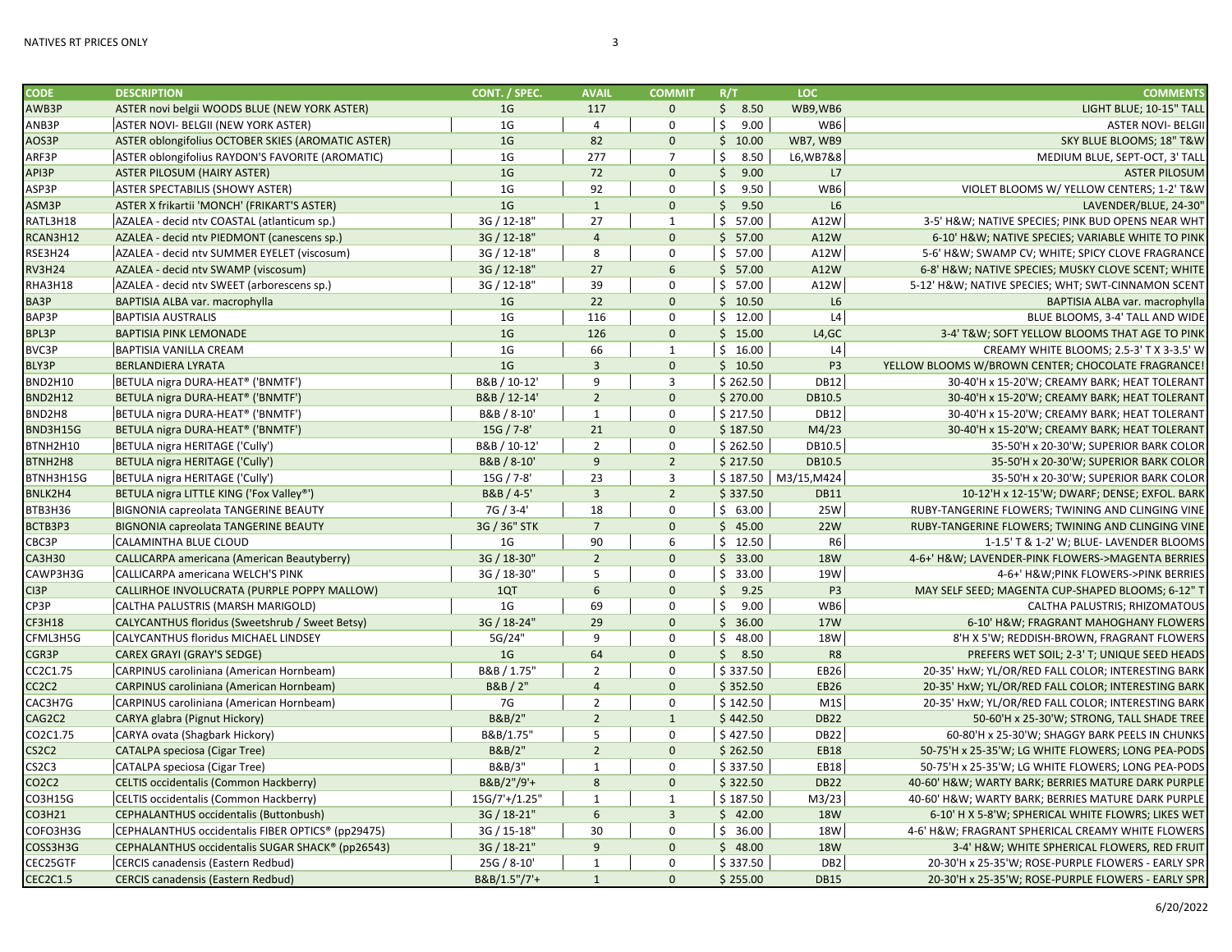| <b>CODE</b>                    | <b>DESCRIPTION</b>                                 | CONT. / SPEC.  | <b>AVAIL</b>    | <b>COMMIT</b>  | R/T                  | LOC.            | <b>COMMENTS</b>                                          |
|--------------------------------|----------------------------------------------------|----------------|-----------------|----------------|----------------------|-----------------|----------------------------------------------------------|
| AWB3P                          | ASTER novi belgii WOODS BLUE (NEW YORK ASTER)      | 1 <sub>G</sub> | 117             | $\mathbf{0}$   | \$3.50               | WB9,WB6         | LIGHT BLUE; 10-15" TALL                                  |
| ANB3P                          | ASTER NOVI- BELGII (NEW YORK ASTER)                | 1 <sub>G</sub> | $\overline{4}$  | $\mathbf 0$    | \$<br>9.00           | WB6             | <b>ASTER NOVI- BELGII</b>                                |
| AOS3P                          | ASTER oblongifolius OCTOBER SKIES (AROMATIC ASTER) | 1 <sub>G</sub> | 82              | $\mathbf{0}$   | \$10.00              | WB7, WB9        | SKY BLUE BLOOMS; 18" T&W                                 |
| ARF3P                          | ASTER oblongifolius RAYDON'S FAVORITE (AROMATIC)   | 1 <sub>G</sub> | 277             | $\overline{7}$ | 8.50<br>\$           | L6, WB7&8       | MEDIUM BLUE, SEPT-OCT, 3' TALL                           |
| API3P                          | <b>ASTER PILOSUM (HAIRY ASTER)</b>                 | 1 <sub>G</sub> | 72              | $\Omega$       | $\mathsf{S}$<br>9.00 | L7              | <b>ASTER PILOSUM</b>                                     |
| ASP3P                          | <b>ASTER SPECTABILIS (SHOWY ASTER)</b>             | 1 <sub>G</sub> | 92              | $\Omega$       | \$<br>9.50           | WB6             | VIOLET BLOOMS W/ YELLOW CENTERS; 1-2' T&W                |
| ASM3P                          | ASTER X frikartii 'MONCH' (FRIKART'S ASTER)        | 1 <sub>G</sub> | $\mathbf{1}$    | $\mathbf{0}$   | \$9.50               | L6              | LAVENDER/BLUE, 24-30'                                    |
| RATL3H18                       | AZALEA - decid ntv COASTAL (atlanticum sp.)        | 3G / 12-18"    | 27              | $\mathbf{1}$   | \$57.00              | A12W            | 3-5' H&W NATIVE SPECIES; PINK BUD OPENS NEAR WHT         |
| RCAN3H12                       | AZALEA - decid ntv PIEDMONT (canescens sp.)        | 3G / 12-18"    | $\overline{4}$  | $\mathbf{0}$   | \$57.00              | A12W            | 6-10' H&W NATIVE SPECIES; VARIABLE WHITE TO PINK         |
| RSE3H24                        | AZALEA - decid ntv SUMMER EYELET (viscosum)        | 3G / 12-18"    | 8               | $\mathbf 0$    | \$57.00              | A12W            | 5-6' H&W SWAMP CV; WHITE; SPICY CLOVE FRAGRANCE          |
| <b>RV3H24</b>                  | AZALEA - decid ntv SWAMP (viscosum)                | 3G / 12-18"    | 27              | 6              | \$57.00              | A12W            | 6-8' H&W NATIVE SPECIES; MUSKY CLOVE SCENT; WHITE        |
| RHA3H18                        | AZALEA - decid ntv SWEET (arborescens sp.)         | 3G / 12-18"    | 39              | $\Omega$       | \$57.00              | A12W            | 5-12' H&W NATIVE SPECIES; WHT; SWT-CINNAMON SCENT        |
| BA3P                           | BAPTISIA ALBA var. macrophylla                     | 1 <sub>G</sub> | 22              | $\Omega$       | \$10.50              | L6              | BAPTISIA ALBA var. macrophylla                           |
| BAP3P                          | <b>BAPTISIA AUSTRALIS</b>                          | 1 <sub>G</sub> | 116             | $\Omega$       | \$12.00              | L4              | BLUE BLOOMS, 3-4' TALL AND WIDE                          |
| BPL3P                          | <b>BAPTISIA PINK LEMONADE</b>                      | 1 <sub>G</sub> | 126             | $\mathbf{0}$   | \$15.00              | L4,GC           | 3-4' T&W SOFT YELLOW BLOOMS THAT AGE TO PINK             |
| <b>BVC3P</b>                   | <b>BAPTISIA VANILLA CREAM</b>                      | 1 <sub>G</sub> | 66              | $\mathbf{1}$   | \$16.00              | L4              | CREAMY WHITE BLOOMS; 2.5-3' T X 3-3.5' W                 |
| BLY3P                          | <b>BERLANDIERA LYRATA</b>                          | 1 <sub>G</sub> | $\overline{3}$  | $\mathbf{0}$   | \$10.50              | P <sub>3</sub>  | YELLOW BLOOMS W/BROWN CENTER; CHOCOLATE FRAGRANCE!       |
| BND2H10                        | BETULA nigra DURA-HEAT® ('BNMTF')                  | B&B / 10-12'   | 9               | $\overline{3}$ | \$262.50             | <b>DB12</b>     | 30-40'H x 15-20'W; CREAMY BARK; HEAT TOLERANT            |
| <b>BND2H12</b>                 | BETULA nigra DURA-HEAT® ('BNMTF')                  | B&B / 12-14'   | $\overline{2}$  | $\mathbf{0}$   | \$270.00             | DB10.5          | 30-40'H x 15-20'W; CREAMY BARK; HEAT TOLERANT            |
| BND2H8                         | BETULA nigra DURA-HEAT® ('BNMTF')                  | B&B / 8-10'    | $\mathbf{1}$    | $\mathbf 0$    | \$217.50             | <b>DB12</b>     | 30-40'H x 15-20'W; CREAMY BARK; HEAT TOLERANT            |
| BND3H15G                       | BETULA nigra DURA-HEAT® ('BNMTF')                  | 15G / 7-8'     | 21              | $\mathbf{0}$   | \$187.50             | M4/23           | 30-40'H x 15-20'W; CREAMY BARK; HEAT TOLERANT            |
| BTNH2H10                       | BETULA nigra HERITAGE ('Cully')                    | B&B / 10-12    | $\overline{2}$  | $\mathbf 0$    | \$262.50             | DB10.5          | 35-50'H x 20-30'W; SUPERIOR BARK COLOR                   |
| BTNH2H8                        | <b>BETULA nigra HERITAGE ('Cully')</b>             | B&B / 8-10'    | 9               | $\overline{2}$ | \$217.50             | DB10.5          | 35-50'H x 20-30'W; SUPERIOR BARK COLOR                   |
| BTNH3H15G                      | BETULA nigra HERITAGE ('Cully')                    | 15G / 7-8'     | 23              | $\overline{3}$ | \$187.50             | M3/15, M424     | 35-50'H x 20-30'W; SUPERIOR BARK COLOR                   |
| BNLK2H4                        | BETULA nigra LITTLE KING ('Fox Valley®')           | B&B / 4-5'     | $\overline{3}$  | $\overline{2}$ | \$337.50             | <b>DB11</b>     | 10-12'H x 12-15'W; DWARF; DENSE; EXFOL. BARK             |
| BTB3H36                        | <b>BIGNONIA capreolata TANGERINE BEAUTY</b>        | 7G / 3-4'      | 18              | $\Omega$       | \$63.00              | 25W             | RUBY-TANGERINE FLOWERS; TWINING AND CLINGING VINE        |
| BCTB3P3                        | <b>BIGNONIA capreolata TANGERINE BEAUTY</b>        | 3G / 36" STK   | $\overline{7}$  | $\Omega$       | \$45.00              | <b>22W</b>      | <b>RUBY-TANGERINE FLOWERS: TWINING AND CLINGING VINE</b> |
| CBC3P                          | CALAMINTHA BLUE CLOUD                              | 1G             | 90              | 6              | \$12.50              | R <sub>6</sub>  | 1-1.5' T & 1-2' W; BLUE- LAVENDER BLOOMS                 |
| <b>CA3H30</b>                  | CALLICARPA americana (American Beautyberry)        | 3G / 18-30"    | $\overline{2}$  | $\Omega$       | \$33.00              | <b>18W</b>      | 4-6+' H&W LAVENDER-PINK FLOWERS->MAGENTA BERRIES         |
| CAWP3H3G                       | CALLICARPA americana WELCH'S PINK                  | 3G / 18-30"    | 5               | $\mathbf 0$    | \$33.00              | 19W             | 4-6+' H&WPINK FLOWERS->PINK BERRIES                      |
| CI3P                           | CALLIRHOE INVOLUCRATA (PURPLE POPPY MALLOW)        | 1QT            | $6\overline{6}$ | $\mathbf{0}$   | \$9.25               | P <sub>3</sub>  | MAY SELF SEED; MAGENTA CUP-SHAPED BLOOMS; 6-12" T        |
| CP3P                           | CALTHA PALUSTRIS (MARSH MARIGOLD)                  | 1 <sub>G</sub> | 69              | $\mathbf 0$    | \$<br>9.00           | WB6             | CALTHA PALUSTRIS; RHIZOMATOUS                            |
| <b>CF3H18</b>                  | CALYCANTHUS floridus (Sweetshrub / Sweet Betsy)    | 3G / 18-24"    | 29              | $\Omega$       | \$36.00              | <b>17W</b>      | 6-10' H&W FRAGRANT MAHOGHANY FLOWERS                     |
| CFML3H5G                       | CALYCANTHUS floridus MICHAEL LINDSEY               | 5G/24'         | 9               | $\Omega$       | \$48.00              | 18W             | 8'H X 5'W; REDDISH-BROWN, FRAGRANT FLOWERS               |
| CGR3P                          | <b>CAREX GRAYI (GRAY'S SEDGE)</b>                  | 1 <sub>G</sub> | 64              | $\Omega$       | \$3.50               | R <sub>8</sub>  | PREFERS WET SOIL; 2-3' T; UNIQUE SEED HEADS              |
| CC2C1.75                       | CARPINUS caroliniana (American Hornbeam)           | B&B / 1.75"    | $\overline{2}$  | $\Omega$       | \$337.50             | EB26            | 20-35' HxW; YL/OR/RED FALL COLOR; INTERESTING BARK       |
| CC <sub>2</sub> C <sub>2</sub> | <b>CARPINUS caroliniana (American Hornbeam)</b>    | B&B / 2"       | $\overline{4}$  | $\Omega$       | \$352.50             | <b>EB26</b>     | 20-35' HxW; YL/OR/RED FALL COLOR; INTERESTING BARK       |
| CAC3H7G                        | CARPINUS caroliniana (American Hornbeam)           | 7G             | $\overline{2}$  | $\mathbf 0$    | \$142.50             | M1S             | 20-35' HxW; YL/OR/RED FALL COLOR; INTERESTING BARK       |
| CAG2C2                         | CARYA glabra (Pignut Hickory)                      | B&B/2"         | $\overline{2}$  | $\mathbf{1}$   | \$442.50             | <b>DB22</b>     | 50-60'H x 25-30'W; STRONG, TALL SHADE TREE               |
| CO2C1.75                       | CARYA ovata (Shagbark Hickory)                     | B&B/1.75'      | 5               | $\Omega$       | \$427.50             | <b>DB22</b>     | 60-80'H x 25-30'W; SHAGGY BARK PEELS IN CHUNKS           |
| CS2C2                          | <b>CATALPA speciosa (Cigar Tree)</b>               | B&B/2"         | $\overline{2}$  | $\Omega$       | \$262.50             | <b>EB18</b>     | 50-75'H x 25-35'W; LG WHITE FLOWERS; LONG PEA-PODS       |
| CS2C3                          | CATALPA speciosa (Cigar Tree)                      | B&B/3"         | $\mathbf{1}$    | $\Omega$       | \$337.50             | <b>EB18</b>     | 50-75'H x 25-35'W; LG WHITE FLOWERS; LONG PEA-PODS       |
| CO2C2                          | CELTIS occidentalis (Common Hackberry)             | B&B/2"/9'+     | 8               | $\mathbf{0}$   | \$322.50             | <b>DB22</b>     | 40-60' H&W WARTY BARK; BERRIES MATURE DARK PURPLE        |
| CO3H15G                        | CELTIS occidentalis (Common Hackberry)             | 15G/7'+/1.25"  | $\mathbf{1}$    | $\mathbf{1}$   | \$187.50             | M3/23           | 40-60' H&W WARTY BARK; BERRIES MATURE DARK PURPLE        |
| CO3H21                         | CEPHALANTHUS occidentalis (Buttonbush)             | 3G / 18-21"    | 6               | $\overline{3}$ | \$42.00              | <b>18W</b>      | 6-10' H X 5-8'W; SPHERICAL WHITE FLOWRS; LIKES WET       |
| COFO3H3G                       | CEPHALANTHUS occidentalis FIBER OPTICS® (pp29475)  | 3G / 15-18"    | 30              | $\mathbf 0$    | \$36.00              | <b>18W</b>      | 4-6' H&W FRAGRANT SPHERICAL CREAMY WHITE FLOWERS         |
| COSS3H3G                       | CEPHALANTHUS occidentalis SUGAR SHACK® (pp26543)   | 3G / 18-21"    | $\mathbf{9}$    | $\mathbf{0}$   | \$48.00              | <b>18W</b>      | 3-4' H&W WHITE SPHERICAL FLOWERS, RED FRUIT              |
| CEC25GTF                       | CERCIS canadensis (Eastern Redbud)                 | 25G / 8-10'    | $\mathbf{1}$    | $\mathbf 0$    | \$337.50             | DB <sub>2</sub> | 20-30'H x 25-35'W; ROSE-PURPLE FLOWERS - EARLY SPR       |
| <b>CEC2C1.5</b>                | <b>CERCIS canadensis (Eastern Redbud)</b>          | B&B/1.5"/7'+   | $\mathbf{1}$    | $\Omega$       | \$255.00             | <b>DB15</b>     | 20-30'H x 25-35'W; ROSE-PURPLE FLOWERS - EARLY SPR       |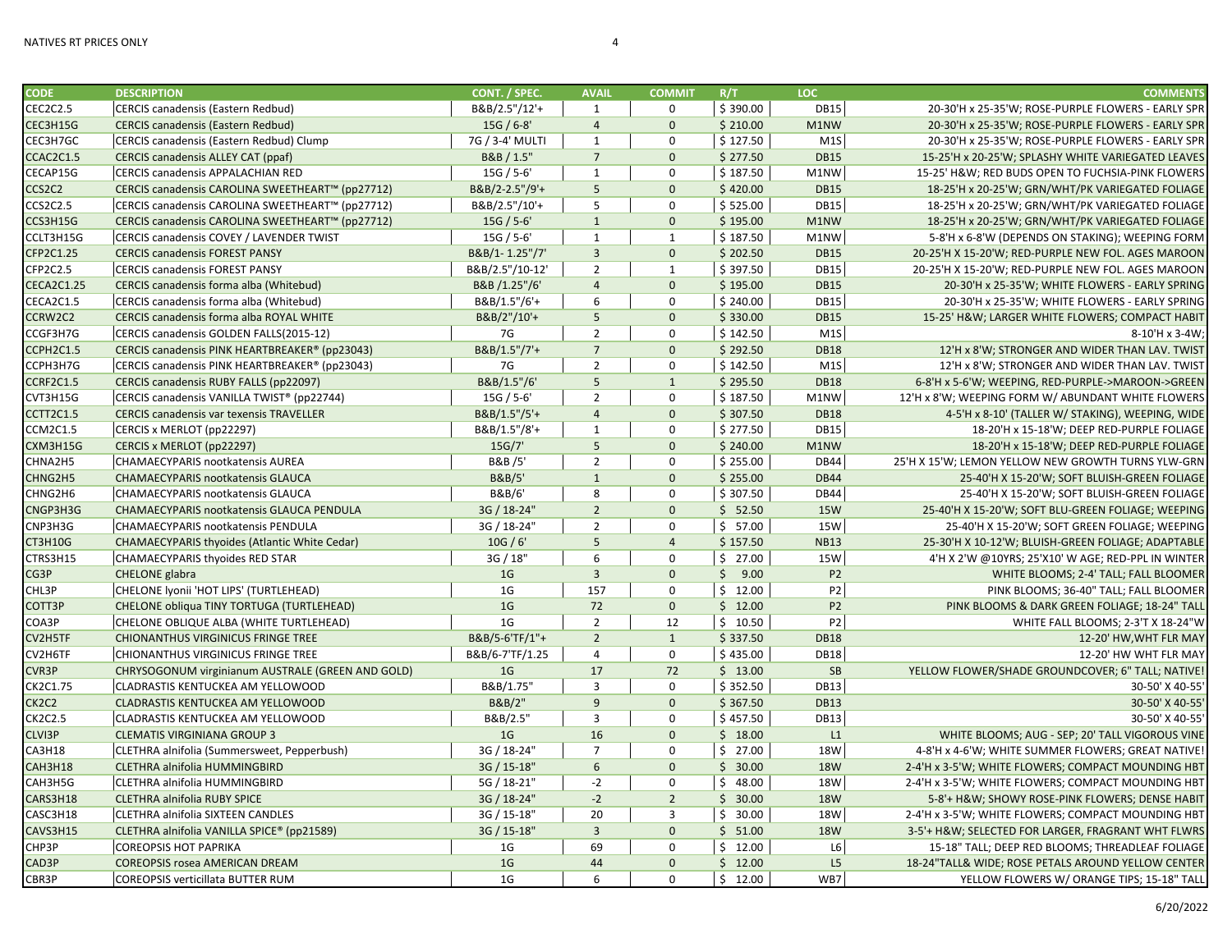| <b>CODE</b>       | <b>DESCRIPTION</b>                                   | CONT. / SPEC.   | <b>AVAIL</b>    | <b>COMMIT</b>  | R/T      | LOC.           | <b>COMMENTS</b>                                    |
|-------------------|------------------------------------------------------|-----------------|-----------------|----------------|----------|----------------|----------------------------------------------------|
| CEC2C2.5          | CERCIS canadensis (Eastern Redbud)                   | B&B/2.5"/12'+   | $\mathbf{1}$    | 0              | \$390.00 | <b>DB15</b>    | 20-30'H x 25-35'W; ROSE-PURPLE FLOWERS - EARLY SPR |
| CEC3H15G          | <b>CERCIS canadensis (Eastern Redbud)</b>            | $15G / 6-8'$    | $\overline{4}$  | $\mathbf{0}$   | \$210.00 | M1NW           | 20-30'H x 25-35'W; ROSE-PURPLE FLOWERS - EARLY SPR |
| CEC3H7GC          | CERCIS canadensis (Eastern Redbud) Clump             | 7G / 3-4' MULTI | $\mathbf{1}$    | $\mathbf 0$    | \$127.50 | M1S            | 20-30'H x 25-35'W; ROSE-PURPLE FLOWERS - EARLY SPR |
| CCAC2C1.5         | <b>CERCIS canadensis ALLEY CAT (ppaf)</b>            | B&B / 1.5"      | $7\overline{ }$ | $\mathbf 0$    | \$277.50 | <b>DB15</b>    | 15-25'H x 20-25'W; SPLASHY WHITE VARIEGATED LEAVES |
| CECAP15G          | <b>CERCIS canadensis APPALACHIAN RED</b>             | 15G / 5-6'      | $\mathbf{1}$    | $\mathbf 0$    | \$187.50 | M1NW           | 15-25' H&W RED BUDS OPEN TO FUCHSIA-PINK FLOWERS   |
| CCS2C2            | CERCIS canadensis CAROLINA SWEETHEART™ (pp27712)     | B&B/2-2.5"/9'+  | 5               | $\mathbf{0}$   | \$420.00 | <b>DB15</b>    | 18-25'H x 20-25'W; GRN/WHT/PK VARIEGATED FOLIAGE   |
| CCS2C2.5          | CERCIS canadensis CAROLINA SWEETHEART™ (pp27712)     | B&B/2.5"/10'+   | 5               | $\mathbf 0$    | \$525.00 | <b>DB15</b>    | 18-25'H x 20-25'W; GRN/WHT/PK VARIEGATED FOLIAGE   |
| CCS3H15G          | CERCIS canadensis CAROLINA SWEETHEART™ (pp27712)     | $15G / 5 - 6'$  | $\mathbf{1}$    | $\mathbf{0}$   | \$195.00 | M1NW           | 18-25'H x 20-25'W; GRN/WHT/PK VARIEGATED FOLIAGE   |
| CCLT3H15G         | CERCIS canadensis COVEY / LAVENDER TWIST             | $15G / 5 - 6'$  | $\mathbf{1}$    | $\mathbf{1}$   | \$187.50 | M1NW           | 5-8'H x 6-8'W (DEPENDS ON STAKING); WEEPING FORM   |
| CFP2C1.25         | <b>CERCIS canadensis FOREST PANSY</b>                | B&B/1-1.25"/7'  | $\overline{3}$  | $\mathbf{0}$   | \$202.50 | <b>DB15</b>    | 20-25'H X 15-20'W; RED-PURPLE NEW FOL. AGES MAROON |
| CFP2C2.5          | <b>CERCIS canadensis FOREST PANSY</b>                | B&B/2.5"/10-12' | $\overline{2}$  | $\mathbf{1}$   | \$397.50 | <b>DB15</b>    | 20-25'H X 15-20'W; RED-PURPLE NEW FOL. AGES MAROON |
| <b>CECA2C1.25</b> | CERCIS canadensis forma alba (Whitebud)              | B&B /1.25"/6'   | $\overline{4}$  | $\mathbf 0$    | \$195.00 | <b>DB15</b>    | 20-30'H x 25-35'W; WHITE FLOWERS - EARLY SPRING    |
| CECA2C1.5         | CERCIS canadensis forma alba (Whitebud)              | B&B/1.5"/6'+    | 6               | $\mathbf 0$    | \$240.00 | <b>DB15</b>    | 20-30'H x 25-35'W; WHITE FLOWERS - EARLY SPRING    |
| CCRW2C2           | CERCIS canadensis forma alba ROYAL WHITE             | B&B/2"/10'+     | 5               | $\mathbf 0$    | \$330.00 | <b>DB15</b>    | 15-25' H&W LARGER WHITE FLOWERS; COMPACT HABIT     |
| CCGF3H7G          | CERCIS canadensis GOLDEN FALLS(2015-12)              | 7G              | $\overline{2}$  | $\mathbf 0$    | \$142.50 | M1S            | 8-10'H x 3-4W;                                     |
| CCPH2C1.5         | CERCIS canadensis PINK HEARTBREAKER® (pp23043)       | B&B/1.5"/7'+    | $\overline{7}$  | $\mathbf{0}$   | \$292.50 | <b>DB18</b>    | 12'H x 8'W; STRONGER AND WIDER THAN LAV. TWIST     |
| CCPH3H7G          | CERCIS canadensis PINK HEARTBREAKER® (pp23043)       | 7G              | $\overline{2}$  | $\mathbf 0$    | \$142.50 | M1S            | 12'H x 8'W; STRONGER AND WIDER THAN LAV. TWIST     |
| CCRF2C1.5         | CERCIS canadensis RUBY FALLS (pp22097)               | B&B/1.5"/6'     | 5               | $\mathbf{1}$   | \$295.50 | <b>DB18</b>    | 6-8'H x 5-6'W; WEEPING, RED-PURPLE->MAROON->GREEN  |
| CVT3H15G          | CERCIS canadensis VANILLA TWIST® (pp22744)           | $15G / 5 - 6'$  | $\overline{2}$  | $\mathbf 0$    | \$187.50 | M1NW           | 12'H x 8'W; WEEPING FORM W/ ABUNDANT WHITE FLOWERS |
| CCTT2C1.5         | CERCIS canadensis var texensis TRAVELLER             | B&B/1.5"/5'+    | $\overline{4}$  | $\mathbf{0}$   | \$307.50 | <b>DB18</b>    | 4-5'H x 8-10' (TALLER W/ STAKING), WEEPING, WIDE   |
| <b>CCM2C1.5</b>   | CERCIS x MERLOT (pp22297)                            | B&B/1.5"/8'+    | $\mathbf{1}$    | $\mathbf 0$    | \$277.50 | <b>DB15</b>    | 18-20'H x 15-18'W; DEEP RED-PURPLE FOLIAGE         |
| CXM3H15G          | CERCIS x MERLOT (pp22297)                            | 15G/7'          | 5               | $\mathbf 0$    | \$240.00 | M1NW           | 18-20'H x 15-18'W; DEEP RED-PURPLE FOLIAGE         |
| CHNA2H5           | <b>CHAMAECYPARIS nootkatensis AUREA</b>              | B&B /5'         | $\overline{2}$  | $\mathbf 0$    | \$255.00 | <b>DB44</b>    | 25'H X 15'W; LEMON YELLOW NEW GROWTH TURNS YLW-GRN |
| CHNG2H5           | CHAMAECYPARIS nootkatensis GLAUCA                    | B&B/5'          | $\mathbf{1}$    | $\mathbf 0$    | \$255.00 | <b>DB44</b>    | 25-40'H X 15-20'W; SOFT BLUISH-GREEN FOLIAGE       |
| CHNG2H6           | CHAMAECYPARIS nootkatensis GLAUCA                    | B&B/6'          | 8               | $\mathbf 0$    | \$307.50 | <b>DB44</b>    | 25-40'H X 15-20'W; SOFT BLUISH-GREEN FOLIAGE       |
| CNGP3H3G          | CHAMAECYPARIS nootkatensis GLAUCA PENDULA            | 3G / 18-24"     | $\overline{2}$  | $\mathbf{0}$   | \$52.50  | <b>15W</b>     | 25-40'H X 15-20'W; SOFT BLU-GREEN FOLIAGE; WEEPING |
| CNP3H3G           | CHAMAECYPARIS nootkatensis PENDULA                   | 3G / 18-24'     | $\overline{2}$  | $\mathbf 0$    | \$57.00  | <b>15W</b>     | 25-40'H X 15-20'W; SOFT GREEN FOLIAGE; WEEPING     |
| CT3H10G           | <b>CHAMAECYPARIS thyoides (Atlantic White Cedar)</b> | 10G / 6'        | 5               | $\overline{4}$ | \$157.50 | <b>NB13</b>    | 25-30'H X 10-12'W; BLUISH-GREEN FOLIAGE; ADAPTABLE |
| CTRS3H15          | CHAMAECYPARIS thyoides RED STAR                      | 3G / 18"        | 6               | $\mathbf 0$    | \$27.00  | <b>15W</b>     | 4'H X 2'W @10YRS; 25'X10' W AGE; RED-PPL IN WINTER |
| CG3P              | <b>CHELONE</b> glabra                                | 1 <sub>G</sub>  | $\overline{3}$  | $\mathbf{0}$   | \$9.00   | <b>P2</b>      | WHITE BLOOMS; 2-4' TALL; FALL BLOOMER              |
| CHL3P             | CHELONE Iyonii 'HOT LIPS' (TURTLEHEAD)               | 1G              | 157             | $\mathbf 0$    | \$12.00  | P <sub>2</sub> | PINK BLOOMS; 36-40" TALL; FALL BLOOMER             |
| COTT3P            | CHELONE obliqua TINY TORTUGA (TURTLEHEAD)            | 1 <sub>G</sub>  | 72              | $\mathbf 0$    | \$12.00  | <b>P2</b>      | PINK BLOOMS & DARK GREEN FOLIAGE; 18-24" TALL      |
| COA3P             | CHELONE OBLIQUE ALBA (WHITE TURTLEHEAD)              | 1G              | $\overline{2}$  | 12             | \$10.50  | P <sub>2</sub> | WHITE FALL BLOOMS; 2-3'T X 18-24"W                 |
| CV2H5TF           | CHIONANTHUS VIRGINICUS FRINGE TREE                   | B&B/5-6'TF/1"+  | $2^{\circ}$     | $\mathbf{1}$   | \$337.50 | <b>DB18</b>    | 12-20' HW, WHT FLR MAY                             |
| CV2H6TF           | CHIONANTHUS VIRGINICUS FRINGE TREE                   | B&B/6-7'TF/1.25 | $\overline{4}$  | $\mathbf 0$    | \$435.00 | <b>DB18</b>    | 12-20' HW WHT FLR MAY                              |
| CVR3P             | CHRYSOGONUM virginianum AUSTRALE (GREEN AND GOLD)    | 1 <sub>G</sub>  | 17              | 72             | \$13.00  | SB             | YELLOW FLOWER/SHADE GROUNDCOVER; 6" TALL; NATIVE!  |
| CK2C1.75          | CLADRASTIS KENTUCKEA AM YELLOWOOD                    | B&B/1.75"       | $\overline{3}$  | $\mathbf 0$    | \$352.50 | <b>DB13</b>    | 30-50' X 40-55'                                    |
| CK2C2             | CLADRASTIS KENTUCKEA AM YELLOWOOD                    | B&B/2"          | 9               | $\mathbf{0}$   | \$367.50 | <b>DB13</b>    | 30-50' X 40-55'                                    |
| <b>CK2C2.5</b>    | CLADRASTIS KENTUCKEA AM YELLOWOOD                    | B&B/2.5"        | 3               | $\mathbf 0$    | \$457.50 | <b>DB13</b>    | 30-50' X 40-55'                                    |
| CLVI3P            | <b>CLEMATIS VIRGINIANA GROUP 3</b>                   | 1 <sub>G</sub>  | 16              | $\mathbf{0}$   | \$18.00  | L1             | WHITE BLOOMS; AUG - SEP; 20' TALL VIGOROUS VINE    |
| <b>CA3H18</b>     | CLETHRA alnifolia (Summersweet, Pepperbush)          | 3G / 18-24"     | $\overline{7}$  | $\mathbf 0$    | \$27.00  | <b>18W</b>     | 4-8'H x 4-6'W; WHITE SUMMER FLOWERS; GREAT NATIVE! |
| CAH3H18           | CLETHRA alnifolia HUMMINGBIRD                        | 3G / 15-18"     | 6               | $\mathbf{0}$   | \$30.00  | <b>18W</b>     | 2-4'H x 3-5'W; WHITE FLOWERS; COMPACT MOUNDING HBT |
| CAH3H5G           | CLETHRA alnifolia HUMMINGBIRD                        | 5G / 18-21"     | $-2$            | $\mathbf 0$    | \$48.00  | <b>18W</b>     | 2-4'H x 3-5'W; WHITE FLOWERS; COMPACT MOUNDING HBT |
| CARS3H18          | <b>CLETHRA alnifolia RUBY SPICE</b>                  | 3G / 18-24"     | $-2$            | $\overline{2}$ | \$30.00  | <b>18W</b>     | 5-8'+ H&W SHOWY ROSE-PINK FLOWERS; DENSE HABIT     |
| CASC3H18          | CLETHRA alnifolia SIXTEEN CANDLES                    | 3G / 15-18"     | 20              | $\overline{3}$ | \$30.00  | <b>18W</b>     | 2-4'H x 3-5'W; WHITE FLOWERS; COMPACT MOUNDING HBT |
| CAVS3H15          | CLETHRA alnifolia VANILLA SPICE® (pp21589)           | 3G / 15-18"     | $\overline{3}$  | $\mathbf{0}$   | \$51.00  | <b>18W</b>     | 3-5'+ H&W SELECTED FOR LARGER, FRAGRANT WHT FLWRS  |
| CHP3P             | <b>COREOPSIS HOT PAPRIKA</b>                         | 1G              | 69              | $\mathbf 0$    | \$12.00  | L6             | 15-18" TALL; DEEP RED BLOOMS; THREADLEAF FOLIAGE   |
| CAD3P             | <b>COREOPSIS rosea AMERICAN DREAM</b>                | 1 <sub>G</sub>  | 44              | $\mathbf{0}$   | \$12.00  | L5             | 18-24"TALL& WIDE; ROSE PETALS AROUND YELLOW CENTER |
| CBR3P             | <b>COREOPSIS verticillata BUTTER RUM</b>             | 1G              | 6               | $\Omega$       | \$12.00  | WB7            | YELLOW FLOWERS W/ ORANGE TIPS; 15-18" TALL         |
|                   |                                                      |                 |                 |                |          |                |                                                    |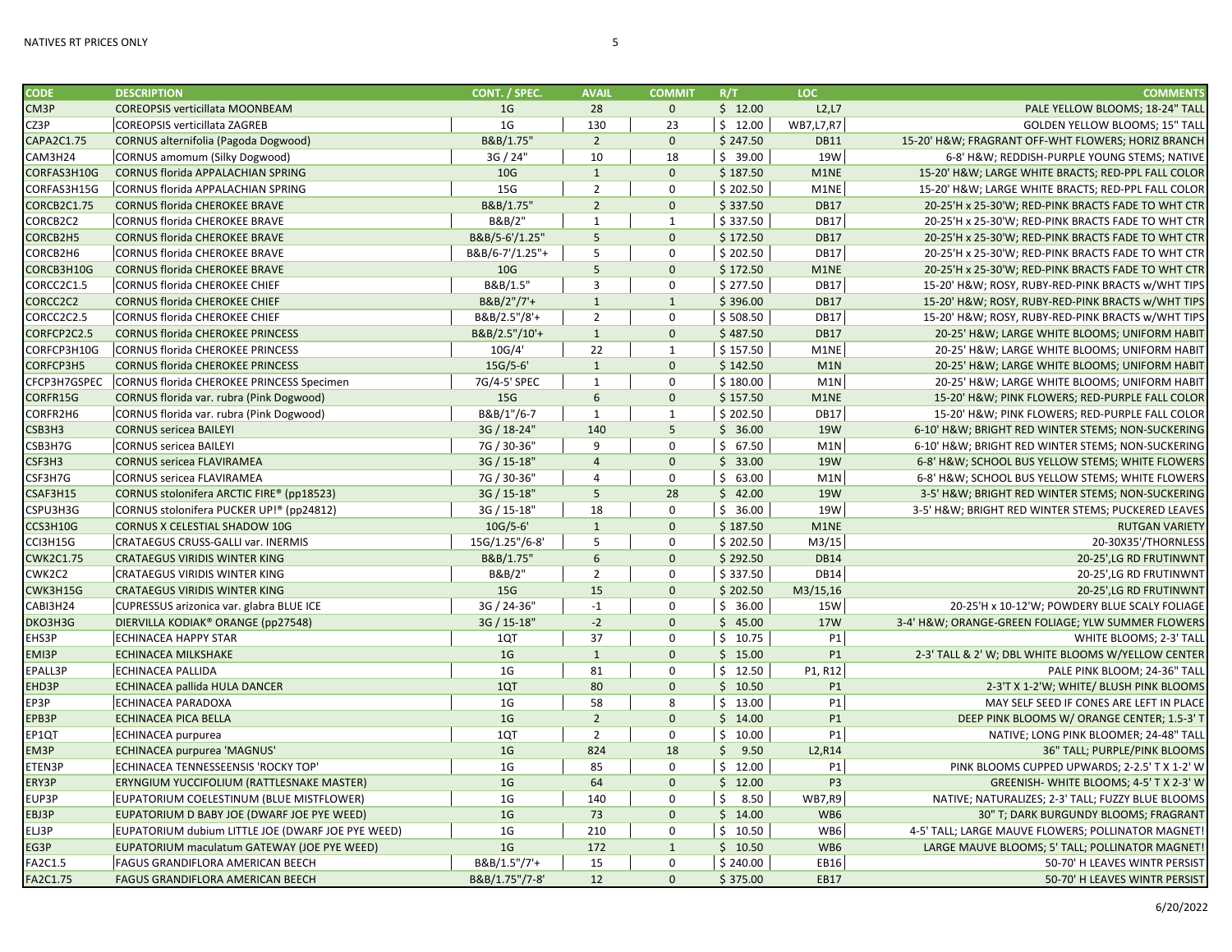| <b>CODE</b>       | <b>DESCRIPTION</b>                                | CONT. / SPEC.   | <b>AVAIL</b>    | <b>COMMIT</b>  | R/T      | LOC                             | <b>COMMENTS</b>                                    |
|-------------------|---------------------------------------------------|-----------------|-----------------|----------------|----------|---------------------------------|----------------------------------------------------|
| CM <sub>3</sub> P | <b>COREOPSIS verticillata MOONBEAM</b>            | 1 <sub>G</sub>  | 28              | $\mathbf{0}$   | \$12.00  | L2, L7                          | PALE YELLOW BLOOMS; 18-24" TALI                    |
| CZ3P              | <b>COREOPSIS verticillata ZAGREB</b>              | 1 <sub>G</sub>  | 130             | 23             | \$12.00  | WB7,L7,R7                       | <b>GOLDEN YELLOW BLOOMS; 15" TALI</b>              |
| CAPA2C1.75        | <b>CORNUS alternifolia (Pagoda Dogwood)</b>       | B&B/1.75"       | $2^{\circ}$     | $\Omega$       | \$247.50 | <b>DB11</b>                     | 15-20' H&W FRAGRANT OFF-WHT FLOWERS; HORIZ BRANCH  |
| CAM3H24           | CORNUS amomum (Silky Dogwood)                     | 3G / 24"        | 10              | 18             | \$39.00  | 19W                             | 6-8' H&W REDDISH-PURPLE YOUNG STEMS; NATIVE        |
| CORFAS3H10G       | CORNUS florida APPALACHIAN SPRING                 | 10 <sub>G</sub> | $\mathbf{1}$    | $\mathbf{0}$   | \$187.50 | M1NE                            | 15-20' H&W LARGE WHITE BRACTS; RED-PPL FALL COLOR  |
| CORFAS3H15G       | CORNUS florida APPALACHIAN SPRING                 | 15G             | $\overline{2}$  | $\mathbf 0$    | \$202.50 | M1NE                            | 15-20' H&W LARGE WHITE BRACTS; RED-PPL FALL COLOR  |
| CORCB2C1.75       | <b>CORNUS florida CHEROKEE BRAVE</b>              | B&B/1.75"       | $2^{\circ}$     | $\mathbf{0}$   | \$337.50 | <b>DB17</b>                     | 20-25'H x 25-30'W; RED-PINK BRACTS FADE TO WHT CTR |
| CORCB2C2          | <b>CORNUS florida CHEROKEE BRAVE</b>              | B&B/2"          | $\mathbf{1}$    | $\mathbf{1}$   | \$337.50 | <b>DB17</b>                     | 20-25'H x 25-30'W; RED-PINK BRACTS FADE TO WHT CTR |
| CORCB2H5          | <b>CORNUS florida CHEROKEE BRAVE</b>              | B&B/5-6'/1.25"  | $5\phantom{.0}$ | $\mathbf{0}$   | \$172.50 | <b>DB17</b>                     | 20-25'H x 25-30'W; RED-PINK BRACTS FADE TO WHT CTR |
| CORCB2H6          | CORNUS florida CHEROKEE BRAVE                     | B&B/6-7'/1.25"+ | 5               | $\mathbf 0$    | \$202.50 | <b>DB17</b>                     | 20-25'H x 25-30'W; RED-PINK BRACTS FADE TO WHT CTR |
| CORCB3H10G        | <b>CORNUS florida CHEROKEE BRAVE</b>              | 10 <sub>G</sub> | $5\phantom{.0}$ | $\Omega$       | \$172.50 | M1NE                            | 20-25'H x 25-30'W; RED-PINK BRACTS FADE TO WHT CTR |
| CORCC2C1.5        | <b>CORNUS florida CHEROKEE CHIEF</b>              | B&B/1.5"        | 3               | $\Omega$       | \$277.50 | <b>DB17</b>                     | 15-20' H&W ROSY, RUBY-RED-PINK BRACTS w/WHT TIPS   |
| CORCC2C2          | <b>CORNUS florida CHEROKEE CHIEF</b>              | B&B/2"/7'+      | $\mathbf{1}$    | $\mathbf{1}$   | \$396.00 | <b>DB17</b>                     | 15-20' H&W ROSY, RUBY-RED-PINK BRACTS w/WHT TIPS   |
| CORCC2C2.5        | <b>CORNUS florida CHEROKEE CHIEF</b>              | B&B/2.5"/8'+    | $\overline{2}$  | $\mathbf 0$    | \$508.50 | <b>DB17</b>                     | 15-20' H&W ROSY, RUBY-RED-PINK BRACTS w/WHT TIPS   |
| CORFCP2C2.5       | <b>CORNUS florida CHEROKEE PRINCESS</b>           | B&B/2.5"/10'+   | $\mathbf{1}$    | $\mathbf{0}$   | \$487.50 | <b>DB17</b>                     | 20-25' H&W LARGE WHITE BLOOMS; UNIFORM HABIT       |
| CORFCP3H10G       | CORNUS florida CHEROKEE PRINCESS                  | 10G/4'          | 22              | $\mathbf{1}$   | \$157.50 | M1NE                            | 20-25' H&W LARGE WHITE BLOOMS; UNIFORM HABIT       |
| CORFCP3H5         | <b>CORNUS florida CHEROKEE PRINCESS</b>           | $15G/5-6'$      | $\mathbf{1}$    | $\Omega$       | \$142.50 | M1N                             | 20-25' H&W LARGE WHITE BLOOMS; UNIFORM HABIT       |
| CFCP3H7GSPEC      | CORNUS florida CHEROKEE PRINCESS Specimen         | 7G/4-5' SPEC    | $\mathbf{1}$    | $\Omega$       | \$180.00 | M1N                             | 20-25' H&W LARGE WHITE BLOOMS; UNIFORM HABIT       |
| CORFR15G          | CORNUS florida var. rubra (Pink Dogwood)          | 15G             | 6               | $\mathbf{0}$   | \$157.50 | M1NE                            | 15-20' H&W PINK FLOWERS; RED-PURPLE FALL COLOR     |
| CORFR2H6          | CORNUS florida var. rubra (Pink Dogwood)          | B&B/1"/6-7      | $\mathbf{1}$    | 1              | \$202.50 | <b>DB17</b>                     | 15-20' H&W PINK FLOWERS; RED-PURPLE FALL COLOR     |
| CSB3H3            | <b>CORNUS sericea BAILEYI</b>                     | 3G / 18-24"     | 140             | 5 <sup>5</sup> | \$36.00  | <b>19W</b>                      | 6-10' H&W BRIGHT RED WINTER STEMS; NON-SUCKERING   |
| CSB3H7G           | CORNUS sericea BAILEYI                            | 7G / 30-36"     | 9               | $\mathbf 0$    | \$67.50  | M1N                             | 6-10' H&W BRIGHT RED WINTER STEMS; NON-SUCKERING   |
| CSF3H3            | <b>CORNUS sericea FLAVIRAMEA</b>                  | 3G / 15-18"     | $\overline{4}$  | $\mathbf{0}$   | \$33.00  | <b>19W</b>                      | 6-8' H&W SCHOOL BUS YELLOW STEMS; WHITE FLOWERS    |
| CSF3H7G           | <b>CORNUS sericea FLAVIRAMEA</b>                  | 7G / 30-36"     | $\overline{4}$  | $\mathbf 0$    | \$63.00  | M1N                             | 6-8' H&W SCHOOL BUS YELLOW STEMS; WHITE FLOWERS    |
| CSAF3H15          | CORNUS stolonifera ARCTIC FIRE® (pp18523)         | 3G / 15-18"     | 5               | 28             | \$42.00  | <b>19W</b>                      | 3-5' H&W BRIGHT RED WINTER STEMS; NON-SUCKERING    |
| CSPU3H3G          | CORNUS stolonifera PUCKER UP!® (pp24812)          | 3G / 15-18"     | 18              | $\mathbf 0$    | \$36.00  | 19W                             | 3-5' H&W BRIGHT RED WINTER STEMS; PUCKERED LEAVES  |
| CCS3H10G          | <b>CORNUS X CELESTIAL SHADOW 10G</b>              | $10G/5-6'$      | $\mathbf{1}$    | $\Omega$       | \$187.50 | M1NE                            | <b>RUTGAN VARIETY</b>                              |
| CCI3H15G          | <b>CRATAEGUS CRUSS-GALLI var. INERMIS</b>         | 15G/1.25"/6-8'  | 5               | $\mathbf 0$    | \$202.50 | M3/15                           | 20-30X35'/THORNLESS                                |
| <b>CWK2C1.75</b>  | <b>CRATAEGUS VIRIDIS WINTER KING</b>              | B&B/1.75"       | 6               | $\mathbf{0}$   | \$292.50 | <b>DB14</b>                     | 20-25',LG RD FRUTINWNT                             |
| CWK2C2            | <b>CRATAEGUS VIRIDIS WINTER KING</b>              | B&B/2'          | $\overline{2}$  | $\mathbf 0$    | \$337.50 | <b>DB14</b>                     | 20-25',LG RD FRUTINWNT                             |
| CWK3H15G          | <b>CRATAEGUS VIRIDIS WINTER KING</b>              | 15G             | 15              | $\mathbf{0}$   | \$202.50 | M3/15,16                        | 20-25',LG RD FRUTINWNT                             |
| CABI3H24          | CUPRESSUS arizonica var. glabra BLUE ICE          | 3G / 24-36'     | $-1$            | $\Omega$       | \$36.00  | 15W                             | 20-25'H x 10-12'W; POWDERY BLUE SCALY FOLIAGE      |
| DKO3H3G           | DIERVILLA KODIAK® ORANGE (pp27548)                | 3G / 15-18"     | $-2$            | $\Omega$       | \$45.00  | <b>17W</b>                      | 3-4' H&W ORANGE-GREEN FOLIAGE; YLW SUMMER FLOWERS  |
| EHS3P             | <b>ECHINACEA HAPPY STAR</b>                       | 1QT             | 37              | $\Omega$       | \$10.75  | <b>P1</b>                       | WHITE BLOOMS; 2-3' TALI                            |
| EMI3P             | <b>ECHINACEA MILKSHAKE</b>                        | 1 <sub>G</sub>  | $\mathbf{1}$    | $\mathbf{0}$   | \$15.00  | P1                              | 2-3' TALL & 2' W; DBL WHITE BLOOMS W/YELLOW CENTER |
| EPALL3P           | <b>ECHINACEA PALLIDA</b>                          | 1 <sub>G</sub>  | 81              | $\mathbf 0$    | \$12.50  | P1, R12                         | PALE PINK BLOOM; 24-36" TALI                       |
| EHD3P             | ECHINACEA pallida HULA DANCER                     | 1QT             | 80              | $\mathbf{0}$   | \$10.50  | <b>P1</b>                       | 2-3'T X 1-2'W; WHITE/ BLUSH PINK BLOOMS            |
| EP3P              | <b>ECHINACEA PARADOXA</b>                         | 1 <sub>G</sub>  | 58              | 8              | \$13.00  | P1                              | MAY SELF SEED IF CONES ARE LEFT IN PLACE           |
| EPB3P             | <b>ECHINACEA PICA BELLA</b>                       | 1 <sub>G</sub>  | $\overline{2}$  | $\mathbf{0}$   | \$14.00  | P1                              | DEEP PINK BLOOMS W/ ORANGE CENTER; 1.5-3' T        |
| EP1QT             | <b>ECHINACEA</b> purpurea                         | 1QT             | $\overline{2}$  | $\mathbf 0$    | \$10.00  | <b>P1</b>                       | NATIVE; LONG PINK BLOOMER; 24-48" TALI             |
| EM3P              | <b>ECHINACEA purpurea 'MAGNUS'</b>                | 1 <sub>G</sub>  | 824             | 18             | \$9.50   | L <sub>2</sub> ,R <sub>14</sub> | 36" TALL; PURPLE/PINK BLOOMS                       |
| ETEN3P            | ECHINACEA TENNESSEENSIS 'ROCKY TOP'               | 1 <sub>G</sub>  | 85              | $\Omega$       | \$12.00  | P1                              | PINK BLOOMS CUPPED UPWARDS; 2-2.5' T X 1-2' W      |
| ERY3P             | ERYNGIUM YUCCIFOLIUM (RATTLESNAKE MASTER)         | 1 <sub>G</sub>  | 64              | $\Omega$       | \$12.00  | P <sub>3</sub>                  | GREENISH- WHITE BLOOMS; 4-5' T X 2-3' W            |
| EUP3P             | EUPATORIUM COELESTINUM (BLUE MISTFLOWER)          | 1 <sub>G</sub>  | 140             | $\mathbf 0$    | \$8.50   | <b>WB7,R9</b>                   | NATIVE; NATURALIZES; 2-3' TALL; FUZZY BLUE BLOOMS  |
| EBJ3P             | EUPATORIUM D BABY JOE (DWARF JOE PYE WEED)        | 1 <sub>G</sub>  | 73              | $\Omega$       | \$14.00  | WB6                             | 30" T; DARK BURGUNDY BLOOMS; FRAGRANT              |
| ELJ3P             | EUPATORIUM dubium LITTLE JOE (DWARF JOE PYE WEED) | 1 <sub>G</sub>  | 210             | $\mathbf 0$    | \$10.50  | WB6                             | 4-5' TALL; LARGE MAUVE FLOWERS; POLLINATOR MAGNET  |
| EG3P              | EUPATORIUM maculatum GATEWAY (JOE PYE WEED)       | 1 <sub>G</sub>  | 172             | $\mathbf{1}$   | \$10.50  | WB6                             | LARGE MAUVE BLOOMS; 5' TALL; POLLINATOR MAGNET     |
| FA2C1.5           | <b>FAGUS GRANDIFLORA AMERICAN BEECH</b>           | B&B/1.5"/7'+    | 15              | $\mathbf 0$    | \$240.00 | EB16                            | 50-70' H LEAVES WINTR PERSIST                      |
| FA2C1.75          | <b>FAGUS GRANDIFLORA AMERICAN BEECH</b>           | B&B/1.75"/7-8'  | 12              | $\mathbf{0}$   | \$375.00 | <b>EB17</b>                     | 50-70' H LEAVES WINTR PERSIST                      |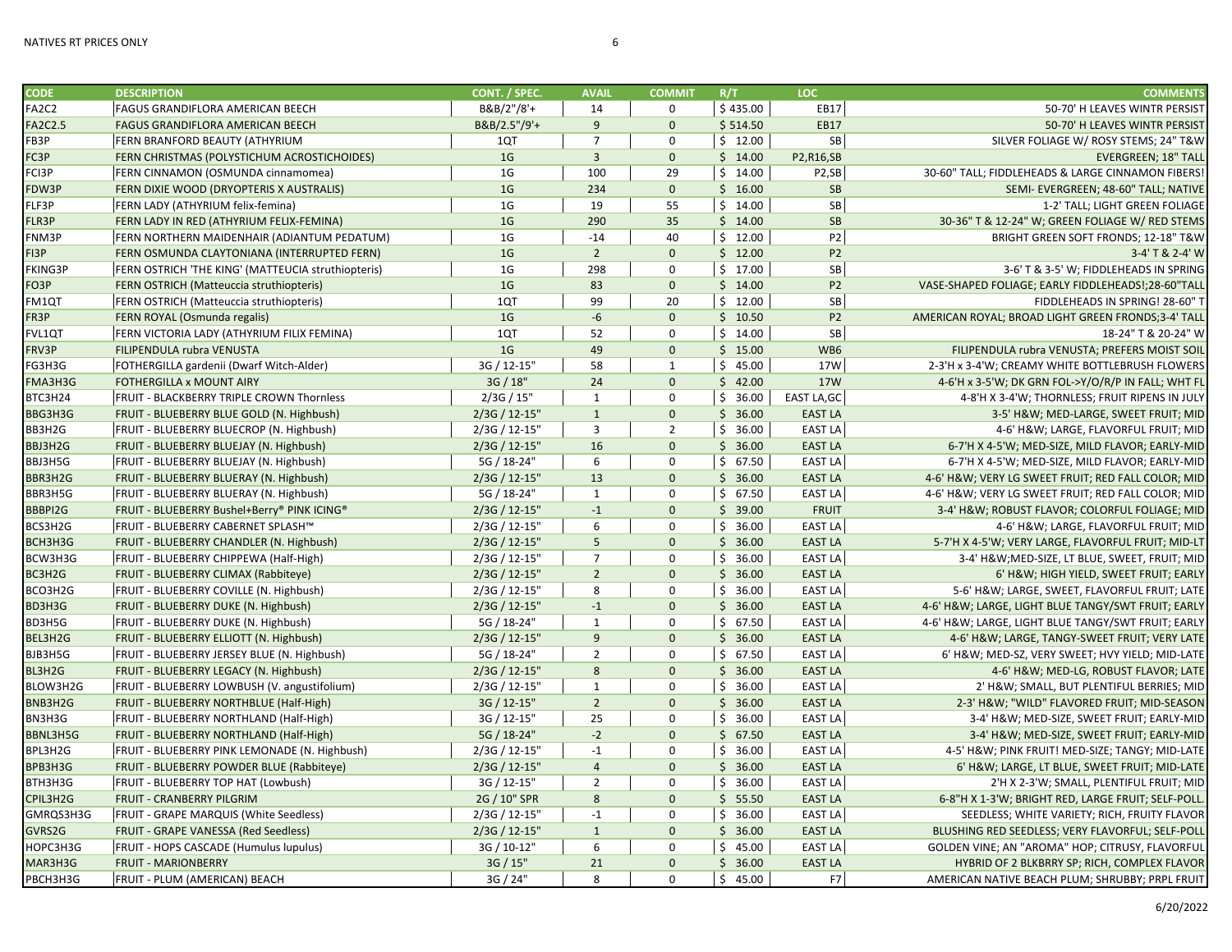| <b>CODE</b>        | <b>DESCRIPTION</b>                                 | CONT. / SPEC.  | <b>AVAIL</b>            | <b>COMMIT</b>           | R/T      | <b>LOC</b>                     | <b>COMMENTS</b>                                    |
|--------------------|----------------------------------------------------|----------------|-------------------------|-------------------------|----------|--------------------------------|----------------------------------------------------|
| FA2C2              | <b>FAGUS GRANDIFLORA AMERICAN BEECH</b>            | B&B/2"/8'+     | 14                      | $\mathbf 0$             | \$435.00 | EB17                           | 50-70' H LEAVES WINTR PERSIST                      |
| <b>FA2C2.5</b>     | FAGUS GRANDIFLORA AMERICAN BEECH                   | B&B/2.5"/9'+   | 9                       | $\mathbf{0}$            | \$514.50 | <b>EB17</b>                    | 50-70' H LEAVES WINTR PERSIST                      |
| FB3P               | FERN BRANFORD BEAUTY (ATHYRIUM                     | 1QT            | $\overline{7}$          | $\mathbf 0$             | \$12.00  | SB                             | SILVER FOLIAGE W/ ROSY STEMS; 24" T&W              |
| FC3P               | FERN CHRISTMAS (POLYSTICHUM ACROSTICHOIDES)        | 1 <sub>G</sub> | $\overline{\mathbf{3}}$ | $\mathbf 0$             | \$14.00  | P2,R16,SB                      | <b>EVERGREEN; 18" TALL</b>                         |
| FCI3P              | FERN CINNAMON (OSMUNDA cinnamomea)                 | 1G             | 100                     | 29                      | \$14.00  | P <sub>2</sub> ,SB             | 30-60" TALL; FIDDLEHEADS & LARGE CINNAMON FIBERS!  |
| FDW3P              | FERN DIXIE WOOD (DRYOPTERIS X AUSTRALIS)           | 1 <sub>G</sub> | 234                     | $\mathbf{0}$            | \$16.00  | <b>SB</b>                      | SEMI- EVERGREEN; 48-60" TALL; NATIVE               |
| FLF3P              | FERN LADY (ATHYRIUM felix-femina)                  | 1G             | 19                      | 55                      | \$14.00  | SB                             | 1-2' TALL; LIGHT GREEN FOLIAGE                     |
| FLR3P              | FERN LADY IN RED (ATHYRIUM FELIX-FEMINA)           | 1 <sub>G</sub> | 290                     | 35                      | \$14.00  | <b>SB</b>                      | 30-36" T & 12-24" W; GREEN FOLIAGE W/ RED STEMS    |
| FNM3P              | FERN NORTHERN MAIDENHAIR (ADIANTUM PEDATUM)        | 1G             | $-14$                   | 40                      | \$12.00  | P <sub>2</sub>                 | BRIGHT GREEN SOFT FRONDS; 12-18" T&W               |
| FI3P               | FERN OSMUNDA CLAYTONIANA (INTERRUPTED FERN)        | 1 <sub>G</sub> | $\overline{2}$          | $\mathbf{0}$            | \$12.00  | P <sub>2</sub>                 | 3-4' T & 2-4' W                                    |
| <b>FKING3P</b>     | FERN OSTRICH 'THE KING' (MATTEUCIA struthiopteris) | 1G             | 298                     | $\mathbf 0$             | \$17.00  | SB                             | 3-6' T & 3-5' W; FIDDLEHEADS IN SPRING             |
| FO3P               | FERN OSTRICH (Matteuccia struthiopteris)           | 1 <sub>G</sub> | 83                      | $\mathbf{0}$            | \$14.00  | P <sub>2</sub>                 | VASE-SHAPED FOLIAGE; EARLY FIDDLEHEADS!;28-60"TALL |
| FM1QT              | FERN OSTRICH (Matteuccia struthiopteris)           | 1QT            | 99                      | 20                      | \$12.00  | SB                             | FIDDLEHEADS IN SPRING! 28-60" T                    |
| FR3P               | FERN ROYAL (Osmunda regalis)                       | 1 <sub>G</sub> | $-6$                    | $\mathbf{0}$            | \$10.50  | P <sub>2</sub>                 | AMERICAN ROYAL; BROAD LIGHT GREEN FRONDS;3-4' TALL |
| FVL1QT             | FERN VICTORIA LADY (ATHYRIUM FILIX FEMINA)         | 1QT            | 52                      | $\mathbf 0$             | \$14.00  | SB                             | 18-24" T & 20-24" W                                |
| FRV3P              | FILIPENDULA rubra VENUSTA                          | 1 <sub>G</sub> | 49                      | $\Omega$                | \$15.00  | WB6                            | FILIPENDULA rubra VENUSTA; PREFERS MOIST SOIL      |
| FG3H3G             | FOTHERGILLA gardenii (Dwarf Witch-Alder)           | 3G / 12-15"    | 58                      | $\mathbf{1}$            | \$45.00  | 17W                            | 2-3'H x 3-4'W; CREAMY WHITE BOTTLEBRUSH FLOWERS    |
| FMA3H3G            | FOTHERGILLA x MOUNT AIRY                           | 3G / 18"       | 24                      | $\mathbf{0}$            | \$42.00  | <b>17W</b>                     | 4-6'H x 3-5'W; DK GRN FOL->Y/O/R/P IN FALL; WHT FL |
| BTC3H24            | FRUIT - BLACKBERRY TRIPLE CROWN Thornless          | 2/3G / 15"     | 1                       | $\mathbf 0$             | \$36.00  | EAST LA, GC                    | 4-8'H X 3-4'W; THORNLESS; FRUIT RIPENS IN JULY     |
| BBG3H3G            | FRUIT - BLUEBERRY BLUE GOLD (N. Highbush)          | 2/3G / 12-15"  | $\mathbf{1}$            | $\mathbf{0}$            | \$36.00  | <b>EAST LA</b>                 | 3-5' H&W MED-LARGE, SWEET FRUIT; MID               |
| BB3H2G             | FRUIT - BLUEBERRY BLUECROP (N. Highbush)           | 2/3G / 12-15"  | 3                       | $\overline{2}$          | \$36.00  | <b>EAST LA</b>                 | 4-6' H&W LARGE, FLAVORFUL FRUIT; MID               |
| BBJ3H2G            | FRUIT - BLUEBERRY BLUEJAY (N. Highbush)            | 2/3G / 12-15"  | 16                      | $\Omega$                | \$36.00  | <b>EAST LA</b>                 | 6-7'H X 4-5'W; MED-SIZE, MILD FLAVOR; EARLY-MID    |
| BBJ3H5G            | FRUIT - BLUEBERRY BLUEJAY (N. Highbush)            | 5G / 18-24"    | 6                       | $\mathbf 0$             | \$67.50  | <b>EAST LA</b>                 | 6-7'H X 4-5'W; MED-SIZE, MILD FLAVOR; EARLY-MID    |
| BBR3H2G            | FRUIT - BLUEBERRY BLUERAY (N. Highbush)            | 2/3G / 12-15"  | 13                      | $\mathbf{0}$            | \$36.00  | <b>EAST LA</b>                 | 4-6' H&W VERY LG SWEET FRUIT; RED FALL COLOR; MID  |
|                    |                                                    |                | $\mathbf{1}$            | $\mathbf 0$             |          |                                |                                                    |
| BBR3H5G<br>BBBPI2G | FRUIT - BLUEBERRY BLUERAY (N. Highbush)            | 5G / 18-24"    | $-1$                    | $\mathbf{0}$            | \$67.50  | <b>EAST LA</b><br><b>FRUIT</b> | 4-6' H&W VERY LG SWEET FRUIT; RED FALL COLOR; MID  |
|                    | FRUIT - BLUEBERRY Bushel+Berry® PINK ICING®        | 2/3G / 12-15"  |                         |                         | \$39.00  |                                | 3-4' H&W ROBUST FLAVOR; COLORFUL FOLIAGE; MID      |
| BCS3H2G            | FRUIT - BLUEBERRY CABERNET SPLASH™                 | 2/3G / 12-15"  | 6                       | $\mathbf 0$<br>$\Omega$ | \$36.00  | <b>EAST LA</b>                 | 4-6' H&W LARGE, FLAVORFUL FRUIT; MID               |
| BCH3H3G            | FRUIT - BLUEBERRY CHANDLER (N. Highbush)           | 2/3G / 12-15"  | 5 <sup>1</sup>          |                         | \$36.00  | <b>EAST LA</b>                 | 5-7'H X 4-5'W; VERY LARGE, FLAVORFUL FRUIT; MID-LT |
| BCW3H3G            | FRUIT - BLUEBERRY CHIPPEWA (Half-High)             | 2/3G / 12-15"  | $\overline{7}$          | $\mathbf 0$             | \$36.00  | <b>EAST LA</b>                 | 3-4' H&WMED-SIZE, LT BLUE, SWEET, FRUIT; MID       |
| BC3H2G             | FRUIT - BLUEBERRY CLIMAX (Rabbiteye)               | 2/3G / 12-15"  | $\overline{2}$          | $\mathbf{0}$            | \$36.00  | <b>EAST LA</b>                 | 6' H&W HIGH YIELD, SWEET FRUIT; EARLY              |
| BCO3H2G            | FRUIT - BLUEBERRY COVILLE (N. Highbush)            | 2/3G / 12-15"  | 8                       | $\mathbf 0$             | \$36.00  | <b>EAST LA</b>                 | 5-6' H&W LARGE, SWEET, FLAVORFUL FRUIT; LATE       |
| BD3H3G             | FRUIT - BLUEBERRY DUKE (N. Highbush)               | 2/3G / 12-15"  | $-1$                    | $\mathbf{0}$            | \$36.00  | <b>EAST LA</b>                 | 4-6' H&W LARGE, LIGHT BLUE TANGY/SWT FRUIT; EARLY  |
| BD3H5G             | FRUIT - BLUEBERRY DUKE (N. Highbush)               | 5G / 18-24"    | 1                       | $\mathbf 0$             | \$67.50  | <b>EAST LA</b>                 | 4-6' H&W LARGE, LIGHT BLUE TANGY/SWT FRUIT; EARLY  |
| BEL3H2G            | FRUIT - BLUEBERRY ELLIOTT (N. Highbush)            | 2/3G / 12-15"  | $\overline{9}$          | $\mathbf{0}$            | \$36.00  | <b>EAST LA</b>                 | 4-6' H&W LARGE, TANGY-SWEET FRUIT; VERY LATE       |
| BJB3H5G            | FRUIT - BLUEBERRY JERSEY BLUE (N. Highbush)        | 5G / 18-24"    | $\overline{2}$          | $\mathbf 0$             | \$67.50  | <b>EAST LA</b>                 | 6' H&W MED-SZ, VERY SWEET; HVY YIELD; MID-LATE     |
| BL3H2G             | FRUIT - BLUEBERRY LEGACY (N. Highbush)             | 2/3G / 12-15"  | 8                       | $\mathbf 0$             | \$36.00  | <b>EAST LA</b>                 | 4-6' H&W MED-LG, ROBUST FLAVOR; LATE               |
| BLOW3H2G           | FRUIT - BLUEBERRY LOWBUSH (V. angustifolium)       | 2/3G / 12-15"  | $\mathbf{1}$            | $\mathbf 0$             | \$36.00  | <b>EAST LA</b>                 | 2' H&W SMALL, BUT PLENTIFUL BERRIES; MID           |
| BNB3H2G            | FRUIT - BLUEBERRY NORTHBLUE (Half-High)            | 3G / 12-15"    | $\overline{2}$          | $\mathbf{0}$            | \$36.00  | <b>EAST LA</b>                 | 2-3' H&W "WILD" FLAVORED FRUIT; MID-SEASON         |
| BN3H3G             | FRUIT - BLUEBERRY NORTHLAND (Half-High)            | 3G / 12-15"    | 25                      | $\mathbf 0$             | \$36.00  | <b>EAST LA</b>                 | 3-4' H&W MED-SIZE, SWEET FRUIT; EARLY-MID          |
| BBNL3H5G           | FRUIT - BLUEBERRY NORTHLAND (Half-High)            | 5G / 18-24"    | $-2$                    | $\mathbf{0}$            | \$67.50  | <b>EAST LA</b>                 | 3-4' H&W MED-SIZE, SWEET FRUIT; EARLY-MID          |
| BPL3H2G            | FRUIT - BLUEBERRY PINK LEMONADE (N. Highbush)      | 2/3G / 12-15"  | $-1$                    | $\mathbf 0$             | \$36.00  | <b>EAST LA</b>                 | 4-5' H&W PINK FRUIT! MED-SIZE; TANGY; MID-LATE     |
| BPB3H3G            | FRUIT - BLUEBERRY POWDER BLUE (Rabbiteye)          | 2/3G / 12-15"  | $\overline{4}$          | $\mathbf 0$             | \$36.00  | <b>EAST LA</b>                 | 6' H&W LARGE, LT BLUE, SWEET FRUIT; MID-LATE       |
| BTH3H3G            | FRUIT - BLUEBERRY TOP HAT (Lowbush)                | 3G / 12-15"    | $\overline{2}$          | $\mathbf 0$             | \$36.00  | <b>EAST LA</b>                 | 2'H X 2-3'W; SMALL, PLENTIFUL FRUIT; MID           |
| CPIL3H2G           | FRUIT - CRANBERRY PILGRIM                          | 2G / 10" SPR   | 8                       | $\mathbf{0}$            | \$55.50  | <b>EAST LA</b>                 | 6-8"H X 1-3'W; BRIGHT RED, LARGE FRUIT; SELF-POLL. |
| GMRQS3H3G          | <b>FRUIT - GRAPE MARQUIS (White Seedless)</b>      | 2/3G / 12-15"  | $-1$                    | 0                       | \$36.00  | <b>EAST LA</b>                 | SEEDLESS; WHITE VARIETY; RICH, FRUITY FLAVOR       |
| GVRS2G             | FRUIT - GRAPE VANESSA (Red Seedless)               | 2/3G / 12-15"  | $\mathbf{1}$            | $\mathbf{0}$            | \$36.00  | <b>EAST LA</b>                 | BLUSHING RED SEEDLESS; VERY FLAVORFUL; SELF-POLL   |
| HOPC3H3G           | <b>FRUIT - HOPS CASCADE (Humulus lupulus)</b>      | 3G / 10-12"    | 6                       | $\mathbf 0$             | \$45.00  | <b>EAST LA</b>                 | GOLDEN VINE; AN "AROMA" HOP; CITRUSY, FLAVORFUL    |
| MAR3H3G            | <b>FRUIT - MARIONBERRY</b>                         | 3G / 15"       | 21                      | $\mathbf{0}$            | \$36.00  | <b>EAST LA</b>                 | HYBRID OF 2 BLKBRRY SP; RICH, COMPLEX FLAVOR       |
| PBCH3H3G           | FRUIT - PLUM (AMERICAN) BEACH                      | 3G / 24"       | 8                       | $\mathbf 0$             | \$45.00  | F7                             | AMERICAN NATIVE BEACH PLUM; SHRUBBY; PRPL FRUIT    |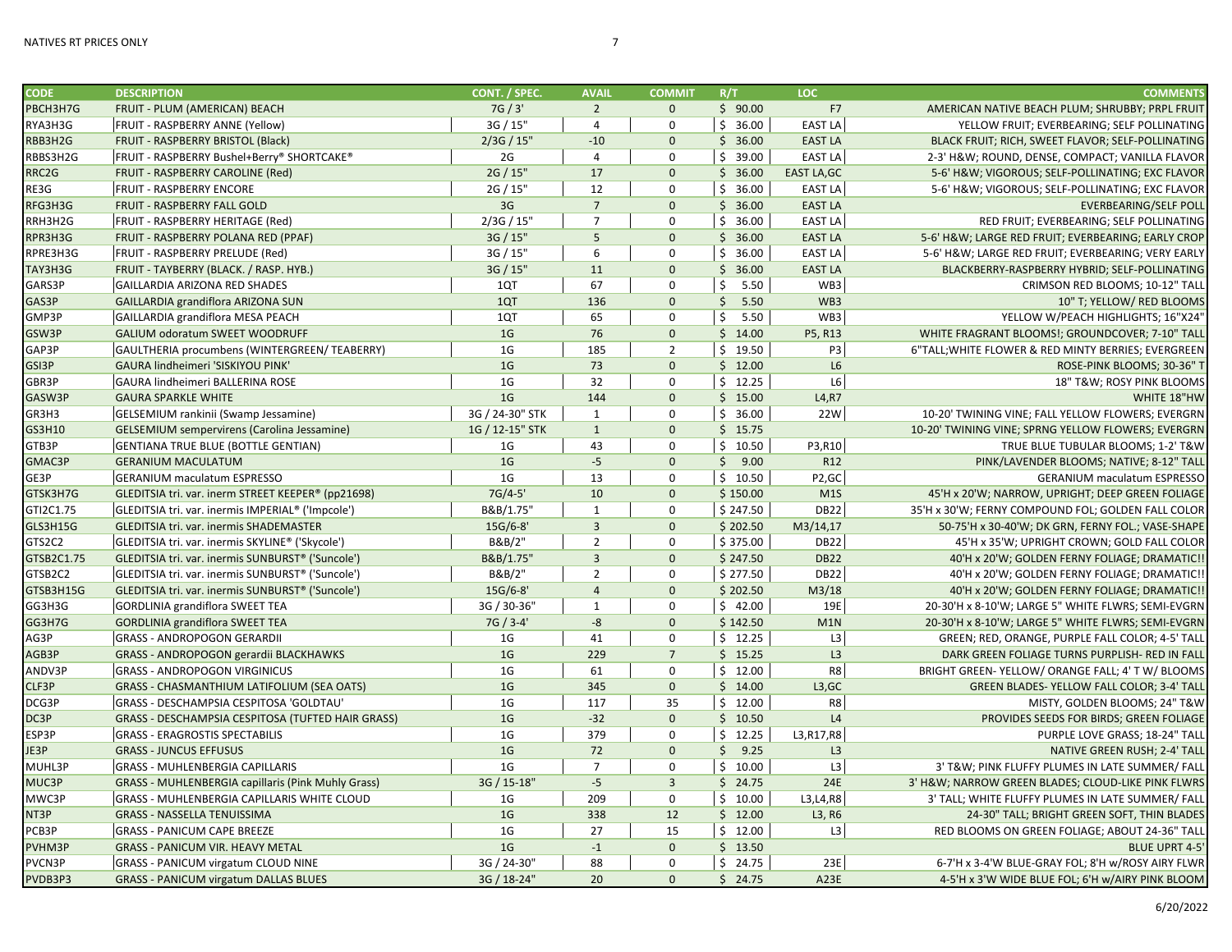| <b>CODE</b> | <b>DESCRIPTION</b>                                        | CONT. / SPEC.   | <b>AVAIL</b>         | <b>COMMIT</b>  | R/T                  | <b>LOC</b>         | <b>COMMENTS</b>                                     |
|-------------|-----------------------------------------------------------|-----------------|----------------------|----------------|----------------------|--------------------|-----------------------------------------------------|
| PBCH3H7G    | FRUIT - PLUM (AMERICAN) BEACH                             | 7G / 3'         | $\overline{2}$       | $\mathbf{0}$   | \$90.00              | <b>F7</b>          | AMERICAN NATIVE BEACH PLUM; SHRUBBY; PRPL FRUIT     |
| RYA3H3G     | FRUIT - RASPBERRY ANNE (Yellow)                           | 3G / 15"        | 4                    | $\mathbf 0$    | \$36.00              | <b>EAST LA</b>     | YELLOW FRUIT; EVERBEARING; SELF POLLINATING         |
| RBB3H2G     | FRUIT - RASPBERRY BRISTOL (Black)                         | 2/3G / 15"      | $-10$                | $\Omega$       | \$36.00              | <b>EAST LA</b>     | BLACK FRUIT; RICH, SWEET FLAVOR; SELF-POLLINATING   |
| RBBS3H2G    | FRUIT - RASPBERRY Bushel+Berry® SHORTCAKE®                | 2G              | $\overline{4}$       | $\Omega$       | \$39.00              | <b>EAST LA</b>     | 2-3' H&W ROUND, DENSE, COMPACT; VANILLA FLAVOR      |
| RRC2G       | FRUIT - RASPBERRY CAROLINE (Red)                          | 2G / 15"        | 17                   | $\mathbf{0}$   | \$36.00              | <b>EAST LA, GC</b> | 5-6' H&W VIGOROUS; SELF-POLLINATING; EXC FLAVOR     |
| RE3G        | <b>FRUIT - RASPBERRY ENCORE</b>                           | 2G / 15"        | 12                   | $\mathbf 0$    | \$36.00              | <b>EAST LA</b>     | 5-6' H&W VIGOROUS; SELF-POLLINATING; EXC FLAVOR     |
| RFG3H3G     | FRUIT - RASPBERRY FALL GOLD                               | 3G              | $7\overline{ }$      | $\Omega$       | \$36.00              | <b>EAST LA</b>     | <b>EVERBEARING/SELF POLL</b>                        |
| RRH3H2G     | FRUIT - RASPBERRY HERITAGE (Red)                          | 2/3G / 15"      | $\overline{7}$       | $\Omega$       | \$36.00              | <b>EAST LA</b>     | RED FRUIT; EVERBEARING; SELF POLLINATING            |
| RPR3H3G     | FRUIT - RASPBERRY POLANA RED (PPAF)                       | 3G / 15"        | 5                    | $\mathbf{0}$   | \$36.00              | <b>EAST LA</b>     | 5-6' H&W LARGE RED FRUIT; EVERBEARING; EARLY CROP   |
| RPRE3H3G    | FRUIT - RASPBERRY PRELUDE (Red)                           | 3G / 15"        | 6                    | $\mathbf 0$    | \$36.00              | <b>EAST LA</b>     | 5-6' H&W LARGE RED FRUIT; EVERBEARING; VERY EARLY   |
| TAY3H3G     | FRUIT - TAYBERRY (BLACK. / RASP. HYB.)                    | 3G / 15"        | 11                   | $\mathbf 0$    | \$36.00              | <b>EAST LA</b>     | BLACKBERRY-RASPBERRY HYBRID; SELF-POLLINATING       |
| GARS3P      | <b>GAILLARDIA ARIZONA RED SHADES</b>                      | 1QT             | 67                   | $\Omega$       | \$<br>5.50           | WB3                | CRIMSON RED BLOOMS; 10-12" TALL                     |
| GAS3P       | GAILLARDIA grandiflora ARIZONA SUN                        | 1QT             | 136                  | $\mathbf{0}$   | $\mathsf{S}$<br>5.50 | WB3                | 10" T; YELLOW/ RED BLOOMS                           |
| GMP3P       | GAILLARDIA grandiflora MESA PEACH                         | 1QT             | 65                   | $\mathbf 0$    | \$<br>5.50           | WB3                | YELLOW W/PEACH HIGHLIGHTS; 16"X24"                  |
| GSW3P       | GALIUM odoratum SWEET WOODRUFF                            | 1 <sub>G</sub>  | 76                   | $\mathbf 0$    | \$14.00              | P5, R13            | WHITE FRAGRANT BLOOMS!; GROUNDCOVER; 7-10" TALL     |
| GAP3P       | GAULTHERIA procumbens (WINTERGREEN/ TEABERRY)             | 1 <sub>G</sub>  | 185                  | $\overline{2}$ | \$19.50              | P <sub>3</sub>     | 6"TALL; WHITE FLOWER & RED MINTY BERRIES; EVERGREEN |
| GSI3P       | GAURA lindheimeri 'SISKIYOU PINK'                         | 1 <sub>G</sub>  | 73                   | $\mathbf{0}$   | \$12.00              | L6                 | ROSE-PINK BLOOMS; 30-36" T                          |
| GBR3P       | GAURA lindheimeri BALLERINA ROSE                          | 1 <sub>G</sub>  | 32                   | $\mathbf 0$    | \$12.25              | $\mathsf{L6}$      | 18" T&W ROSY PINK BLOOMS                            |
| GASW3P      | <b>GAURA SPARKLE WHITE</b>                                | 1 <sub>G</sub>  | 144                  | $\mathbf{0}$   | \$15.00              | L4, R7             | WHITE 18"HW                                         |
| GR3H3       | GELSEMIUM rankinii (Swamp Jessamine)                      | 3G / 24-30" STK | 1                    | $\mathbf 0$    | \$36.00              | 22W                | 10-20' TWINING VINE; FALL YELLOW FLOWERS; EVERGRN   |
| GS3H10      | <b>GELSEMIUM sempervirens (Carolina Jessamine)</b>        | 1G / 12-15" STK | $\mathbf{1}$         | $\mathbf{0}$   | \$15.75              |                    | 10-20' TWINING VINE; SPRNG YELLOW FLOWERS; EVERGRN  |
| GTB3P       | <b>GENTIANA TRUE BLUE (BOTTLE GENTIAN)</b>                | 1G              | 43                   | $\mathbf 0$    | \$10.50              | P3,R10             | TRUE BLUE TUBULAR BLOOMS; 1-2' T&W                  |
| GMAC3P      | <b>GERANIUM MACULATUM</b>                                 | 1 <sub>G</sub>  | $-5$                 | $\Omega$       | \$9.00               | R12                | PINK/LAVENDER BLOOMS; NATIVE; 8-12" TALL            |
| GE3P        | <b>GERANIUM maculatum ESPRESSO</b>                        | 1 <sub>G</sub>  | 13                   | $\mathbf 0$    | \$10.50              | P <sub>2</sub> ,GC | <b>GERANIUM maculatum ESPRESSO</b>                  |
| GTSK3H7G    | GLEDITSIA tri. var. inerm STREET KEEPER® (pp21698)        | 7G/4-5'         | 10                   | $\Omega$       | \$150.00             | M1S                | 45'H x 20'W; NARROW, UPRIGHT; DEEP GREEN FOLIAGE    |
| GTI2C1.75   | GLEDITSIA tri. var. inermis IMPERIAL® ('Impcole')         | B&B/1.75"       | $\mathbf{1}$         | $\mathbf 0$    | \$247.50             | <b>DB22</b>        | 35'H x 30'W; FERNY COMPOUND FOL; GOLDEN FALL COLOR  |
| GLS3H15G    | GLEDITSIA tri. var. inermis SHADEMASTER                   | 15G/6-8'        | $\overline{3}$       | $\Omega$       | \$202.50             | M3/14,17           | 50-75'H x 30-40'W; DK GRN, FERNY FOL.; VASE-SHAPE   |
| GTS2C2      | GLEDITSIA tri. var. inermis SKYLINE® ('Skycole')          | B&B/2"          | $\overline{2}$       | $\mathbf 0$    | \$375.00             | <b>DB22</b>        | 45'H x 35'W; UPRIGHT CROWN; GOLD FALL COLOR         |
| GTSB2C1.75  | GLEDITSIA tri. var. inermis SUNBURST® ('Suncole')         | B&B/1.75"       | $\overline{3}$       | $\mathbf{0}$   | \$247.50             | <b>DB22</b>        | 40'H x 20'W; GOLDEN FERNY FOLIAGE; DRAMATIC!!       |
| GTSB2C2     | GLEDITSIA tri. var. inermis SUNBURST® ('Suncole')         | B&B/2"          | $\overline{2}$       | $\mathbf 0$    | \$277.50             | <b>DB22</b>        | 40'H x 20'W; GOLDEN FERNY FOLIAGE; DRAMATIC!!       |
| GTSB3H15G   | GLEDITSIA tri. var. inermis SUNBURST® ('Suncole')         | 15G/6-8'        | $\overline{4}$       | $\Omega$       | \$202.50             | M3/18              | 40'H x 20'W; GOLDEN FERNY FOLIAGE; DRAMATIC !!      |
| GG3H3G      | <b>GORDLINIA grandiflora SWEET TEA</b>                    | 3G / 30-36'     | $\mathbf{1}$         | $\mathbf 0$    | \$42.00              | 19E                | 20-30'H x 8-10'W; LARGE 5" WHITE FLWRS; SEMI-EVGRN  |
| GG3H7G      | <b>GORDLINIA grandiflora SWEET TEA</b>                    | 7G / 3-4'       | $-8$                 | $\mathbf{0}$   | \$142.50             | M1N                | 20-30'H x 8-10'W; LARGE 5" WHITE FLWRS; SEMI-EVGRN  |
| AG3P        | <b>GRASS - ANDROPOGON GERARDII</b>                        | 1G              | 41                   | $\mathbf 0$    | \$12.25              | L <sub>3</sub>     | GREEN; RED, ORANGE, PURPLE FALL COLOR; 4-5' TALL    |
| AGB3P       | <b>GRASS - ANDROPOGON gerardii BLACKHAWKS</b>             | 1 <sub>G</sub>  | 229                  | $\overline{7}$ | \$15.25              | L3                 | DARK GREEN FOLIAGE TURNS PURPLISH- RED IN FALL      |
| ANDV3P      | <b>GRASS - ANDROPOGON VIRGINICUS</b>                      | 1G              | 61                   | $\mathbf 0$    | \$12.00              | R8                 | BRIGHT GREEN-YELLOW/ ORANGE FALL; 4' T W/ BLOOMS    |
| CLF3P       |                                                           | 1 <sub>G</sub>  |                      | $\mathbf{0}$   | \$14.00              | L3,GC              |                                                     |
|             | <b>GRASS - CHASMANTHIUM LATIFOLIUM (SEA OATS)</b>         | 1 <sub>G</sub>  | 345<br>117           | 35             |                      | R8                 | GREEN BLADES- YELLOW FALL COLOR; 3-4' TALL          |
| DCG3P       | GRASS - DESCHAMPSIA CESPITOSA 'GOLDTAU'                   | 1 <sub>G</sub>  |                      | $\Omega$       | \$12.00              |                    | MISTY, GOLDEN BLOOMS; 24" T&W                       |
| DC3P        | GRASS - DESCHAMPSIA CESPITOSA (TUFTED HAIR GRASS)         | 1 <sub>G</sub>  | $-32$                | $\mathbf 0$    | \$10.50              | L4                 | PROVIDES SEEDS FOR BIRDS; GREEN FOLIAGE             |
| ESP3P       | <b>GRASS - ERAGROSTIS SPECTABILIS</b>                     | 1 <sub>G</sub>  | 379                  |                | \$12.25              | L3, R17, R8        | PURPLE LOVE GRASS; 18-24" TALL                      |
| JE3P        | <b>GRASS - JUNCUS EFFUSUS</b>                             |                 | 72<br>$\overline{7}$ | $\mathbf{0}$   | \$9.25               | L3                 | NATIVE GREEN RUSH; 2-4' TALL                        |
| MUHL3P      | <b>GRASS - MUHLENBERGIA CAPILLARIS</b>                    | 1 <sub>G</sub>  |                      | $\mathbf 0$    | \$10.00              | L3                 | 3' T&W PINK FLUFFY PLUMES IN LATE SUMMER/ FALL      |
| MUC3P       | <b>GRASS - MUHLENBERGIA capillaris (Pink Muhly Grass)</b> | 3G / 15-18"     | $-5$                 | $\overline{3}$ | \$24.75              | 24E                | 3' H&W NARROW GREEN BLADES; CLOUD-LIKE PINK FLWRS   |
| MWC3P       | GRASS - MUHLENBERGIA CAPILLARIS WHITE CLOUD               | 1 <sub>G</sub>  | 209                  | $\mathbf 0$    | \$10.00              | L3, L4, R8         | 3' TALL; WHITE FLUFFY PLUMES IN LATE SUMMER/ FALL   |
| NT3P        | <b>GRASS - NASSELLA TENUISSIMA</b>                        | 1 <sub>G</sub>  | 338                  | 12             | \$12.00              | L3, R6             | 24-30" TALL; BRIGHT GREEN SOFT, THIN BLADES         |
| PCB3P       | <b>GRASS - PANICUM CAPE BREEZE</b>                        | 1 <sub>G</sub>  | 27                   | 15             | \$12.00              | L3                 | RED BLOOMS ON GREEN FOLIAGE; ABOUT 24-36" TALL      |
| PVHM3P      | <b>GRASS - PANICUM VIR. HEAVY METAL</b>                   | 1 <sub>G</sub>  | $-1$                 | $\Omega$       | \$13.50              |                    | <b>BLUE UPRT 4-5</b>                                |
| PVCN3P      | <b>GRASS - PANICUM virgatum CLOUD NINE</b>                | 3G / 24-30"     | 88                   | $\mathbf 0$    | \$24.75              | 23E                | 6-7'H x 3-4'W BLUE-GRAY FOL; 8'H w/ROSY AIRY FLWR   |
| PVDB3P3     | <b>GRASS - PANICUM virgatum DALLAS BLUES</b>              | 3G / 18-24"     | 20                   | $\mathbf{0}$   | \$24.75              | A23E               | 4-5'H x 3'W WIDE BLUE FOL; 6'H w/AIRY PINK BLOOM    |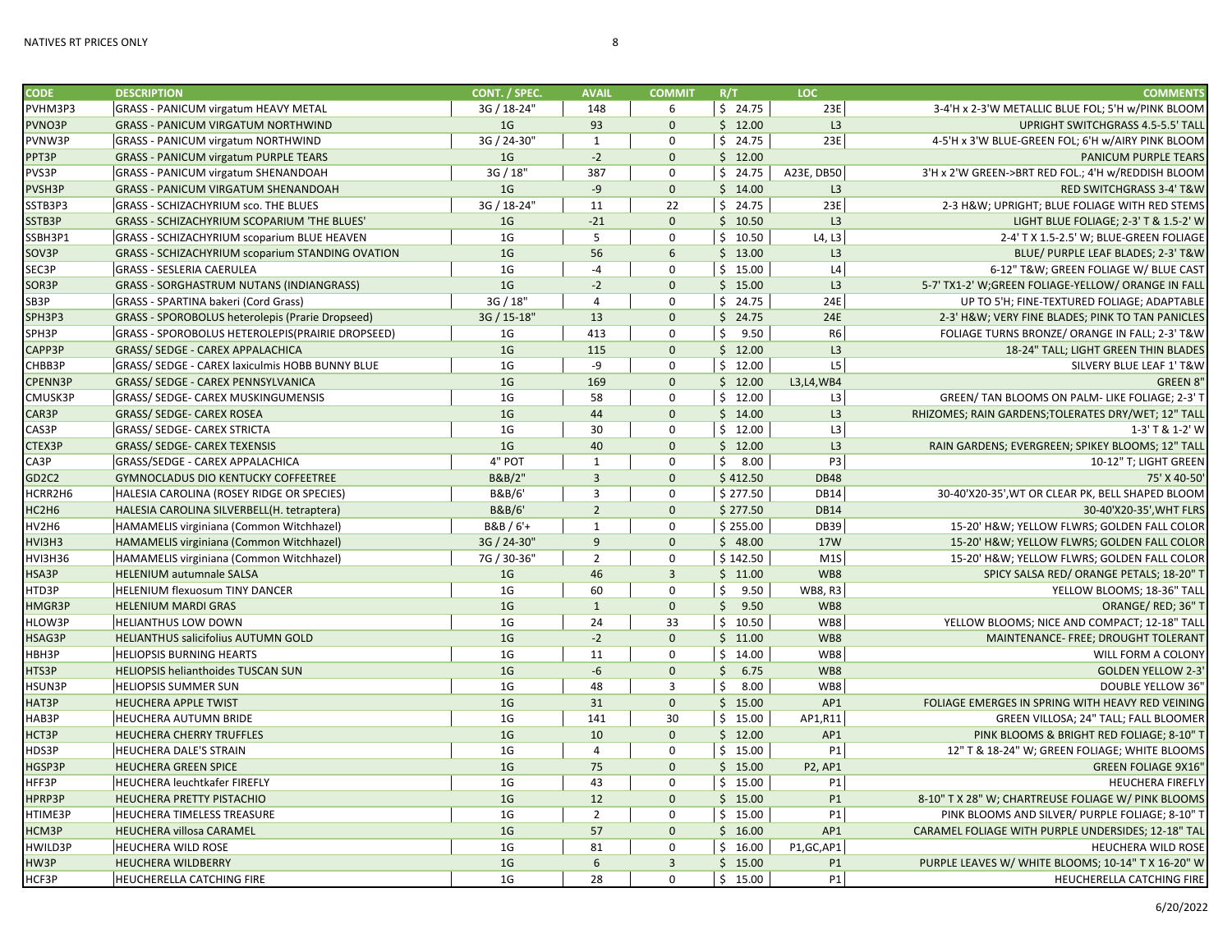| <b>CODE</b>                    | <b>DESCRIPTION</b>                                      | CONT. / SPEC.     | <b>AVAIL</b>    | <b>COMMIT</b>  | R/T        | LOC            | <b>COMMENTS</b>                                     |
|--------------------------------|---------------------------------------------------------|-------------------|-----------------|----------------|------------|----------------|-----------------------------------------------------|
| PVHM3P3                        | <b>GRASS - PANICUM virgatum HEAVY METAL</b>             | 3G / 18-24"       | 148             | 6              | \$24.75    | 23E            | 3-4'H x 2-3'W METALLIC BLUE FOL; 5'H w/PINK BLOOM   |
| PVNO3P                         | <b>GRASS - PANICUM VIRGATUM NORTHWIND</b>               | 1 <sub>G</sub>    | 93              | $\mathbf{0}$   | \$12.00    | L3             | UPRIGHT SWITCHGRASS 4.5-5.5' TALL                   |
| PVNW3P                         | <b>GRASS - PANICUM virgatum NORTHWIND</b>               | 3G / 24-30"       | $\mathbf{1}$    | $\Omega$       | \$24.75    | 23E            | 4-5'H x 3'W BLUE-GREEN FOL; 6'H w/AIRY PINK BLOOM   |
| PPT3P                          | <b>GRASS - PANICUM virgatum PURPLE TEARS</b>            | 1 <sub>G</sub>    | $-2$            | $\mathbf{0}$   | \$12.00    |                | <b>PANICUM PURPLE TEARS</b>                         |
| PVS3P                          | <b>GRASS - PANICUM virgatum SHENANDOAH</b>              | 3G / 18           | 387             | $\mathbf 0$    | \$24.75    | A23E, DB50     | 3'H x 2'W GREEN->BRT RED FOL.; 4'H w/REDDISH BLOOM  |
| PVSH3P                         | <b>GRASS - PANICUM VIRGATUM SHENANDOAH</b>              | 1 <sub>G</sub>    | $-9$            | $\mathbf{0}$   | \$14.00    | L3             | <b>RED SWITCHGRASS 3-4' T&amp;W</b>                 |
| SSTB3P3                        | <b>GRASS - SCHIZACHYRIUM sco. THE BLUES</b>             | 3G / 18-24"       | 11              | 22             | \$24.75    | 23E            | 2-3 H&W UPRIGHT; BLUE FOLIAGE WITH RED STEMS        |
| SSTB3P                         | GRASS - SCHIZACHYRIUM SCOPARIUM 'THE BLUES'             | 1 <sub>G</sub>    | $-21$           | $\Omega$       | \$10.50    | L <sub>3</sub> | LIGHT BLUE FOLIAGE; 2-3' T & 1.5-2' W               |
| SSBH3P1                        | <b>GRASS - SCHIZACHYRIUM scoparium BLUE HEAVEN</b>      | 1G                | 5               | $\mathbf 0$    | \$10.50    | L4, L3         | 2-4' T X 1.5-2.5' W; BLUE-GREEN FOLIAGE             |
| SOV3P                          | <b>GRASS - SCHIZACHYRIUM scoparium STANDING OVATION</b> | 1 <sub>G</sub>    | 56              | 6              | \$13.00    | L3             | BLUE/ PURPLE LEAF BLADES; 2-3' T&W                  |
| SEC3P                          | <b>GRASS - SESLERIA CAERULEA</b>                        | 1 <sub>G</sub>    | $-4$            | $\Omega$       | \$15.00    | L4             | 6-12" T&W GREEN FOLIAGE W/ BLUE CAST                |
| SOR3P                          | <b>GRASS - SORGHASTRUM NUTANS (INDIANGRASS)</b>         | 1 <sub>G</sub>    | $-2$            | $\mathbf{0}$   | \$15.00    | L <sub>3</sub> | 5-7' TX1-2' W;GREEN FOLIAGE-YELLOW/ ORANGE IN FALL  |
| SB3P                           | <b>GRASS - SPARTINA bakeri (Cord Grass)</b>             | 3G / 18"          | $\overline{4}$  | $\mathbf 0$    | \$24.75    | 24E            | UP TO 5'H; FINE-TEXTURED FOLIAGE; ADAPTABLE         |
| SPH3P3                         | <b>GRASS - SPOROBOLUS heterolepis (Prarie Dropseed)</b> | 3G / 15-18"       | 13              | $\mathbf{0}$   | \$24.75    | 24E            | 2-3' H&W VERY FINE BLADES; PINK TO TAN PANICLES     |
| SPH3P                          | GRASS - SPOROBOLUS HETEROLEPIS(PRAIRIE DROPSEED)        | 1 <sub>G</sub>    | 413             | $\mathbf 0$    | \$<br>9.50 | R <sub>6</sub> | FOLIAGE TURNS BRONZE/ ORANGE IN FALL; 2-3' T&W      |
| CAPP3P                         | GRASS/ SEDGE - CAREX APPALACHICA                        | 1 <sub>G</sub>    | 115             | $\Omega$       | \$12.00    | L <sub>3</sub> | 18-24" TALL; LIGHT GREEN THIN BLADES                |
| CHBB3P                         | GRASS/ SEDGE - CAREX laxiculmis HOBB BUNNY BLUE         | 1 <sub>G</sub>    | -9              | $\mathbf 0$    | \$12.00    | L5             | SILVERY BLUE LEAF 1' T&W                            |
| CPENN3P                        | GRASS/ SEDGE - CAREX PENNSYLVANICA                      | 1 <sub>G</sub>    | 169             | $\mathbf{0}$   | \$12.00    | L3, L4, WB4    | <b>GREEN 8"</b>                                     |
| CMUSK3P                        | <b>GRASS/ SEDGE- CAREX MUSKINGUMENSIS</b>               | 1 <sub>G</sub>    | 58              | $\mathbf 0$    | \$12.00    | L3             | GREEN/ TAN BLOOMS ON PALM- LIKE FOLIAGE; 2-3' T     |
| CAR3P                          | GRASS/ SEDGE- CAREX ROSEA                               | 1 <sub>G</sub>    | 44              | $\Omega$       | \$14.00    | L3             | RHIZOMES; RAIN GARDENS; TOLERATES DRY/WET; 12" TALL |
| CAS3P                          | <b>GRASS/ SEDGE- CAREX STRICTA</b>                      | 1 <sub>G</sub>    | 30              | $\mathbf 0$    | \$12.00    | L <sub>3</sub> | 1-3' T & 1-2' W                                     |
| CTEX3P                         | <b>GRASS/ SEDGE- CAREX TEXENSIS</b>                     | 1 <sub>G</sub>    | 40              | $\mathbf{0}$   | \$12.00    | L <sub>3</sub> | RAIN GARDENS; EVERGREEN; SPIKEY BLOOMS; 12" TALL    |
| CA3P                           | GRASS/SEDGE - CAREX APPALACHICA                         | 4" POT            | 1               | $\mathbf 0$    | \$8.00     | P3             | 10-12" T; LIGHT GREEN                               |
| GD <sub>2</sub> C <sub>2</sub> | GYMNOCLADUS DIO KENTUCKY COFFEETREE                     | B&B/2"            | $\overline{3}$  | $\Omega$       | \$412.50   | <b>DB48</b>    | 75' X 40-50'                                        |
| HCRR2H6                        | HALESIA CAROLINA (ROSEY RIDGE OR SPECIES)               | B&B/6'            | $\overline{3}$  | $\mathbf 0$    | \$277.50   | <b>DB14</b>    | 30-40'X20-35', WT OR CLEAR PK, BELL SHAPED BLOOM    |
| HC2H6                          | HALESIA CAROLINA SILVERBELL(H. tetraptera)              | <b>B&amp;B/6'</b> | $\overline{2}$  | $\mathbf{0}$   | \$277.50   | <b>DB14</b>    | 30-40'X20-35', WHT FLRS                             |
| HV2H6                          | HAMAMELIS virginiana (Common Witchhazel)                | B&B / 6'+         | $\mathbf{1}$    | $\mathbf 0$    | \$255.00   | <b>DB39</b>    | 15-20' H&W YELLOW FLWRS; GOLDEN FALL COLOR          |
| HVI3H3                         | HAMAMELIS virginiana (Common Witchhazel)                | 3G / 24-30"       | 9               | $\mathbf 0$    | \$48.00    | <b>17W</b>     | 15-20' H&W YELLOW FLWRS; GOLDEN FALL COLOR          |
| HVI3H36                        | HAMAMELIS virginiana (Common Witchhazel)                | 7G / 30-36"       | $\overline{2}$  | $\mathbf 0$    | \$142.50   | M1S            | 15-20' H&W YELLOW FLWRS; GOLDEN FALL COLOR          |
| HSA3P                          | <b>HELENIUM autumnale SALSA</b>                         | 1 <sub>G</sub>    | 46              | $\overline{3}$ | \$11.00    | WB8            | SPICY SALSA RED/ ORANGE PETALS; 18-20" T            |
| HTD3P                          | <b>HELENIUM flexuosum TINY DANCER</b>                   | 1G                | 60              | $\mathbf 0$    | \$<br>9.50 | <b>WB8, R3</b> | YELLOW BLOOMS; 18-36" TALL                          |
| HMGR3P                         | <b>HELENIUM MARDI GRAS</b>                              | 1 <sub>G</sub>    | $\mathbf{1}$    | $\mathbf 0$    | \$9.50     | WB8            | ORANGE/RED; 36" T                                   |
| HLOW3P                         | <b>HELIANTHUS LOW DOWN</b>                              | 1 <sub>G</sub>    | 24              | 33             | \$10.50    | WB8            | YELLOW BLOOMS; NICE AND COMPACT; 12-18" TALL        |
| HSAG3P                         | HELIANTHUS salicifolius AUTUMN GOLD                     | 1 <sub>G</sub>    | $-2$            | $\mathbf{0}$   | \$11.00    | WB8            | MAINTENANCE- FREE; DROUGHT TOLERANT                 |
| HBH3P                          | <b>HELIOPSIS BURNING HEARTS</b>                         | 1 <sub>G</sub>    | 11              | $\mathbf 0$    | \$14.00    | WB8            | WILL FORM A COLONY                                  |
| HTS3P                          | <b>HELIOPSIS helianthoides TUSCAN SUN</b>               | 1 <sub>G</sub>    | $-6$            | $\mathbf{0}$   | \$6.75     | WB8            | <b>GOLDEN YELLOW 2-3'</b>                           |
| HSUN3P                         | <b>HELIOPSIS SUMMER SUN</b>                             | 1 <sub>G</sub>    | 48              | 3              | \$<br>8.00 | WB8            | <b>DOUBLE YELLOW 36'</b>                            |
| HAT3P                          | <b>HEUCHERA APPLE TWIST</b>                             | 1 <sub>G</sub>    | 31              | $\mathbf{0}$   | \$15.00    | AP1            | FOLIAGE EMERGES IN SPRING WITH HEAVY RED VEINING    |
| HAB3P                          | HEUCHERA AUTUMN BRIDE                                   | 1 <sub>G</sub>    | 141             | 30             | \$15.00    | AP1,R11        | GREEN VILLOSA; 24" TALL; FALL BLOOMER               |
| HCT3P                          | HEUCHERA CHERRY TRUFFLES                                | 1 <sub>G</sub>    | 10              | $\mathbf 0$    | \$12.00    | AP1            | PINK BLOOMS & BRIGHT RED FOLIAGE; 8-10" T           |
| HDS3P                          | <b>HEUCHERA DALE'S STRAIN</b>                           | 1 <sub>G</sub>    | $\overline{4}$  | $\Omega$       | \$15.00    | P1             | 12" T & 18-24" W; GREEN FOLIAGE; WHITE BLOOMS       |
| HGSP3P                         | <b>HEUCHERA GREEN SPICE</b>                             | 1 <sub>G</sub>    | 75              | $\mathbf{0}$   | \$15.00    | <b>P2, AP1</b> | <b>GREEN FOLIAGE 9X16'</b>                          |
| HFF3P                          | <b>HEUCHERA leuchtkafer FIREFLY</b>                     | 1G                | 43              | $\mathbf 0$    | \$15.00    | P1             | <b>HEUCHERA FIREFLY</b>                             |
| HPRP3P                         | HEUCHERA PRETTY PISTACHIO                               | 1 <sub>G</sub>    | 12              | $\mathbf{0}$   | \$15.00    | P <sub>1</sub> | 8-10" T X 28" W; CHARTREUSE FOLIAGE W/ PINK BLOOMS  |
| HTIME3P                        | HEUCHERA TIMELESS TREASURE                              | 1 <sub>G</sub>    | $\overline{2}$  | $\pmb{0}$      | \$15.00    | P1             | PINK BLOOMS AND SILVER/ PURPLE FOLIAGE; 8-10" T     |
| HCM3P                          | HEUCHERA villosa CARAMEL                                | 1 <sub>G</sub>    | 57              | $\mathbf{0}$   | \$16.00    | AP1            | CARAMEL FOLIAGE WITH PURPLE UNDERSIDES; 12-18" TAL  |
| HWILD3P                        | HEUCHERA WILD ROSE                                      | 1 <sub>G</sub>    | 81              | $\mathbf 0$    | \$16.00    | P1, GC, AP1    | <b>HEUCHERA WILD ROSE</b>                           |
| HW3P                           | <b>HEUCHERA WILDBERRY</b>                               | 1 <sub>G</sub>    | $6\overline{6}$ | $\overline{3}$ | \$15.00    | P <sub>1</sub> | PURPLE LEAVES W/ WHITE BLOOMS; 10-14" T X 16-20" W  |
| HCF3P                          | HEUCHERELLA CATCHING FIRE                               | 1 <sub>G</sub>    | 28              | $\pmb{0}$      | \$15.00    | $\mathsf{P1}$  | HEUCHERELLA CATCHING FIRE                           |
|                                |                                                         |                   |                 |                |            |                |                                                     |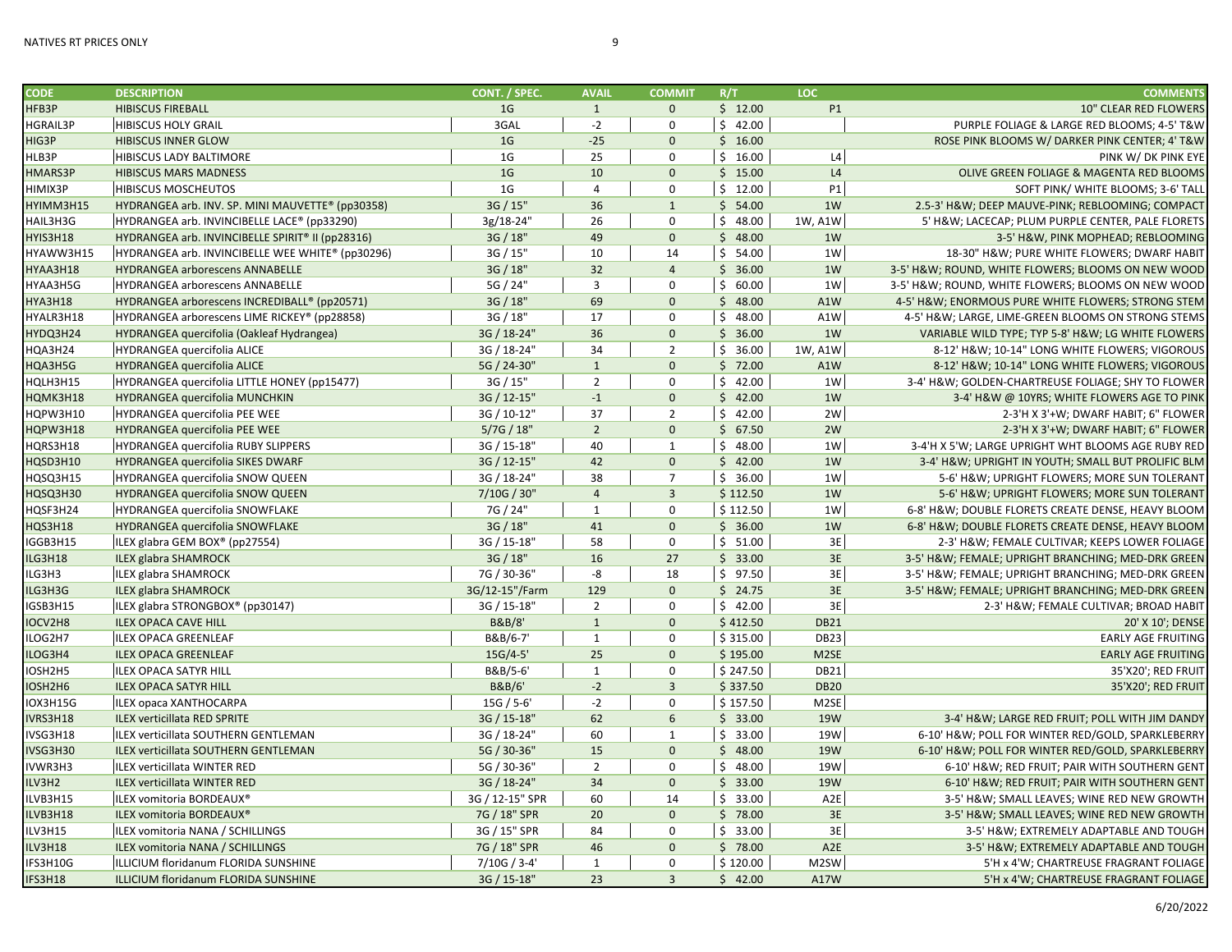| <b>CODE</b>     | <b>DESCRIPTION</b>                               | CONT. / SPEC.     | <b>AVAIL</b>   | <b>COMMIT</b>  | R/T      | LOC.             | <b>COMMENTS</b>                                    |
|-----------------|--------------------------------------------------|-------------------|----------------|----------------|----------|------------------|----------------------------------------------------|
| HFB3P           | <b>HIBISCUS FIREBALL</b>                         | 1 <sub>G</sub>    | $\mathbf{1}$   | $\mathbf 0$    | \$12.00  | P1               | 10" CLEAR RED FLOWERS                              |
| <b>HGRAIL3P</b> | <b>HIBISCUS HOLY GRAIL</b>                       | 3GAL              | $-2$           | $\mathbf 0$    | \$42.00  |                  | PURPLE FOLIAGE & LARGE RED BLOOMS; 4-5' T&W        |
| HIG3P           | <b>HIBISCUS INNER GLOW</b>                       | 1 <sub>G</sub>    | $-25$          | $\mathbf{0}$   | \$16.00  |                  | ROSE PINK BLOOMS W/ DARKER PINK CENTER; 4' T&W     |
| HLB3P           | <b>HIBISCUS LADY BALTIMORE</b>                   | 1 <sub>G</sub>    | 25             | $\mathbf 0$    | \$16.00  | L4               | PINK W/ DK PINK EYE                                |
| HMARS3P         | <b>HIBISCUS MARS MADNESS</b>                     | 1 <sub>G</sub>    | 10             | $\mathbf{0}$   | \$15.00  | L4               | OLIVE GREEN FOLIAGE & MAGENTA RED BLOOMS           |
| HIMIX3P         | <b>HIBISCUS MOSCHEUTOS</b>                       | 1G                | $\overline{4}$ | $\mathbf 0$    | \$12.00  | P1               | SOFT PINK/ WHITE BLOOMS; 3-6' TALL                 |
| HYIMM3H15       | HYDRANGEA arb. INV. SP. MINI MAUVETTE® (pp30358) | 3G / 15"          | 36             | $\mathbf{1}$   | \$54.00  | 1W               | 2.5-3' H&W DEEP MAUVE-PINK; REBLOOMING; COMPACT    |
| HAIL3H3G        | HYDRANGEA arb. INVINCIBELLE LACE® (pp33290)      | 3g/18-24"         | 26             | $\mathbf 0$    | \$48.00  | 1W, A1W          | 5' H&W LACECAP; PLUM PURPLE CENTER, PALE FLORETS   |
| HYIS3H18        | HYDRANGEA arb. INVINCIBELLE SPIRIT® II (pp28316) | 3G / 18"          | 49             | $\mathbf{0}$   | \$48.00  | 1W               | 3-5' H&W, PINK MOPHEAD; REBLOOMING                 |
| HYAWW3H15       | HYDRANGEA arb. INVINCIBELLE WEE WHITE® (pp30296) | 3G / 15"          | 10             | 14             | \$54.00  | 1W               | 18-30" H&W PURE WHITE FLOWERS; DWARF HABIT         |
| HYAA3H18        | HYDRANGEA arborescens ANNABELLE                  | 3G / 18"          | 32             | $\overline{4}$ | \$36.00  | 1W               | 3-5' H&W ROUND, WHITE FLOWERS; BLOOMS ON NEW WOOD  |
| HYAA3H5G        | HYDRANGEA arborescens ANNABELLE                  | 5G / 24"          | $\mathbf{3}$   | $\mathbf 0$    | \$60.00  | 1W               | 3-5' H&W ROUND, WHITE FLOWERS; BLOOMS ON NEW WOOD  |
| HYA3H18         | HYDRANGEA arborescens INCREDIBALL® (pp20571)     | 3G / 18"          | 69             | $\mathbf 0$    | \$48.00  | A1W              | 4-5' H&W ENORMOUS PURE WHITE FLOWERS; STRONG STEM  |
| HYALR3H18       | HYDRANGEA arborescens LIME RICKEY® (pp28858)     | 3G / 18"          | 17             | $\mathbf 0$    | \$48.00  | A1W              | 4-5' H&W LARGE, LIME-GREEN BLOOMS ON STRONG STEMS  |
| HYDQ3H24        | HYDRANGEA quercifolia (Oakleaf Hydrangea)        | 3G / 18-24"       | 36             | $\mathbf 0$    | \$36.00  | 1W               | VARIABLE WILD TYPE; TYP 5-8' H&W LG WHITE FLOWERS  |
| HQA3H24         | HYDRANGEA quercifolia ALICE                      | 3G / 18-24"       | 34             | $\overline{2}$ | \$36.00  | 1W, A1W          | 8-12' H&W 10-14" LONG WHITE FLOWERS; VIGOROUS      |
| HQA3H5G         | HYDRANGEA quercifolia ALICE                      | 5G / 24-30"       | 1              | $\mathbf{0}$   | \$72.00  | A1W              | 8-12' H&W 10-14" LONG WHITE FLOWERS; VIGOROUS      |
| HQLH3H15        | HYDRANGEA quercifolia LITTLE HONEY (pp15477)     | 3G / 15"          | $\overline{2}$ | $\mathbf 0$    | \$42.00  | 1W               | 3-4' H&W GOLDEN-CHARTREUSE FOLIAGE; SHY TO FLOWER  |
| HQMK3H18        | HYDRANGEA quercifolia MUNCHKIN                   | 3G / 12-15"       | $-1$           | $\mathbf 0$    | \$42.00  | 1W               | 3-4' H&W @ 10YRS; WHITE FLOWERS AGE TO PINK        |
| HQPW3H10        | HYDRANGEA quercifolia PEE WEE                    | 3G / 10-12"       | 37             | $\overline{2}$ | \$42.00  | 2W               | 2-3'H X 3'+W; DWARF HABIT; 6" FLOWER               |
| HQPW3H18        | HYDRANGEA quercifolia PEE WEE                    | 5/7G / 18"        | $\overline{2}$ | $\mathbf{0}$   | \$67.50  | 2W               | 2-3'H X 3'+W; DWARF HABIT; 6" FLOWER               |
| HQRS3H18        | HYDRANGEA quercifolia RUBY SLIPPERS              | 3G / 15-18"       | 40             | $\mathbf{1}$   | \$48.00  | 1W               | 3-4'H X 5'W; LARGE UPRIGHT WHT BLOOMS AGE RUBY RED |
| HQSD3H10        | HYDRANGEA quercifolia SIKES DWARF                | 3G / 12-15"       | 42             | $\mathbf{0}$   | \$42.00  | 1W               | 3-4' H&W UPRIGHT IN YOUTH; SMALL BUT PROLIFIC BLM  |
| HQSQ3H15        | HYDRANGEA quercifolia SNOW QUEEN                 | 3G / 18-24"       | 38             | $\overline{7}$ | \$36.00  | 1W               | 5-6' H&W UPRIGHT FLOWERS; MORE SUN TOLERANT        |
| HQSQ3H30        | HYDRANGEA quercifolia SNOW QUEEN                 | 7/10G / 30"       | $\overline{4}$ | $\overline{3}$ | \$112.50 | 1W               | 5-6' H&W UPRIGHT FLOWERS; MORE SUN TOLERANT        |
| HQSF3H24        | HYDRANGEA quercifolia SNOWFLAKE                  | 7G / 24"          | $\mathbf{1}$   | $\mathbf 0$    | \$112.50 | 1W               | 6-8' H&W DOUBLE FLORETS CREATE DENSE, HEAVY BLOOM  |
| HQS3H18         | HYDRANGEA quercifolia SNOWFLAKE                  | 3G / 18"          | 41             | $\mathbf{0}$   | \$36.00  | 1W               | 6-8' H&W DOUBLE FLORETS CREATE DENSE, HEAVY BLOOM  |
| IGGB3H15        | ILEX glabra GEM BOX® (pp27554)                   | 3G / 15-18"       | 58             | $\mathsf 0$    | \$51.00  | 3E               | 2-3' H&W FEMALE CULTIVAR; KEEPS LOWER FOLIAGE      |
| ILG3H18         | <b>ILEX glabra SHAMROCK</b>                      | 3G / 18"          | 16             | 27             | \$33.00  | 3E               | 3-5' H&W FEMALE; UPRIGHT BRANCHING; MED-DRK GREEN  |
| ILG3H3          | ILEX glabra SHAMROCK                             | 7G / 30-36"       | -8             | 18             | \$97.50  | 3E               | 3-5' H&W FEMALE; UPRIGHT BRANCHING; MED-DRK GREEN  |
| ILG3H3G         | <b>ILEX glabra SHAMROCK</b>                      | 3G/12-15"/Farm    | 129            | $\mathbf 0$    | \$24.75  | 3E               | 3-5' H&W FEMALE; UPRIGHT BRANCHING; MED-DRK GREEN  |
| IGSB3H15        | ILEX glabra STRONGBOX® (pp30147)                 | 3G / 15-18'       | $\overline{2}$ | $\mathbf 0$    | \$42.00  | 3E               | 2-3' H&W FEMALE CULTIVAR; BROAD HABIT              |
| IOCV2H8         | <b>ILEX OPACA CAVE HILL</b>                      | <b>B&amp;B/8'</b> | $\mathbf{1}$   | $\mathbf{0}$   | \$412.50 | <b>DB21</b>      | 20' X 10'; DENSE                                   |
| LOG2H7          | ILEX OPACA GREENLEAF                             | B&B/6-7'          | $\mathbf{1}$   | $\mathbf 0$    | \$315.00 | <b>DB23</b>      | <b>EARLY AGE FRUITING</b>                          |
| ILOG3H4         | <b>ILEX OPACA GREENLEAF</b>                      | $15G/4-5'$        | 25             | $\mathbf 0$    | \$195.00 | M2SE             | <b>EARLY AGE FRUITING</b>                          |
| IOSH2H5         | ILEX OPACA SATYR HILL                            | B&B/5-6'          | $\mathbf{1}$   | $\mathbf 0$    | \$247.50 | <b>DB21</b>      | 35'X20'; RED FRUIT                                 |
| IOSH2H6         | <b>ILEX OPACA SATYR HILL</b>                     | <b>B&amp;B/6'</b> | $-2$           | $\overline{3}$ | \$337.50 | <b>DB20</b>      | 35'X20'; RED FRUIT                                 |
| IOX3H15G        | ILEX opaca XANTHOCARPA                           | $15G / 5 - 6'$    | $-2$           | $\mathbf 0$    | \$157.50 | M2SE             |                                                    |
| IVRS3H18        | <b>ILEX verticillata RED SPRITE</b>              | 3G / 15-18"       | 62             | 6              | \$33.00  | <b>19W</b>       | 3-4' H&W LARGE RED FRUIT; POLL WITH JIM DANDY      |
| IVSG3H18        | ILEX verticillata SOUTHERN GENTLEMAN             | 3G / 18-24"       | 60             | $\mathbf{1}$   | \$33.00  | 19W              | 6-10' H&W POLL FOR WINTER RED/GOLD, SPARKLEBERRY   |
| IVSG3H30        | ILEX verticillata SOUTHERN GENTLEMAN             | 5G / 30-36"       | 15             | $\mathbf 0$    | \$48.00  | <b>19W</b>       | 6-10' H&W POLL FOR WINTER RED/GOLD, SPARKLEBERRY   |
| IVWR3H3         | ILEX verticillata WINTER RED                     | 5G / 30-36"       | $\overline{2}$ | $\mathbf 0$    | \$48.00  | 19W              | 6-10' H&W RED FRUIT; PAIR WITH SOUTHERN GENT       |
| ILV3H2          | <b>ILEX verticillata WINTER RED</b>              | 3G / 18-24"       | 34             | $\mathbf 0$    | \$33.00  | <b>19W</b>       | 6-10' H&W RED FRUIT; PAIR WITH SOUTHERN GENT       |
| ILVB3H15        | ILEX vomitoria BORDEAUX®                         | 3G / 12-15" SPR   | 60             | 14             | \$33.00  | A <sub>2</sub> E | 3-5' H&W SMALL LEAVES; WINE RED NEW GROWTH         |
| ILVB3H18        | ILEX vomitoria BORDEAUX®                         | 7G / 18" SPR      | 20             | $\mathbf{0}$   | \$78.00  | 3E               | 3-5' H&W SMALL LEAVES; WINE RED NEW GROWTH         |
| ILV3H15         | ILEX vomitoria NANA / SCHILLINGS                 | 3G / 15" SPR      | 84             | $\mathbf 0$    | \$33.00  | 3E               | 3-5' H&W EXTREMELY ADAPTABLE AND TOUGH             |
| ILV3H18         | ILEX vomitoria NANA / SCHILLINGS                 | 7G / 18" SPR      | 46             | $\mathbf 0$    | \$78.00  | A <sub>2</sub> E | 3-5' H&W EXTREMELY ADAPTABLE AND TOUGH             |
| IFS3H10G        | ILLICIUM floridanum FLORIDA SUNSHINE             | $7/10G / 3-4'$    | 1              | $\mathbf 0$    | \$120.00 | M2SW             | 5'H x 4'W; CHARTREUSE FRAGRANT FOLIAGE             |
| IFS3H18         | ILLICIUM floridanum FLORIDA SUNSHINE             | 3G / 15-18"       | 23             | $\overline{3}$ | \$42.00  | A17W             | 5'H x 4'W; CHARTREUSE FRAGRANT FOLIAGE             |
|                 |                                                  |                   |                |                |          |                  |                                                    |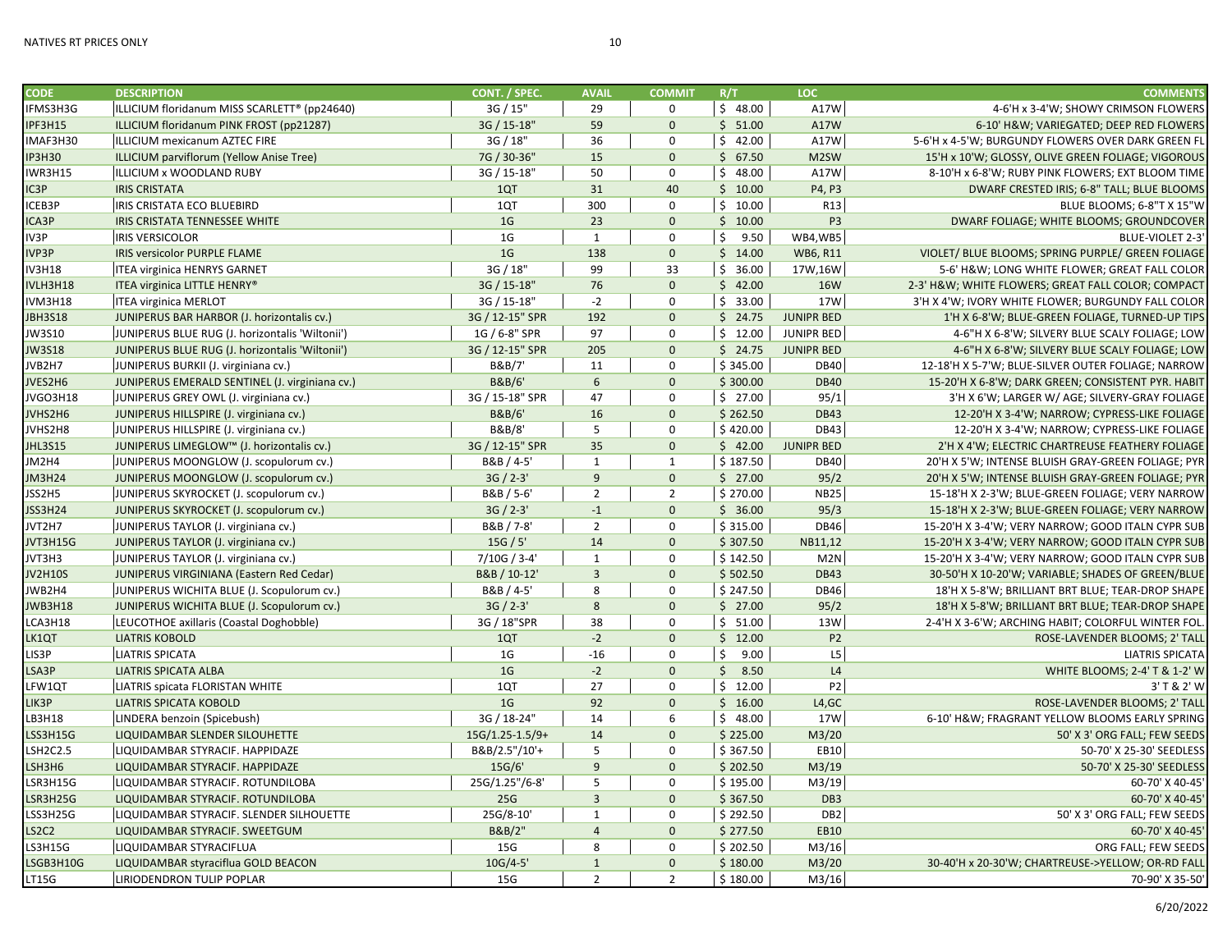| <b>CODE</b>     | <b>DESCRIPTION</b>                              | CONT. / SPEC.     | <b>AVAIL</b>    | <b>COMMIT</b>  | R/T                  | <b>LOC</b>         | <b>COMMENTS</b>                                    |
|-----------------|-------------------------------------------------|-------------------|-----------------|----------------|----------------------|--------------------|----------------------------------------------------|
| IFMS3H3G        | ILLICIUM floridanum MISS SCARLETT® (pp24640)    | 3G / 15"          | 29              | 0              | \$48.00              | A17W               | 4-6'H x 3-4'W; SHOWY CRIMSON FLOWERS               |
| IPF3H15         | ILLICIUM floridanum PINK FROST (pp21287)        | 3G / 15-18"       | 59              | $\mathbf 0$    | \$51.00              | A17W               | 6-10' H&W VARIEGATED; DEEP RED FLOWERS             |
| IMAF3H30        | ILLICIUM mexicanum AZTEC FIRE                   | 3G / 18"          | 36              | 0              | \$42.00              | A17W               | 5-6'H x 4-5'W; BURGUNDY FLOWERS OVER DARK GREEN FL |
| <b>IP3H30</b>   | ILLICIUM parviflorum (Yellow Anise Tree)        | 7G / 30-36"       | 15              | $\mathbf{0}$   | \$67.50              | M2SW               | 15'H x 10'W; GLOSSY, OLIVE GREEN FOLIAGE; VIGOROUS |
| IWR3H15         | ILLICIUM x WOODLAND RUBY                        | 3G / 15-18"       | 50              | 0              | \$48.00              | A17W               | 8-10'H x 6-8'W; RUBY PINK FLOWERS; EXT BLOOM TIME  |
| IC3P            | <b>IRIS CRISTATA</b>                            | 1QT               | 31              | 40             | \$10.00              | P4, P3             | DWARF CRESTED IRIS; 6-8" TALL; BLUE BLOOMS         |
| ICEB3P          | IRIS CRISTATA ECO BLUEBIRD                      | 1QT               | 300             | 0              | \$10.00              | R13                | BLUE BLOOMS; 6-8"T X 15"W                          |
| ICA3P           | IRIS CRISTATA TENNESSEE WHITE                   | 1 <sub>G</sub>    | 23              | $\mathbf{0}$   | \$10.00              | P <sub>3</sub>     | DWARF FOLIAGE; WHITE BLOOMS; GROUNDCOVER           |
| IV3P            | <b>IRIS VERSICOLOR</b>                          | 1 <sub>G</sub>    | 1               | 0              | \$<br>9.50           | WB4,WB5            | BLUE-VIOLET 2-3'                                   |
| IVP3P           | <b>IRIS versicolor PURPLE FLAME</b>             | 1 <sub>G</sub>    | 138             | $\mathbf 0$    | \$14.00              | WB6, R11           | VIOLET/ BLUE BLOOMS; SPRING PURPLE/ GREEN FOLIAGE  |
| <b>IV3H18</b>   | <b>ITEA virginica HENRYS GARNET</b>             | 3G / 18"          | 99              | 33             | \$36.00              | 17W,16W            | 5-6' H&W LONG WHITE FLOWER; GREAT FALL COLOR       |
| IVLH3H18        | ITEA virginica LITTLE HENRY®                    | 3G / 15-18"       | 76              | $\mathbf{0}$   | \$42.00              | <b>16W</b>         | 2-3' H&W WHITE FLOWERS; GREAT FALL COLOR; COMPACT  |
| IVM3H18         | <b>ITEA virginica MERLOT</b>                    | 3G / 15-18"       | $-2$            | 0              | \$33.00              | 17W                | 3'H X 4'W; IVORY WHITE FLOWER; BURGUNDY FALL COLOR |
| <b>JBH3S18</b>  | JUNIPERUS BAR HARBOR (J. horizontalis cv.)      | 3G / 12-15" SPR   | 192             | $\mathbf{0}$   | \$24.75              | <b>JUNIPR BED</b>  | 1'H X 6-8'W; BLUE-GREEN FOLIAGE, TURNED-UP TIPS    |
| JW3S10          | JUNIPERUS BLUE RUG (J. horizontalis 'Wiltonii') | 1G / 6-8" SPR     | 97              | 0              | \$12.00              | <b>JUNIPR BED</b>  | 4-6"H X 6-8'W; SILVERY BLUE SCALY FOLIAGE; LOW     |
| <b>JW3S18</b>   | JUNIPERUS BLUE RUG (J. horizontalis 'Wiltonii') | 3G / 12-15" SPR   | 205             | $\mathbf{0}$   | \$24.75              | <b>JUNIPR BED</b>  | 4-6"H X 6-8'W; SILVERY BLUE SCALY FOLIAGE; LOW     |
| JVB2H7          | JUNIPERUS BURKII (J. virginiana cv.)            | B&B/7'            | 11              | 0              | \$345.00             | <b>DB40</b>        | 12-18'H X 5-7'W; BLUE-SILVER OUTER FOLIAGE; NARROW |
| JVES2H6         | JUNIPERUS EMERALD SENTINEL (J. virginiana cv.)  | <b>B&amp;B/6'</b> | $6\overline{6}$ | $\mathbf{0}$   | \$300.00             | <b>DB40</b>        | 15-20'H X 6-8'W; DARK GREEN; CONSISTENT PYR. HABIT |
| JVGO3H18        | JUNIPERUS GREY OWL (J. virginiana cv.)          | 3G / 15-18" SPR   | 47              | 0              | \$27.00              | 95/1               | 3'H X 6'W; LARGER W/ AGE; SILVERY-GRAY FOLIAGE     |
| JVHS2H6         | JUNIPERUS HILLSPIRE (J. virginiana cv.)         | <b>B&amp;B/6'</b> | 16              | $\mathbf{0}$   | \$262.50             | <b>DB43</b>        | 12-20'H X 3-4'W; NARROW; CYPRESS-LIKE FOLIAGE      |
| JVHS2H8         | JUNIPERUS HILLSPIRE (J. virginiana cv.)         | B&B/8'            | 5               | $\mathbf 0$    | \$420.00             | <b>DB43</b>        | 12-20'H X 3-4'W; NARROW; CYPRESS-LIKE FOLIAGE      |
| <b>JHL3S15</b>  | JUNIPERUS LIMEGLOW™ (J. horizontalis cv.)       | 3G / 12-15" SPR   | 35              | $\mathbf 0$    | \$42.00              | <b>JUNIPR BED</b>  | 2'H X 4'W; ELECTRIC CHARTREUSE FEATHERY FOLIAGE    |
| JM2H4           | JUNIPERUS MOONGLOW (J. scopulorum cv.)          | B&B / 4-5'        | $\mathbf{1}$    | $\mathbf{1}$   | \$187.50             | <b>DB40</b>        | 20'H X 5'W; INTENSE BLUISH GRAY-GREEN FOLIAGE; PYR |
| <b>JM3H24</b>   | JUNIPERUS MOONGLOW (J. scopulorum cv.)          | $3G / 2 - 3'$     | 9               | $\mathbf{0}$   | \$27.00              | 95/2               | 20'H X 5'W; INTENSE BLUISH GRAY-GREEN FOLIAGE; PYR |
| JSS2H5          | JUNIPERUS SKYROCKET (J. scopulorum cv.)         | B&B / 5-6'        | $\overline{2}$  | $\overline{2}$ | \$270.00             | <b>NB25</b>        | 15-18'H X 2-3'W; BLUE-GREEN FOLIAGE; VERY NARROW   |
| JSS3H24         | JUNIPERUS SKYROCKET (J. scopulorum cv.)         | $3G / 2 - 3'$     | $-1$            | $\mathbf 0$    | \$36.00              | 95/3               | 15-18'H X 2-3'W; BLUE-GREEN FOLIAGE; VERY NARROW   |
| JVT2H7          | JUNIPERUS TAYLOR (J. virginiana cv.)            | B&B / 7-8'        | $\overline{2}$  | 0              | \$315.00             | <b>DB46</b>        | 15-20'H X 3-4'W; VERY NARROW; GOOD ITALN CYPR SUB  |
| JVT3H15G        | JUNIPERUS TAYLOR (J. virginiana cv.)            | 15G / 5'          | 14              | $\mathbf 0$    | \$307.50             | NB11,12            | 15-20'H X 3-4'W; VERY NARROW; GOOD ITALN CYPR SUB  |
| JVT3H3          | JUNIPERUS TAYLOR (J. virginiana cv.)            | 7/10G / 3-4'      | 1               | 0              | \$142.50             | M2N                | 15-20'H X 3-4'W; VERY NARROW; GOOD ITALN CYPR SUB  |
| <b>JV2H10S</b>  | JUNIPERUS VIRGINIANA (Eastern Red Cedar)        | B&B / 10-12'      | $\overline{3}$  | $\mathbf{0}$   | \$502.50             | <b>DB43</b>        | 30-50'H X 10-20'W; VARIABLE; SHADES OF GREEN/BLUE  |
| JWB2H4          | JUNIPERUS WICHITA BLUE (J. Scopulorum cv.)      | B&B / 4-5'        | 8               | $\mathbf 0$    | \$247.50             | <b>DB46</b>        | 18'H X 5-8'W; BRILLIANT BRT BLUE; TEAR-DROP SHAPE  |
| <b>JWB3H18</b>  | JUNIPERUS WICHITA BLUE (J. Scopulorum cv.)      | $3G / 2 - 3'$     | $8\phantom{1}$  | $\mathbf 0$    | \$27.00              | 95/2               | 18'H X 5-8'W; BRILLIANT BRT BLUE; TEAR-DROP SHAPE  |
| LCA3H18         | LEUCOTHOE axillaris (Coastal Doghobble)         | 3G / 18"SPR       | 38              | 0              | \$51.00              | 13W                | 2-4'H X 3-6'W; ARCHING HABIT; COLORFUL WINTER FOL. |
| LK1QT           | <b>LIATRIS KOBOLD</b>                           | 1QT               | $-2$            | $\mathbf{0}$   | \$12.00              | <b>P2</b>          | ROSE-LAVENDER BLOOMS; 2' TALL                      |
| LIS3P           | <b>LIATRIS SPICATA</b>                          | 1 <sub>G</sub>    | $-16$           | 0              | $\mathsf{S}$<br>9.00 | L5                 | <b>LIATRIS SPICATA</b>                             |
| LSA3P           | <b>LIATRIS SPICATA ALBA</b>                     | 1 <sub>G</sub>    | $-2$            | $\mathbf{0}$   | \$3.50               | L4                 | WHITE BLOOMS; 2-4' T & 1-2' W                      |
| LFW1QT          | LIATRIS spicata FLORISTAN WHITE                 | 1QT               | 27              | 0              | \$12.00              | P <sub>2</sub>     | 3' T & 2' W                                        |
| LIK3P           | <b>LIATRIS SPICATA KOBOLD</b>                   | 1 <sub>G</sub>    | 92              | $\mathbf 0$    | \$16.00              | L4,GC              | ROSE-LAVENDER BLOOMS; 2' TALL                      |
| LB3H18          | LINDERA benzoin (Spicebush)                     | 3G / 18-24"       | 14              | 6              | \$48.00              | 17W                | 6-10' H&W FRAGRANT YELLOW BLOOMS EARLY SPRING      |
| LSS3H15G        | LIQUIDAMBAR SLENDER SILOUHETTE                  | 15G/1.25-1.5/9+   | 14              | $\mathbf{0}$   | \$225.00             | M <sub>3</sub> /20 | 50' X 3' ORG FALL; FEW SEEDS                       |
| <b>LSH2C2.5</b> | LIQUIDAMBAR STYRACIF. HAPPIDAZE                 | B&B/2.5"/10'+     | 5               | $\mathbf 0$    | \$367.50             | EB10               | 50-70' X 25-30' SEEDLESS                           |
| LSH3H6          | LIQUIDAMBAR STYRACIF. HAPPIDAZE                 | 15G/6'            | 9               | $\mathbf 0$    | \$202.50             | M3/19              | 50-70' X 25-30' SEEDLESS                           |
| LSR3H15G        | LIQUIDAMBAR STYRACIF. ROTUNDILOBA               | 25G/1.25"/6-8'    | 5               | 0              | \$195.00             | M3/19              | 60-70' X 40-45'                                    |
| LSR3H25G        | LIQUIDAMBAR STYRACIF. ROTUNDILOBA               | 25G               | $\overline{3}$  | $\mathbf{0}$   | \$367.50             | DB <sub>3</sub>    | 60-70' X 40-45'                                    |
| LSS3H25G        | LIQUIDAMBAR STYRACIF. SLENDER SILHOUETTE        | 25G/8-10'         | $\mathbf{1}$    | 0              | \$292.50             | DB <sub>2</sub>    | 50' X 3' ORG FALL; FEW SEEDS                       |
| <b>LS2C2</b>    | LIQUIDAMBAR STYRACIF. SWEETGUM                  | B&B/2"            | $\overline{4}$  | $\mathbf{0}$   | \$277.50             | <b>EB10</b>        | 60-70' X 40-45'                                    |
| <b>LS3H15G</b>  | LIQUIDAMBAR STYRACIFLUA                         | 15G               | 8               | $\mathbf 0$    | \$202.50             | M3/16              | ORG FALL; FEW SEEDS                                |
|                 |                                                 |                   |                 |                |                      |                    |                                                    |

LSGB3H10G LIQUIDAMBAR styraciflua GOLD BEACON 10G/4-5' 1 0 \$ 180.00 M3/20 30-40'H x 20-30'W; CHARTREUSE->YELLOW; OR-RD FALL<br>| 15G | 15G | 2 | 2 | \$ 180.00 | M3/16| LT15G LIRIODENDRON TULIP POPLAR 15G 15G 2 \$180.00 M3/16 70-90'X 35-50'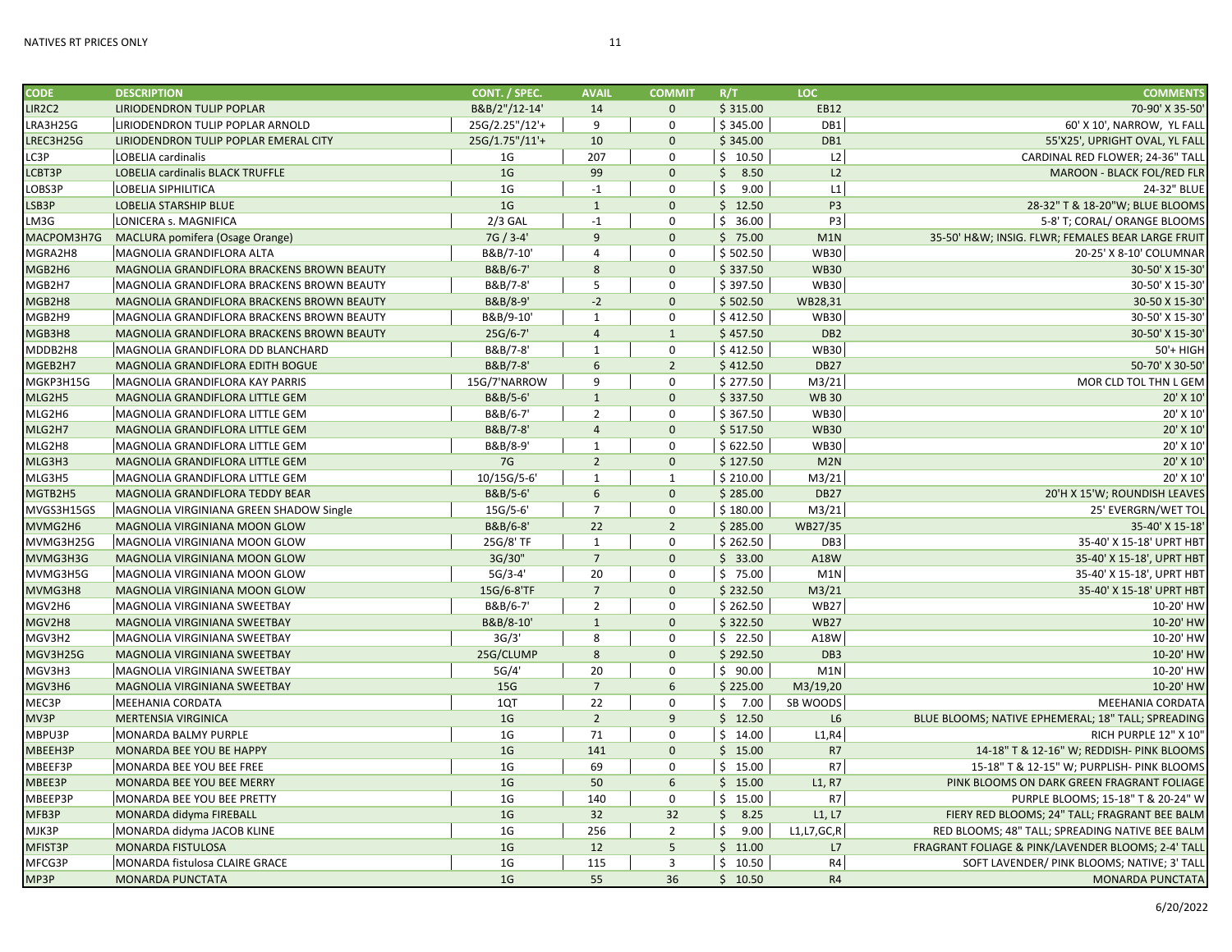| <b>CODE</b> | <b>DESCRIPTION</b>                                            | CONT. / SPEC.      | <b>AVAIL</b>    | <b>COMMIT</b>  | R/T        | LOC             | <b>COMMENTS</b>                                    |
|-------------|---------------------------------------------------------------|--------------------|-----------------|----------------|------------|-----------------|----------------------------------------------------|
| LIR2C2      | LIRIODENDRON TULIP POPLAR                                     | B&B/2"/12-14'      | 14              | $\mathbf{0}$   | \$315.00   | <b>EB12</b>     | 70-90' X 35-50'                                    |
| LRA3H25G    | LIRIODENDRON TULIP POPLAR ARNOLD                              | 25G/2.25"/12'+     | 9               | $\pmb{0}$      | \$345.00   | DB1             | 60' X 10', NARROW, YL FALL                         |
| LREC3H25G   | LIRIODENDRON TULIP POPLAR EMERAL CITY                         | 25G/1.75"/11'+     | 10              | $\mathbf{0}$   | \$345.00   | DB1             | 55'X25', UPRIGHT OVAL, YL FALL                     |
| LC3P        | LOBELIA cardinalis                                            | 1G                 | 207             | $\mathbf 0$    | \$10.50    | L2              | CARDINAL RED FLOWER; 24-36" TALL                   |
| LCBT3P      | LOBELIA cardinalis BLACK TRUFFLE                              | 1 <sub>G</sub>     | 99              | $\mathbf{0}$   | \$8.50     | L <sub>2</sub>  | MAROON - BLACK FOL/RED FLR                         |
| LOBS3P      | <b>LOBELIA SIPHILITICA</b>                                    | 1G                 | $-1$            | $\mathbf 0$    | \$<br>9.00 | L1              | 24-32" BLUE                                        |
| LSB3P       | <b>LOBELIA STARSHIP BLUE</b>                                  | 1 <sub>G</sub>     | $\mathbf{1}$    | $\mathbf{0}$   | \$12.50    | P <sub>3</sub>  | 28-32" T & 18-20"W; BLUE BLOOMS                    |
| LM3G        | LONICERA s. MAGNIFICA                                         | $2/3$ GAL          | $-1$            | $\Omega$       | \$36.00    | P <sub>3</sub>  | 5-8' T; CORAL/ ORANGE BLOOMS                       |
| MACPOM3H7G  | MACLURA pomifera (Osage Orange)                               | 7G / 3-4'          | 9               | $\mathbf{0}$   | \$75.00    | M1N             | 35-50' H&W INSIG. FLWR; FEMALES BEAR LARGE FRUIT   |
| MGRA2H8     | MAGNOLIA GRANDIFLORA ALTA                                     | B&B/7-10'          | $\overline{4}$  | 0              | \$502.50   | <b>WB30</b>     | 20-25' X 8-10' COLUMNAR                            |
| MGB2H6      | MAGNOLIA GRANDIFLORA BRACKENS BROWN BEAUTY                    | B&B/6-7'           | 8               | $\mathbf{0}$   | \$337.50   | <b>WB30</b>     | 30-50' X 15-30'                                    |
| MGB2H7      | MAGNOLIA GRANDIFLORA BRACKENS BROWN BEAUTY                    | B&B/7-8'           | 5               | $\mathbf 0$    | \$397.50   | <b>WB30</b>     | 30-50' X 15-30'                                    |
| MGB2H8      | MAGNOLIA GRANDIFLORA BRACKENS BROWN BEAUTY                    | B&B/8-9'           | $-2$            | $\mathbf{0}$   | \$502.50   | WB28,31         | 30-50 X 15-30                                      |
| MGB2H9      | MAGNOLIA GRANDIFLORA BRACKENS BROWN BEAUTY                    | B&B/9-10'          | $\mathbf{1}$    | $\mathbf 0$    | \$412.50   | <b>WB30</b>     | 30-50' X 15-30'                                    |
| MGB3H8      | MAGNOLIA GRANDIFLORA BRACKENS BROWN BEAUTY                    | $25G/6-7'$         | $\overline{4}$  | $\mathbf{1}$   | \$457.50   | DB <sub>2</sub> | 30-50' X 15-30'                                    |
| MDDB2H8     | MAGNOLIA GRANDIFLORA DD BLANCHARD                             | B&B/7-8'           | $\mathbf{1}$    | $\mathbf 0$    | \$412.50   | <b>WB30</b>     | 50'+ HIGH                                          |
| MGEB2H7     | MAGNOLIA GRANDIFLORA EDITH BOGUE                              | B&B/7-8'           | 6               | $\overline{2}$ | \$412.50   | <b>DB27</b>     | 50-70' X 30-50'                                    |
| MGKP3H15G   | MAGNOLIA GRANDIFLORA KAY PARRIS                               | 15G/7'NARROW       | 9               | $\mathbf 0$    | \$277.50   | M3/21           | MOR CLD TOL THN L GEM                              |
| MLG2H5      | MAGNOLIA GRANDIFLORA LITTLE GEM                               | B&B/5-6'           | $\mathbf{1}$    | $\mathbf{0}$   | \$337.50   | <b>WB30</b>     | 20' X 10'                                          |
| MLG2H6      | MAGNOLIA GRANDIFLORA LITTLE GEM                               | B&B/6-7'           | $\overline{2}$  | $\mathbf 0$    | \$367.50   | <b>WB30</b>     | 20' X 10'                                          |
| MLG2H7      | MAGNOLIA GRANDIFLORA LITTLE GEM                               | B&B/7-8'           | $\overline{4}$  | $\mathbf{0}$   | \$517.50   | <b>WB30</b>     | 20' X 10'                                          |
| MLG2H8      | MAGNOLIA GRANDIFLORA LITTLE GEM                               | B&B/8-9'           | $\mathbf{1}$    | $\mathbf 0$    | \$622.50   | <b>WB30</b>     | 20' X 10'                                          |
| MLG3H3      | MAGNOLIA GRANDIFLORA LITTLE GEM                               | 7G                 | $\overline{2}$  | $\mathbf{0}$   | \$127.50   | M2N             | 20' X 10'                                          |
| MLG3H5      | MAGNOLIA GRANDIFLORA LITTLE GEM                               | 10/15G/5-6'        | $\mathbf{1}$    | $\mathbf{1}$   | \$210.00   | M3/21           | 20' X 10'                                          |
| MGTB2H5     | MAGNOLIA GRANDIFLORA TEDDY BEAR                               | B&B/5-6'           | 6               | $\mathbf{0}$   | \$285.00   | <b>DB27</b>     | 20'H X 15'W; ROUNDISH LEAVES                       |
| MVGS3H15GS  | MAGNOLIA VIRGINIANA GREEN SHADOW Single                       | 15G/5-6'           | $\overline{7}$  | $\Omega$       | \$180.00   | M3/21           | 25' EVERGRN/WET TOL                                |
| MVMG2H6     | MAGNOLIA VIRGINIANA MOON GLOW                                 | B&B/6-8'           | 22              | $\overline{2}$ | \$285.00   | WB27/35         | 35-40' X 15-18'                                    |
| MVMG3H25G   | MAGNOLIA VIRGINIANA MOON GLOW                                 | 25G/8' TF          | $\mathbf{1}$    | $\mathbf 0$    | \$262.50   | DB <sub>3</sub> | 35-40' X 15-18' UPRT HBT                           |
| MVMG3H3G    | MAGNOLIA VIRGINIANA MOON GLOW                                 | 3G/30"             | $7\overline{ }$ | $\mathbf 0$    | \$33.00    | A18W            | 35-40' X 15-18', UPRT HBT                          |
| MVMG3H5G    | MAGNOLIA VIRGINIANA MOON GLOW                                 | $5G/3-4'$          | 20              | $\mathbf 0$    | \$75.00    | M1N             | 35-40' X 15-18', UPRT HBT                          |
| MVMG3H8     |                                                               | 15G/6-8'TF         | $7\overline{ }$ | $\mathbf{0}$   | \$232.50   | M3/21           | 35-40' X 15-18' UPRT HBT                           |
|             | MAGNOLIA VIRGINIANA MOON GLOW<br>MAGNOLIA VIRGINIANA SWEETBAY | B&B/6-7'           | $\overline{2}$  | $\mathbf 0$    | \$262.50   | <b>WB27</b>     | 10-20' HW                                          |
| MGV2H6      |                                                               |                    | $\mathbf{1}$    | $\mathbf{0}$   |            | <b>WB27</b>     |                                                    |
| MGV2H8      | MAGNOLIA VIRGINIANA SWEETBAY                                  | B&B/8-10'<br>3G/3' | 8               | $\Omega$       | \$322.50   |                 | 10-20' HW<br>10-20' HW                             |
| MGV3H2      | MAGNOLIA VIRGINIANA SWEETBAY                                  |                    |                 | $\mathbf{0}$   | \$22.50    | A18W            |                                                    |
| MGV3H25G    | MAGNOLIA VIRGINIANA SWEETBAY                                  | 25G/CLUMP          | 8               |                | \$292.50   | DB <sub>3</sub> | 10-20' HW                                          |
| MGV3H3      | MAGNOLIA VIRGINIANA SWEETBAY                                  | 5G/4'              | 20              | $\mathbf 0$    | \$90.00    | M1N             | 10-20' HW                                          |
| MGV3H6      | MAGNOLIA VIRGINIANA SWEETBAY                                  | 15G                | $7\overline{ }$ | 6              | \$225.00   | M3/19,20        | 10-20' HW                                          |
| MEC3P       | <b>MEEHANIA CORDATA</b>                                       | 1QT                | 22              | $\mathbf 0$    | \$<br>7.00 | SB WOODS        | <b>MEEHANIA CORDATA</b>                            |
| MV3P        | <b>MERTENSIA VIRGINICA</b>                                    | 1 <sub>G</sub>     | $\overline{2}$  | 9              | \$12.50    | L <sub>6</sub>  | BLUE BLOOMS; NATIVE EPHEMERAL; 18" TALL; SPREADING |
| MBPU3P      | <b>MONARDA BALMY PURPLE</b>                                   | 1 <sub>G</sub>     | 71              | $\mathbf 0$    | \$14.00    | L1, R4          | RICH PURPLE 12" X 10"                              |
| MBEEH3P     | MONARDA BEE YOU BE HAPPY                                      | 1 <sub>G</sub>     | 141             | $\mathbf{0}$   | \$15.00    | R7              | 14-18" T & 12-16" W; REDDISH- PINK BLOOMS          |
| MBEEF3P     | MONARDA BEE YOU BEE FREE                                      | 1 <sub>G</sub>     | 69              | $\mathbf 0$    | \$15.00    | R7              | 15-18" T & 12-15" W; PURPLISH- PINK BLOOMS         |
| MBEE3P      | MONARDA BEE YOU BEE MERRY                                     | 1 <sub>G</sub>     | 50              | 6              | \$15.00    | L1, R7          | PINK BLOOMS ON DARK GREEN FRAGRANT FOLIAGE         |
| MBEEP3P     | MONARDA BEE YOU BEE PRETTY                                    | 1 <sub>G</sub>     | 140             | $\mathbf 0$    | \$15.00    | R7              | PURPLE BLOOMS; 15-18" T & 20-24" W                 |
| MFB3P       | MONARDA didyma FIREBALL                                       | 1 <sub>G</sub>     | 32              | 32             | \$3.25     | L1, L7          | FIERY RED BLOOMS; 24" TALL; FRAGRANT BEE BALM      |
| MJK3P       | MONARDA didyma JACOB KLINE                                    | 1 <sub>G</sub>     | 256             | $\overline{2}$ | Ś.<br>9.00 | L1, L7, GC, R   | RED BLOOMS; 48" TALL; SPREADING NATIVE BEE BALM    |
| MFIST3P     | MONARDA FISTULOSA                                             | 1 <sub>G</sub>     | 12              | 5 <sup>5</sup> | \$11.00    | L7              | FRAGRANT FOLIAGE & PINK/LAVENDER BLOOMS; 2-4' TALL |
| MFCG3P      | MONARDA fistulosa CLAIRE GRACE                                | 1 <sub>G</sub>     | 115             | $\overline{3}$ | \$10.50    | R <sub>4</sub>  | SOFT LAVENDER/ PINK BLOOMS; NATIVE; 3' TALL        |
| MP3P        | <b>MONARDA PUNCTATA</b>                                       | 1 <sub>G</sub>     | 55              | 36             | \$10.50    | R4              | <b>MONARDA PUNCTATA</b>                            |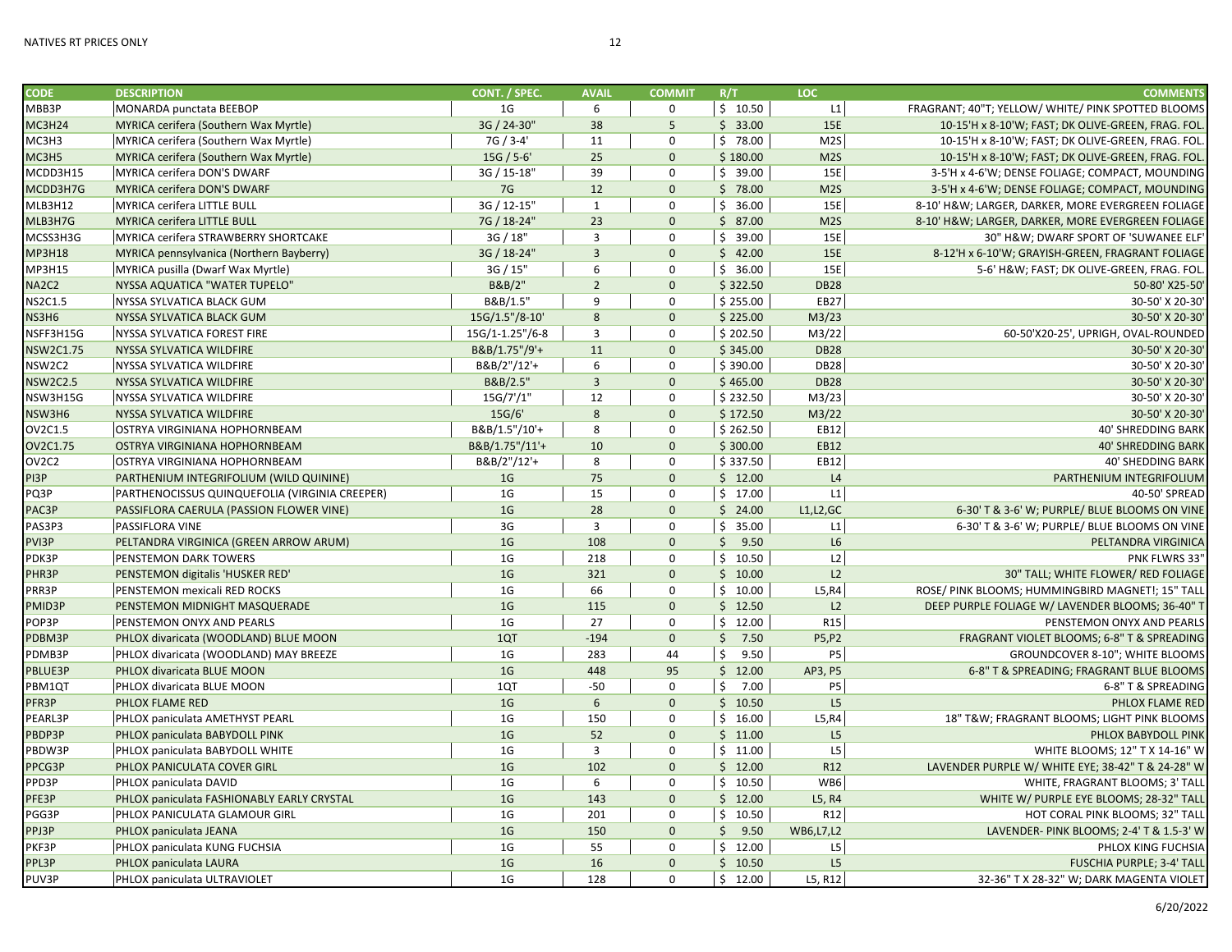| <b>CODE</b>                    | <b>DESCRIPTION</b>                             | CONT. / SPEC.         | <b>AVAIL</b>             | <b>COMMIT</b>               | R/T              | LOC.                      | <b>COMMENTS</b>                                    |
|--------------------------------|------------------------------------------------|-----------------------|--------------------------|-----------------------------|------------------|---------------------------|----------------------------------------------------|
| MBB3P                          | MONARDA punctata BEEBOP                        | 1G                    | 6                        | 0                           | \$10.50          | L1                        | FRAGRANT; 40"T; YELLOW/ WHITE/ PINK SPOTTED BLOOMS |
| MC3H24                         | MYRICA cerifera (Southern Wax Myrtle)          | 3G / 24-30"           | 38                       | 5                           | \$33.00          | 15E                       | 10-15'H x 8-10'W; FAST; DK OLIVE-GREEN, FRAG. FOL. |
| MC3H3                          | MYRICA cerifera (Southern Wax Myrtle)          | 7G / 3-4'             | 11                       | $\mathbf 0$                 | \$78.00          | M2S                       | 10-15'H x 8-10'W; FAST; DK OLIVE-GREEN, FRAG. FOL. |
| MC3H5                          | MYRICA cerifera (Southern Wax Myrtle)          | $15G / 5 - 6'$        | 25                       | $\Omega$                    | \$180.00         | M2S                       | 10-15'H x 8-10'W; FAST; DK OLIVE-GREEN, FRAG. FOL. |
| MCDD3H15                       | MYRICA cerifera DON'S DWARF                    | 3G / 15-18"           | 39                       | $\mathbf 0$                 | \$39.00          | 15E                       | 3-5'H x 4-6'W; DENSE FOLIAGE; COMPACT, MOUNDING    |
| MCDD3H7G                       | <b>MYRICA cerifera DON'S DWARF</b>             | 7G                    | 12                       | $\mathbf{0}$                | \$78.00          | M2S                       | 3-5'H x 4-6'W; DENSE FOLIAGE; COMPACT, MOUNDING    |
| MLB3H12                        | MYRICA cerifera LITTLE BULL                    | 3G / 12-15"           | $\mathbf{1}$             | $\mathbf 0$                 | \$36.00          | 15E                       | 8-10' H&W LARGER, DARKER, MORE EVERGREEN FOLIAGE   |
| MLB3H7G                        | <b>MYRICA cerifera LITTLE BULL</b>             | 7G / 18-24"           | 23                       | $\mathbf{0}$                | \$87.00          | M2S                       | 8-10' H&W LARGER, DARKER, MORE EVERGREEN FOLIAGE   |
| MCSS3H3G                       | MYRICA cerifera STRAWBERRY SHORTCAKE           | 3G / 18"              | $\overline{3}$           | $\mathbf 0$                 | \$39.00          | 15E                       | 30" H&W DWARF SPORT OF 'SUWANEE ELF'               |
| <b>MP3H18</b>                  | MYRICA pennsylvanica (Northern Bayberry)       | 3G / 18-24"           | $\overline{3}$           | $\mathbf{0}$                | \$42.00          | 15E                       | 8-12'H x 6-10'W; GRAYISH-GREEN, FRAGRANT FOLIAGE   |
| MP3H15                         | MYRICA pusilla (Dwarf Wax Myrtle)              | 3G / 15"              | 6                        | $\mathbf 0$                 | \$36.00          | 15E                       | 5-6' H&W FAST; DK OLIVE-GREEN, FRAG. FOL.          |
| NA2C2                          | NYSSA AQUATICA "WATER TUPELO"                  | B&B/2"                | $\overline{2}$           | $\mathbf{0}$                | \$322.50         | <b>DB28</b>               | 50-80' X25-50'                                     |
| <b>NS2C1.5</b>                 | NYSSA SYLVATICA BLACK GUM                      | B&B/1.5"              | 9                        | 0                           | \$255.00         | EB27                      | 30-50' X 20-30'                                    |
| NS3H6                          | NYSSA SYLVATICA BLACK GUM                      | 15G/1.5"/8-10'        | 8                        | $\mathbf{0}$                | \$225.00         | M3/23                     | 30-50' X 20-30'                                    |
| NSFF3H15G                      | NYSSA SYLVATICA FOREST FIRE                    | 15G/1-1.25"/6-8       | 3                        | $\mathbf 0$                 | \$202.50         | M3/22                     | 60-50'X20-25', UPRIGH, OVAL-ROUNDED                |
| <b>NSW2C1.75</b>               | NYSSA SYLVATICA WILDFIRE                       | B&B/1.75"/9'+         | 11                       | $\mathbf{0}$                | \$345.00         | <b>DB28</b>               | 30-50' X 20-30'                                    |
| NSW2C2                         | NYSSA SYLVATICA WILDFIRE                       | B&B/2"/12'+           | 6                        | $\mathbf 0$                 | \$390.00         | <b>DB28</b>               | 30-50' X 20-30'                                    |
| <b>NSW2C2.5</b>                | NYSSA SYLVATICA WILDFIRE                       | B&B/2.5"              | $\overline{3}$           | $\mathbf{0}$                | \$465.00         | <b>DB28</b>               | 30-50' X 20-30'                                    |
| NSW3H15G                       | NYSSA SYLVATICA WILDFIRE                       | 15G/7'/1"             | 12                       | $\mathbf 0$                 | \$232.50         | M3/23                     | 30-50' X 20-30'                                    |
| NSW3H6                         | NYSSA SYLVATICA WILDFIRE                       | 15G/6'                | $8\phantom{1}$           | $\mathbf{0}$                | \$172.50         | M3/22                     | 30-50' X 20-30'                                    |
| OV2C1.5                        | OSTRYA VIRGINIANA HOPHORNBEAM                  | B&B/1.5"/10'+         | 8                        | $\mathbf 0$                 | \$262.50         | EB12                      | <b>40' SHREDDING BARK</b>                          |
| OV2C1.75                       | OSTRYA VIRGINIANA HOPHORNBEAM                  | B&B/1.75"/11'+        | 10                       | $\mathbf{0}$                | \$300.00         | EB12                      | <b>40' SHREDDING BARK</b>                          |
| OV <sub>2</sub> C <sub>2</sub> | OSTRYA VIRGINIANA HOPHORNBEAM                  | B&B/2"/12'+           | 8                        | $\mathbf 0$                 | \$337.50         | EB12                      | <b>40' SHEDDING BARK</b>                           |
| PI3P                           | PARTHENIUM INTEGRIFOLIUM (WILD QUININE)        | 1 <sub>G</sub>        | 75                       | $\mathbf{0}$                | \$12.00          | L <sub>4</sub>            | PARTHENIUM INTEGRIFOLIUM                           |
| PQ3P                           | PARTHENOCISSUS QUINQUEFOLIA (VIRGINIA CREEPER) | 1G                    | 15                       | $\mathbf 0$                 | \$17.00          | L1                        | 40-50' SPREAD                                      |
| PAC3P                          | PASSIFLORA CAERULA (PASSION FLOWER VINE)       | 1 <sub>G</sub>        | 28                       | $\mathbf{0}$                | \$24.00          | L1, L2, GC                | 6-30' T & 3-6' W; PURPLE/ BLUE BLOOMS ON VINE      |
| PAS3P3                         | <b>PASSIFLORA VINE</b>                         | 3G                    | $\overline{3}$           | $\mathbf 0$                 | \$35.00          | L1                        | 6-30' T & 3-6' W; PURPLE/ BLUE BLOOMS ON VINE      |
| PVI3P                          | PELTANDRA VIRGINICA (GREEN ARROW ARUM)         | 1 <sub>G</sub>        | 108                      | $\mathbf{0}$                | \$9.50           | L6                        | PELTANDRA VIRGINICA                                |
| PDK3P                          | PENSTEMON DARK TOWERS                          | 1 <sub>G</sub>        | 218                      | $\mathbf 0$                 | \$10.50          | L2                        | PNK FLWRS 33"                                      |
| PHR3P                          | PENSTEMON digitalis 'HUSKER RED'               | 1 <sub>G</sub>        | 321                      | $\mathbf{0}$                | \$10.00          | L2                        | 30" TALL; WHITE FLOWER/ RED FOLIAGE                |
| PRR3P                          | PENSTEMON mexicali RED ROCKS                   | 1 <sub>G</sub>        | 66                       | $\mathbf 0$                 | \$10.00          | L5, R4                    | ROSE/ PINK BLOOMS; HUMMINGBIRD MAGNET!; 15" TALL   |
| PMID3P                         | PENSTEMON MIDNIGHT MASQUERADE                  | 1 <sub>G</sub>        | 115                      | $\Omega$                    | \$12.50          | L2                        | DEEP PURPLE FOLIAGE W/ LAVENDER BLOOMS; 36-40" T   |
| POP3P                          |                                                | 1 <sub>G</sub>        | 27                       | 0                           | \$12.00          | R15                       |                                                    |
|                                | PENSTEMON ONYX AND PEARLS                      | 1QT                   | $-194$                   | $\mathbf{0}$                |                  |                           | PENSTEMON ONYX AND PEARLS                          |
| PDBM3P                         | PHLOX divaricata (WOODLAND) BLUE MOON          | 1 <sub>G</sub>        |                          |                             | \$<br>7.50<br>\$ | P5, P2                    | FRAGRANT VIOLET BLOOMS; 6-8" T & SPREADING         |
| PDMB3P                         | PHLOX divaricata (WOODLAND) MAY BREEZE         | 1 <sub>G</sub>        | 283<br>448               | 44<br>95                    | 9.50<br>\$12.00  | P <sub>5</sub><br>AP3, P5 | GROUNDCOVER 8-10"; WHITE BLOOMS                    |
| PBLUE3P                        | PHLOX divaricata BLUE MOON                     |                       |                          |                             | \$               |                           | 6-8" T & SPREADING; FRAGRANT BLUE BLOOMS           |
| PBM1QT                         | PHLOX divaricata BLUE MOON                     | 1QT<br>1 <sub>G</sub> | $-50$<br>$6\overline{6}$ | $\mathbf 0$<br>$\mathbf{0}$ | 7.00             | P <sub>5</sub><br>L5      | 6-8" T & SPREADING                                 |
| PFR3P                          | PHLOX FLAME RED                                |                       |                          |                             | \$10.50          |                           | PHLOX FLAME RED                                    |
| PEARL3P                        | PHLOX paniculata AMETHYST PEARL                | 1 <sub>G</sub>        | 150                      | 0                           | \$16.00          | L5, R4                    | 18" T&W FRAGRANT BLOOMS; LIGHT PINK BLOOMS         |
| PBDP3P                         | PHLOX paniculata BABYDOLL PINK                 | 1 <sub>G</sub>        | 52                       | $\mathbf{0}$                | \$11.00          | L <sub>5</sub>            | PHLOX BABYDOLL PINK                                |
| PBDW3P                         | PHLOX paniculata BABYDOLL WHITE                | 1 <sub>G</sub>        | $\overline{3}$           | $\Omega$                    | \$11.00          | L <sub>5</sub>            | WHITE BLOOMS; 12" T X 14-16" W                     |
| PPCG3P                         | PHLOX PANICULATA COVER GIRL                    | 1 <sub>G</sub>        | 102                      | $\mathbf{0}$                | \$12.00          | R <sub>12</sub>           | LAVENDER PURPLE W/ WHITE EYE; 38-42" T & 24-28" W  |
| PPD3P                          | PHLOX paniculata DAVID                         | 1G                    | 6                        | 0                           | \$10.50          | WB6                       | WHITE, FRAGRANT BLOOMS; 3' TALL                    |
| PFE3P                          | PHLOX paniculata FASHIONABLY EARLY CRYSTAL     | 1 <sub>G</sub>        | 143                      | $\mathbf{0}$                | \$12.00          | L5, R4                    | WHITE W/ PURPLE EYE BLOOMS; 28-32" TALL            |
| PGG3P                          | PHLOX PANICULATA GLAMOUR GIRL                  | 1 <sub>G</sub>        | 201                      | $\mathbf 0$                 | \$10.50          | R12                       | HOT CORAL PINK BLOOMS; 32" TALL                    |
| PPJ3P                          | PHLOX paniculata JEANA                         | 1 <sub>G</sub>        | 150                      | $\mathbf{0}$                | \$9.50           | WB6,L7,L2                 | LAVENDER- PINK BLOOMS; 2-4' T & 1.5-3' W           |
| PKF3P                          | PHLOX paniculata KUNG FUCHSIA                  | 1 <sub>G</sub>        | 55                       | $\Omega$                    | \$12.00          | L <sub>5</sub>            | PHLOX KING FUCHSIA                                 |
| PPL3P                          | PHLOX paniculata LAURA                         | 1 <sub>G</sub>        | 16                       | $\mathbf{0}$                | \$10.50          | L5                        | <b>FUSCHIA PURPLE; 3-4' TALL</b>                   |
| PUV3P                          | PHLOX paniculata ULTRAVIOLET                   | 1G                    | 128                      | $\Omega$                    | \$12.00          | L5, R12                   | 32-36" T X 28-32" W; DARK MAGENTA VIOLET           |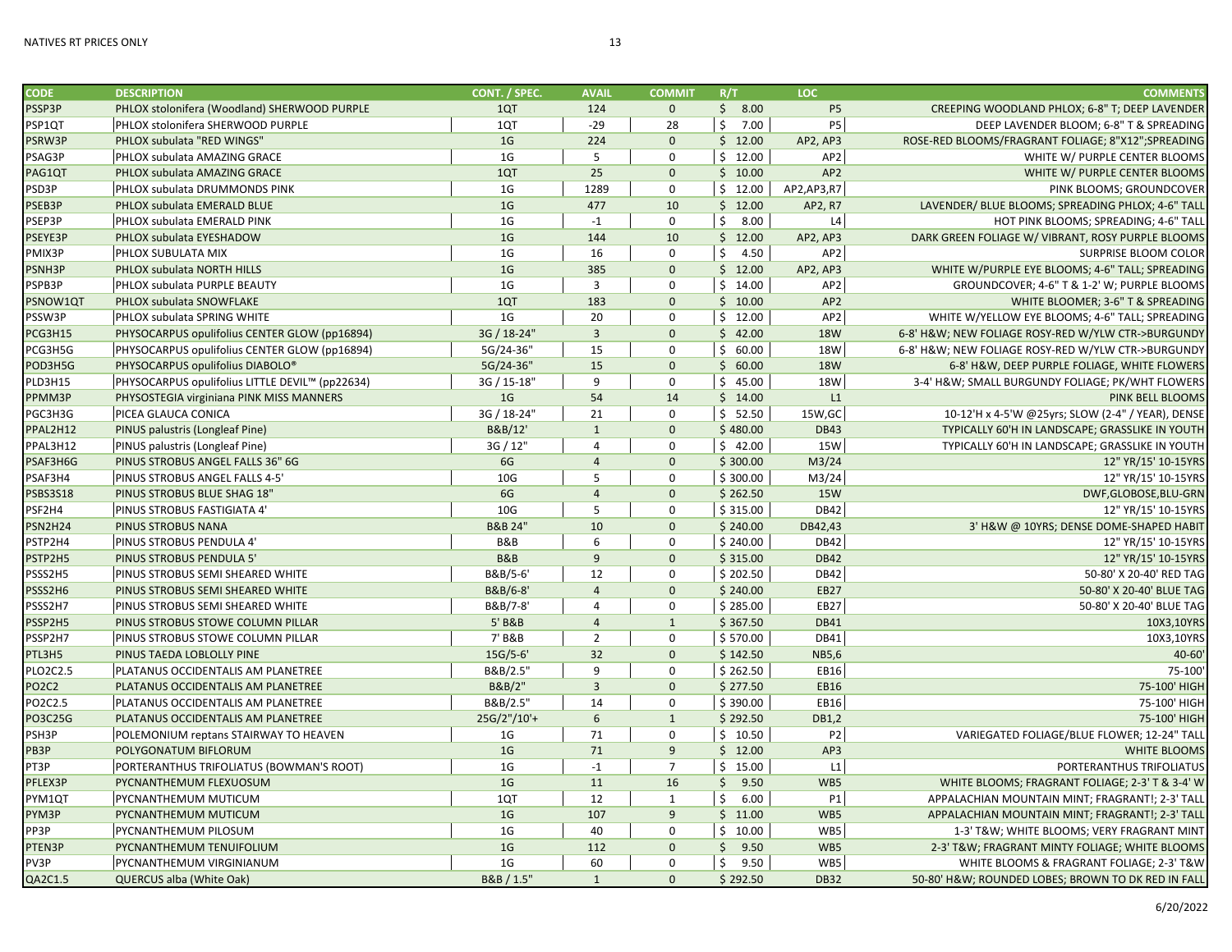| <b>CODE</b>     | <b>DESCRIPTION</b>                              | CONT. / SPEC.      | <b>AVAIL</b>   | <b>COMMIT</b>  | R/T        | <b>LOC</b>         | <b>COMMENTS</b>                                    |
|-----------------|-------------------------------------------------|--------------------|----------------|----------------|------------|--------------------|----------------------------------------------------|
| PSSP3P          | PHLOX stolonifera (Woodland) SHERWOOD PURPLE    | 1QT                | 124            | $\mathbf{0}$   | \$8.00     | <b>P5</b>          | CREEPING WOODLAND PHLOX; 6-8" T; DEEP LAVENDER     |
| PSP1QT          | PHLOX stolonifera SHERWOOD PURPLE               | 1QT                | $-29$          | 28             | \$<br>7.00 | <b>P5</b>          | DEEP LAVENDER BLOOM; 6-8" T & SPREADING            |
| PSRW3P          | PHLOX subulata "RED WINGS"                      | 1 <sub>G</sub>     | 224            | $\Omega$       | \$12.00    | AP2, AP3           | ROSE-RED BLOOMS/FRAGRANT FOLIAGE; 8"X12";SPREADING |
| PSAG3P          | PHLOX subulata AMAZING GRACE                    | 1 <sub>G</sub>     | 5              | $\Omega$       | \$12.00    | AP <sub>2</sub>    | WHITE W/ PURPLE CENTER BLOOMS                      |
| PAG1QT          | PHLOX subulata AMAZING GRACE                    | 1QT                | 25             | $\mathbf{0}$   | \$10.00    | AP <sub>2</sub>    | WHITE W/ PURPLE CENTER BLOOMS                      |
| PSD3P           | PHLOX subulata DRUMMONDS PINK                   | 1 <sub>G</sub>     | 1289           | $\mathbf 0$    | \$12.00    | AP2,AP3,R7         | PINK BLOOMS; GROUNDCOVER                           |
| PSEB3P          | PHLOX subulata EMERALD BLUE                     | 1 <sub>G</sub>     | 477            | 10             | \$12.00    | AP2, R7            | LAVENDER/ BLUE BLOOMS; SPREADING PHLOX; 4-6" TALI  |
| PSEP3P          | PHLOX subulata EMERALD PINK                     | 1 <sub>G</sub>     | $-1$           | $\mathbf 0$    | \$<br>8.00 | L4                 | HOT PINK BLOOMS; SPREADING; 4-6" TALI              |
| PSEYE3P         | PHLOX subulata EYESHADOW                        | 1 <sub>G</sub>     | 144            | 10             | \$12.00    | AP2, AP3           | DARK GREEN FOLIAGE W/ VIBRANT, ROSY PURPLE BLOOMS  |
| PMIX3P          | PHLOX SUBULATA MIX                              | 1 <sub>G</sub>     | 16             | $\mathbf 0$    | \$<br>4.50 | AP <sub>2</sub>    | <b>SURPRISE BLOOM COLOR</b>                        |
| PSNH3P          | PHLOX subulata NORTH HILLS                      | 1 <sub>G</sub>     | 385            | $\mathbf{0}$   | \$12.00    | AP2, AP3           | WHITE W/PURPLE EYE BLOOMS; 4-6" TALL; SPREADING    |
| PSPB3P          | PHLOX subulata PURPLE BEAUTY                    | 1 <sub>G</sub>     | 3              | 0              | \$14.00    | AP <sub>2</sub>    | GROUNDCOVER; 4-6" T & 1-2' W; PURPLE BLOOMS        |
| PSNOW1QT        | PHLOX subulata SNOWFLAKE                        | 1QT                | 183            | $\Omega$       | \$10.00    | AP <sub>2</sub>    | WHITE BLOOMER; 3-6" T & SPREADING                  |
| PSSW3P          | PHLOX subulata SPRING WHITE                     | 1 <sub>G</sub>     | 20             | $\Omega$       | \$12.00    | AP <sub>2</sub>    | WHITE W/YELLOW EYE BLOOMS; 4-6" TALL; SPREADING    |
| PCG3H15         | PHYSOCARPUS opulifolius CENTER GLOW (pp16894)   | 3G / 18-24"        | $\overline{3}$ | $\Omega$       | \$42.00    | <b>18W</b>         | 6-8' H&W NEW FOLIAGE ROSY-RED W/YLW CTR->BURGUNDY  |
| PCG3H5G         | PHYSOCARPUS opulifolius CENTER GLOW (pp16894)   | 5G/24-36'          | 15             | $\Omega$       | \$60.00    | <b>18W</b>         | 6-8' H&W NEW FOLIAGE ROSY-RED W/YLW CTR->BURGUNDY  |
| POD3H5G         | PHYSOCARPUS opulifolius DIABOLO®                | 5G/24-36"          | 15             | $\mathbf{0}$   | \$60.00    | <b>18W</b>         | 6-8' H&W, DEEP PURPLE FOLIAGE, WHITE FLOWERS       |
| PLD3H15         | PHYSOCARPUS opulifolius LITTLE DEVIL™ (pp22634) | 3G / 15-18"        | 9              | $\Omega$       | \$45.00    | <b>18W</b>         | 3-4' H&W SMALL BURGUNDY FOLIAGE; PK/WHT FLOWERS    |
| PPMM3P          | PHYSOSTEGIA virginiana PINK MISS MANNERS        | 1 <sub>G</sub>     | 54             | 14             | \$14.00    | L1                 | PINK BELL BLOOMS                                   |
| PGC3H3G         | PICEA GLAUCA CONICA                             | 3G / 18-24"        | 21             | $\mathbf 0$    | \$52.50    | 15W, GC            | 10-12'H x 4-5'W @25yrs; SLOW (2-4" / YEAR), DENSE  |
| PPAL2H12        | PINUS palustris (Longleaf Pine)                 | B&B/12'            | $\mathbf{1}$   | $\mathbf{0}$   | \$480.00   | <b>DB43</b>        | TYPICALLY 60'H IN LANDSCAPE; GRASSLIKE IN YOUTH    |
| PPAL3H12        | PINUS palustris (Longleaf Pine)                 | 3G / 12"           | 4              | $\mathbf 0$    | \$42.00    | 15W                | TYPICALLY 60'H IN LANDSCAPE; GRASSLIKE IN YOUTH    |
| PSAF3H6G        | PINUS STROBUS ANGEL FALLS 36" 6G                | 6G                 | $\overline{4}$ | $\mathbf{0}$   | \$300.00   | M <sub>3</sub> /24 | 12" YR/15' 10-15YRS                                |
| PSAF3H4         | PINUS STROBUS ANGEL FALLS 4-5'                  | 10 <sub>G</sub>    | 5              | $\mathbf 0$    | \$300.00   | M <sub>3</sub> /24 | 12" YR/15' 10-15YRS                                |
| <b>PSBS3S18</b> | PINUS STROBUS BLUE SHAG 18"                     | 6G                 | $\overline{4}$ | $\Omega$       | \$262.50   | 15 <sub>W</sub>    | DWF,GLOBOSE,BLU-GRN                                |
| PSF2H4          | PINUS STROBUS FASTIGIATA 4                      | 10 <sub>G</sub>    | $\overline{5}$ | $\mathbf 0$    | \$315.00   | <b>DB42</b>        | 12" YR/15' 10-15YRS                                |
| <b>PSN2H24</b>  | PINUS STROBUS NANA                              | <b>B&amp;B 24"</b> | 10             | $\mathbf{0}$   | \$240.00   | DB42,43            | 3' H&W @ 10YRS; DENSE DOME-SHAPED HABIT            |
| PSTP2H4         | PINUS STROBUS PENDULA 4'                        | B&B                | 6              | $\Omega$       | \$240.00   | <b>DB42</b>        | 12" YR/15' 10-15YRS                                |
| PSTP2H5         | PINUS STROBUS PENDULA 5'                        | <b>B&amp;B</b>     | 9              | $\Omega$       | \$315.00   | <b>DB42</b>        | 12" YR/15' 10-15YRS                                |
| PSSS2H5         | PINUS STROBUS SEMI SHEARED WHITE                | B&B/5-6'           | 12             | $\mathbf 0$    | \$202.50   | DB42               | 50-80' X 20-40' RED TAG                            |
| PSSS2H6         | PINUS STROBUS SEMI SHEARED WHITE                | B&B/6-8'           | $\overline{4}$ | $\mathbf{0}$   | \$240.00   | <b>EB27</b>        | 50-80' X 20-40' BLUE TAG                           |
| PSSS2H7         | PINUS STROBUS SEMI SHEARED WHITE                | B&B/7-8'           | 4              | $\mathbf 0$    | \$285.00   | EB27               | 50-80' X 20-40' BLUE TAG                           |
| PSSP2H5         | PINUS STROBUS STOWE COLUMN PILLAR               | 5' B&B             | $\overline{4}$ | $\mathbf{1}$   | \$367.50   | <b>DB41</b>        | 10X3,10YRS                                         |
| PSSP2H7         | PINUS STROBUS STOWE COLUMN PILLAR               | 7' B&B             | $\overline{2}$ | $\mathbf 0$    | \$570.00   | <b>DB41</b>        | 10X3,10YRS                                         |
| PTL3H5          | PINUS TAEDA LOBLOLLY PINE                       | $15G/5-6'$         | 32             | $\mathbf{0}$   | \$142.50   | NB5,6              | 40-60                                              |
| <b>PLO2C2.5</b> | PLATANUS OCCIDENTALIS AM PLANETREE              | B&B/2.5"           | 9              | $\mathbf 0$    | \$262.50   | EB16               | 75-100                                             |
| <b>PO2C2</b>    | PLATANUS OCCIDENTALIS AM PLANETREE              | B&B/2"             | $\overline{3}$ | $\mathbf{0}$   | \$277.50   | <b>EB16</b>        | 75-100' HIGH                                       |
| PO2C2.5         | PLATANUS OCCIDENTALIS AM PLANETREE              | B&B/2.5"           | 14             | $\mathbf 0$    | \$390.00   | EB16               | 75-100' HIGH                                       |
| <b>PO3C25G</b>  | PLATANUS OCCIDENTALIS AM PLANETREE              | 25G/2"/10'+        | 6              | $\mathbf{1}$   | \$292.50   | DB1,2              | 75-100' HIGH                                       |
| PSH3P           | POLEMONIUM reptans STAIRWAY TO HEAVEN           | 1 <sub>G</sub>     | 71             | $\mathbf 0$    | \$10.50    | P <sub>2</sub>     | VARIEGATED FOLIAGE/BLUE FLOWER; 12-24" TALI        |
| PB3P            | POLYGONATUM BIFLORUM                            | 1 <sub>G</sub>     | 71             | 9              | \$12.00    | AP3                | <b>WHITE BLOOMS</b>                                |
| PT3P            | PORTERANTHUS TRIFOLIATUS (BOWMAN'S ROOT)        | 1 <sub>G</sub>     | $\textbf{-1}$  | $\overline{7}$ | \$15.00    | L1                 | PORTERANTHUS TRIFOLIATUS                           |
| PFLEX3P         | PYCNANTHEMUM FLEXUOSUM                          | 1 <sub>G</sub>     | 11             | 16             | 9.50<br>\$ | WB5                | WHITE BLOOMS; FRAGRANT FOLIAGE; 2-3' T & 3-4' W    |
| PYM1QT          | PYCNANTHEMUM MUTICUM                            | 1QT                | 12             | $\mathbf{1}$   | \$<br>6.00 | P1                 | APPALACHIAN MOUNTAIN MINT; FRAGRANT!; 2-3' TALI    |
| PYM3P           | PYCNANTHEMUM MUTICUM                            | 1 <sub>G</sub>     | 107            | $\overline{9}$ | \$11.00    | WB5                | APPALACHIAN MOUNTAIN MINT; FRAGRANT!; 2-3' TALI    |
| PP3P            | PYCNANTHEMUM PILOSUM                            | 1 <sub>G</sub>     | 40             | $\Omega$       | \$10.00    | WB5                | 1-3' T&W WHITE BLOOMS; VERY FRAGRANT MINT          |
| PTEN3P          | PYCNANTHEMUM TENUIFOLIUM                        | 1 <sub>G</sub>     | 112            | $\mathbf{0}$   | \$9.50     | WB5                | 2-3' T&W FRAGRANT MINTY FOLIAGE; WHITE BLOOMS      |
| PV3P            | PYCNANTHEMUM VIRGINIANUM                        | 1 <sub>G</sub>     | 60             | $\mathbf 0$    | Ś.<br>9.50 | WB5                | WHITE BLOOMS & FRAGRANT FOLIAGE: 2-3' T&W          |
| QA2C1.5         | <b>QUERCUS alba (White Oak)</b>                 | B&B / 1.5"         | $\mathbf{1}$   | $\mathbf{0}$   | \$292.50   | <b>DB32</b>        | 50-80' H&W ROUNDED LOBES; BROWN TO DK RED IN FALL  |
|                 |                                                 |                    |                |                |            |                    |                                                    |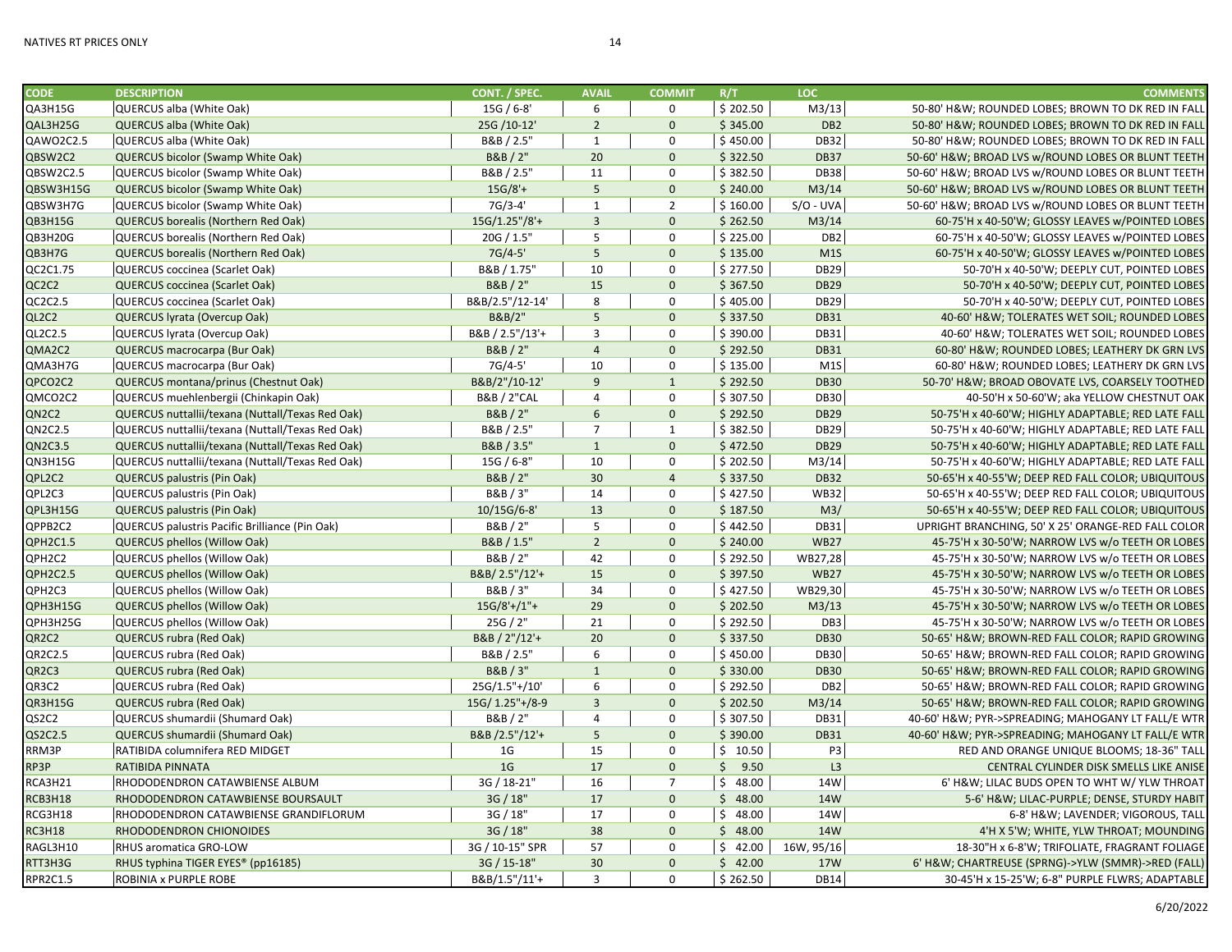| <b>CODE</b>     | <b>DESCRIPTION</b>                               | CONT. / SPEC.          | <b>AVAIL</b>   | <b>COMMIT</b>  | R/T      | LOC.             | <b>COMMENTS</b>                                                                                        |
|-----------------|--------------------------------------------------|------------------------|----------------|----------------|----------|------------------|--------------------------------------------------------------------------------------------------------|
| QA3H15G         | QUERCUS alba (White Oak)                         | 15G / 6-8'             | 6              | $\mathbf 0$    | \$202.50 | M3/13            | 50-80' H&W ROUNDED LOBES; BROWN TO DK RED IN FALL                                                      |
| QAL3H25G        | QUERCUS alba (White Oak)                         | 25G /10-12'            | $\overline{2}$ | $\mathbf{0}$   | \$345.00 | DB <sub>2</sub>  | 50-80' H&W ROUNDED LOBES; BROWN TO DK RED IN FALL                                                      |
| QAWO2C2.5       | QUERCUS alba (White Oak)                         | B&B / 2.5"             | $\mathbf{1}$   | $\mathbf 0$    | \$450.00 | <b>DB32</b>      | 50-80' H&W ROUNDED LOBES; BROWN TO DK RED IN FALL                                                      |
| QBSW2C2         | QUERCUS bicolor (Swamp White Oak)                | B&B / 2"               | 20             | $\mathbf{0}$   | \$322.50 | <b>DB37</b>      | 50-60' H&W BROAD LVS w/ROUND LOBES OR BLUNT TEETH                                                      |
| QBSW2C2.5       | QUERCUS bicolor (Swamp White Oak)                | B&B / 2.5"             | 11             | $\mathbf 0$    | \$382.50 | <b>DB38</b>      | 50-60' H&W BROAD LVS w/ROUND LOBES OR BLUNT TEETH                                                      |
| QBSW3H15G       | QUERCUS bicolor (Swamp White Oak)                | $15G/8'+$              | 5 <sup>1</sup> | $\mathbf{0}$   | \$240.00 | M3/14            | 50-60' H&W BROAD LVS w/ROUND LOBES OR BLUNT TEETH                                                      |
| QBSW3H7G        | QUERCUS bicolor (Swamp White Oak)                | 7G/3-4'                | $\mathbf 1$    | $\overline{2}$ | \$160.00 | $S/O$ - UVA      | 50-60' H&W BROAD LVS w/ROUND LOBES OR BLUNT TEETH                                                      |
| QB3H15G         | <b>QUERCUS borealis (Northern Red Oak)</b>       | $15G/1.25''/8'+$       | $\overline{3}$ | $\mathbf{0}$   | \$262.50 | M3/14            | 60-75'H x 40-50'W; GLOSSY LEAVES w/POINTED LOBES                                                       |
| QB3H20G         | QUERCUS borealis (Northern Red Oak)              | 20G / 1.5"             | 5              | $\mathbf 0$    | \$225.00 | DB <sub>2</sub>  | 60-75'H x 40-50'W; GLOSSY LEAVES w/POINTED LOBES                                                       |
| QB3H7G          | <b>QUERCUS borealis (Northern Red Oak)</b>       | $7G/4-5'$              | 5              | $\mathbf{0}$   | \$135.00 | M1S              | 60-75'H x 40-50'W; GLOSSY LEAVES w/POINTED LOBES                                                       |
| QC2C1.75        | QUERCUS coccinea (Scarlet Oak)                   | B&B / 1.75'            | 10             | $\Omega$       | \$277.50 | DB <sub>29</sub> | 50-70'H x 40-50'W; DEEPLY CUT, POINTED LOBES                                                           |
| QC2C2           | QUERCUS coccinea (Scarlet Oak)                   | B&B / 2"               | 15             | $\mathbf{0}$   | \$367.50 | <b>DB29</b>      | 50-70'H x 40-50'W; DEEPLY CUT, POINTED LOBES                                                           |
| QC2C2.5         | QUERCUS coccinea (Scarlet Oak)                   | B&B/2.5"/12-14'        | 8              | $\mathbf 0$    | \$405.00 | <b>DB29</b>      | 50-70'H x 40-50'W; DEEPLY CUT, POINTED LOBES                                                           |
| QL2C2           | QUERCUS lyrata (Overcup Oak)                     | B&B/2"                 | 5              | $\mathbf{0}$   | \$337.50 | <b>DB31</b>      | 40-60' H&W TOLERATES WET SOIL; ROUNDED LOBES                                                           |
| QL2C2.5         | QUERCUS lyrata (Overcup Oak)                     | B&B / 2.5"/13'+        | 3              | $\mathbf 0$    | \$390.00 | <b>DB31</b>      | 40-60' H&W TOLERATES WET SOIL; ROUNDED LOBES                                                           |
| QMA2C2          | QUERCUS macrocarpa (Bur Oak)                     | B&B / 2"               | $\overline{4}$ | $\mathbf{0}$   | \$292.50 | <b>DB31</b>      | 60-80' H&W ROUNDED LOBES; LEATHERY DK GRN LVS                                                          |
| QMA3H7G         | QUERCUS macrocarpa (Bur Oak)                     | 7G/4-5'                | 10             | $\Omega$       | \$135.00 | M1S              | 60-80' H&W ROUNDED LOBES; LEATHERY DK GRN LVS                                                          |
| QPCO2C2         | QUERCUS montana/prinus (Chestnut Oak)            | B&B/2"/10-12'          | 9              | $\mathbf{1}$   | \$292.50 | <b>DB30</b>      | 50-70' H&W BROAD OBOVATE LVS, COARSELY TOOTHED                                                         |
| QMCO2C2         | QUERCUS muehlenbergii (Chinkapin Oak)            | <b>B&amp;B / 2"CAL</b> | $\overline{4}$ | $\mathbf 0$    | \$307.50 | <b>DB30</b>      | 40-50'H x 50-60'W; aka YELLOW CHESTNUT OAK                                                             |
| QN2C2           | QUERCUS nuttallii/texana (Nuttall/Texas Red Oak) | B&B / 2"               | 6              | $\mathbf{0}$   | \$292.50 | <b>DB29</b>      | 50-75'H x 40-60'W; HIGHLY ADAPTABLE; RED LATE FALL                                                     |
| QN2C2.5         | QUERCUS nuttallii/texana (Nuttall/Texas Red Oak) | B&B / 2.5"             | $\overline{7}$ | $\mathbf{1}$   | \$382.50 | <b>DB29</b>      | 50-75'H x 40-60'W; HIGHLY ADAPTABLE; RED LATE FALL                                                     |
| QN2C3.5         | QUERCUS nuttallii/texana (Nuttall/Texas Red Oak) | B&B / 3.5"             | $\mathbf{1}$   | $\mathbf{0}$   | \$472.50 | <b>DB29</b>      | 50-75'H x 40-60'W; HIGHLY ADAPTABLE; RED LATE FALL                                                     |
| QN3H15G         | QUERCUS nuttallii/texana (Nuttall/Texas Red Oak) | 15G / 6-8"             | 10             | $\Omega$       | \$202.50 | M3/14            | 50-75'H x 40-60'W; HIGHLY ADAPTABLE; RED LATE FALL                                                     |
| QPL2C2          | <b>QUERCUS palustris (Pin Oak)</b>               | B&B / 2"               | 30             | $\overline{4}$ | \$337.50 | <b>DB32</b>      | 50-65'H x 40-55'W; DEEP RED FALL COLOR; UBIQUITOUS                                                     |
| QPL2C3          | QUERCUS palustris (Pin Oak)                      | B&B / 3"               | 14             | $\mathbf 0$    | \$427.50 | <b>WB32</b>      | 50-65'H x 40-55'W; DEEP RED FALL COLOR; UBIQUITOUS                                                     |
| QPL3H15G        | <b>QUERCUS palustris (Pin Oak)</b>               | 10/15G/6-8'            | 13             | $\mathbf{0}$   | \$187.50 | M3/              | 50-65'H x 40-55'W; DEEP RED FALL COLOR; UBIQUITOUS                                                     |
| QPPB2C2         | QUERCUS palustris Pacific Brilliance (Pin Oak)   | B&B / 2"               | 5              | $\mathbf 0$    | \$442.50 | <b>DB31</b>      | UPRIGHT BRANCHING, 50' X 25' ORANGE-RED FALL COLOR                                                     |
| QPH2C1.5        | <b>QUERCUS phellos (Willow Oak)</b>              | B&B / 1.5"             | $\overline{2}$ | $\Omega$       | \$240.00 | <b>WB27</b>      | 45-75'H x 30-50'W; NARROW LVS w/o TEETH OR LOBES                                                       |
| QPH2C2          | QUERCUS phellos (Willow Oak)                     | B&B / 2"               | 42             | $\Omega$       | \$292.50 | WB27,28          | 45-75'H x 30-50'W; NARROW LVS w/o TEETH OR LOBES                                                       |
| QPH2C2.5        | <b>QUERCUS phellos (Willow Oak)</b>              | B&B/2.5"/12'+          | 15             | $\mathbf{0}$   | \$397.50 | <b>WB27</b>      | 45-75'H x 30-50'W; NARROW LVS w/o TEETH OR LOBES                                                       |
| QPH2C3          | QUERCUS phellos (Willow Oak)                     | B&B / 3"               | 34             | $\Omega$       | \$427.50 | WB29,30          | 45-75'H x 30-50'W; NARROW LVS w/o TEETH OR LOBES                                                       |
| QPH3H15G        | <b>QUERCUS phellos (Willow Oak)</b>              | $15G/8'+/1"+$          | 29             | $\mathbf{0}$   | \$202.50 | M3/13            | 45-75'H x 30-50'W; NARROW LVS w/o TEETH OR LOBES                                                       |
| QPH3H25G        | QUERCUS phellos (Willow Oak)                     | 25G / 2"               | 21             | $\mathbf 0$    | \$292.50 | DB3              | 45-75'H x 30-50'W; NARROW LVS w/o TEETH OR LOBES                                                       |
| QR2C2           | QUERCUS rubra (Red Oak)                          | B&B / 2"/12'+          | 20             | $\mathbf{0}$   | \$337.50 | <b>DB30</b>      | 50-65' H&W BROWN-RED FALL COLOR; RAPID GROWING                                                         |
| QR2C2.5         | QUERCUS rubra (Red Oak)                          | B&B / 2.5"             | 6              | $\mathbf 0$    | \$450.00 | <b>DB30</b>      | 50-65' H&W BROWN-RED FALL COLOR; RAPID GROWING                                                         |
| QR2C3           | QUERCUS rubra (Red Oak)                          | B&B/3"                 | $\mathbf{1}$   | $\mathbf{0}$   | \$330.00 | <b>DB30</b>      | 50-65' H&W BROWN-RED FALL COLOR; RAPID GROWING                                                         |
| QR3C2           | QUERCUS rubra (Red Oak)                          | 25G/1.5"+/10'          | 6              | $\Omega$       | \$292.50 | DB <sub>2</sub>  | 50-65' H&W BROWN-RED FALL COLOR; RAPID GROWING                                                         |
| QR3H15G         | <b>QUERCUS rubra (Red Oak)</b>                   | 15G/ 1.25"+/8-9        | $\overline{3}$ | $\mathbf{0}$   | \$202.50 | M3/14            | 50-65' H&W BROWN-RED FALL COLOR; RAPID GROWING                                                         |
| QS2C2           | QUERCUS shumardii (Shumard Oak)                  | B&B / 2"               | $\overline{4}$ | $\Omega$       | \$307.50 | <b>DB31</b>      |                                                                                                        |
| QS2C2.5         | QUERCUS shumardii (Shumard Oak)                  | B&B /2.5"/12'+         | 5              | $\mathbf{0}$   | \$390.00 | <b>DB31</b>      | 40-60' H&W PYR->SPREADING; MAHOGANY LT FALL/E WTR<br>40-60' H&W PYR->SPREADING; MAHOGANY LT FALL/E WTR |
| RRM3P           | RATIBIDA columnifera RED MIDGET                  | 1 <sub>G</sub>         | 15             | $\mathbf 0$    | \$10.50  | P <sub>3</sub>   |                                                                                                        |
|                 |                                                  | 1 <sub>G</sub>         | 17             | $\Omega$       | \$9.50   | L3               | RED AND ORANGE UNIQUE BLOOMS; 18-36" TALL                                                              |
| RP3P<br>RCA3H21 | RATIBIDA PINNATA                                 | 3G / 18-21"            | 16             | $\overline{7}$ | \$48.00  | 14W              | CENTRAL CYLINDER DISK SMELLS LIKE ANISE                                                                |
|                 | RHODODENDRON CATAWBIENSE ALBUM                   |                        |                |                |          |                  | 6' H&W LILAC BUDS OPEN TO WHT W/ YLW THROAT                                                            |
| RCB3H18         | RHODODENDRON CATAWBIENSE BOURSAULT               | 3G / 18"               | 17             | $\mathbf{0}$   | \$48.00  | 14W              | 5-6' H&W LILAC-PURPLE; DENSE, STURDY HABIT                                                             |
| RCG3H18         | RHODODENDRON CATAWBIENSE GRANDIFLORUM            | 3G / 18"               | 17             | $\Omega$       | \$48.00  | 14W              | 6-8' H&W LAVENDER; VIGOROUS, TALL                                                                      |
| <b>RC3H18</b>   | RHODODENDRON CHIONOIDES                          | 3G / 18"               | 38             | $\mathbf{0}$   | \$48.00  | 14W              | 4'H X 5'W; WHITE, YLW THROAT; MOUNDING                                                                 |
| RAGL3H10        | RHUS aromatica GRO-LOW                           | 3G / 10-15" SPR        | 57             | $\mathbf 0$    | \$42.00  | 16W, 95/16       | 18-30"H x 6-8'W; TRIFOLIATE, FRAGRANT FOLIAGE                                                          |
| RTT3H3G         | RHUS typhina TIGER EYES® (pp16185)               | 3G / 15-18"            | 30             | $\mathbf{0}$   | \$42.00  | <b>17W</b>       | 6' H&W CHARTREUSE (SPRNG)->YLW (SMMR)->RED (FALL)                                                      |
| <b>RPR2C1.5</b> | ROBINIA x PURPLE ROBE                            | B&B/1.5"/11'+          | 3              | $\Omega$       | \$262.50 | <b>DB14</b>      | 30-45'H x 15-25'W; 6-8" PURPLE FLWRS; ADAPTABLE                                                        |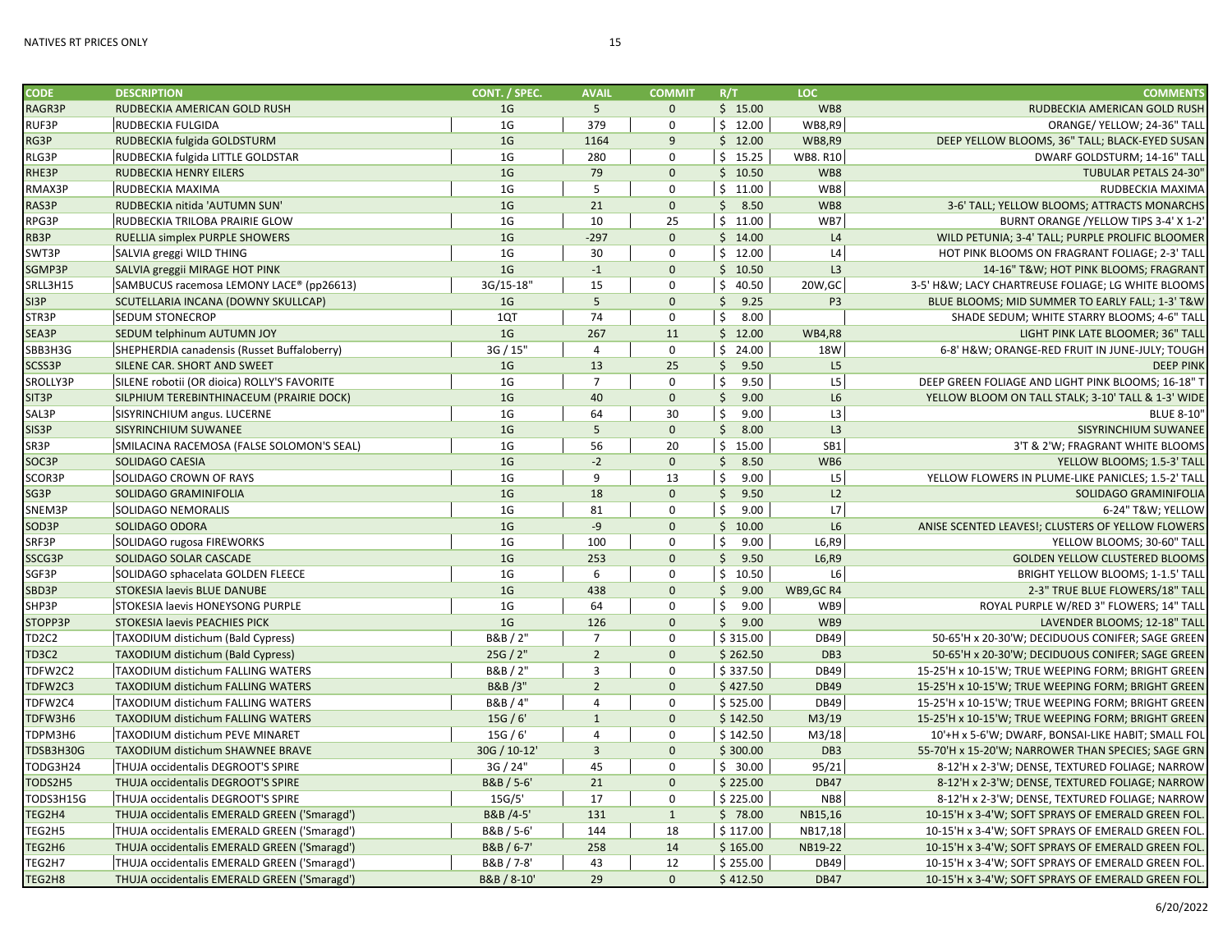| <b>CODE</b>                    | <b>DESCRIPTION</b>                           | CONT. / SPEC.  | <b>AVAIL</b>   | <b>COMMIT</b> | R/T                  | <b>LOC</b>      | <b>COMMENTS</b>                                    |
|--------------------------------|----------------------------------------------|----------------|----------------|---------------|----------------------|-----------------|----------------------------------------------------|
| RAGR3P                         | RUDBECKIA AMERICAN GOLD RUSH                 | 1 <sub>G</sub> | 5              | $\Omega$      | \$15.00              | WB8             | RUDBECKIA AMERICAN GOLD RUSH                       |
| RUF3P                          | <b>RUDBECKIA FULGIDA</b>                     | 1 <sub>G</sub> | 379            | $\Omega$      | \$12.00              | <b>WB8,R9</b>   | ORANGE/ YELLOW; 24-36" TALI                        |
| RG3P                           | RUDBECKIA fulgida GOLDSTURM                  | 1 <sub>G</sub> | 1164           | 9             | \$12.00              | <b>WB8,R9</b>   | DEEP YELLOW BLOOMS, 36" TALL; BLACK-EYED SUSAN     |
| RLG3P                          | RUDBECKIA fulgida LITTLE GOLDSTAR            | 1 <sub>G</sub> | 280            | $\mathbf 0$   | \$15.25              | <b>WB8.R10</b>  | DWARF GOLDSTURM; 14-16" TALI                       |
| RHE3P                          | <b>RUDBECKIA HENRY EILERS</b>                | 1 <sub>G</sub> | 79             | $\mathbf{0}$  | \$10.50              | WB8             | <b>TUBULAR PETALS 24-30'</b>                       |
| RMAX3P                         | RUDBECKIA MAXIMA                             | 1 <sub>G</sub> | 5              | $\mathbf 0$   | \$11.00              | WB8             | RUDBECKIA MAXIMA                                   |
| RAS3P                          | RUDBECKIA nitida 'AUTUMN SUN'                | 1 <sub>G</sub> | 21             | $\mathbf{0}$  | \$8.50               | WB8             | 3-6' TALL; YELLOW BLOOMS; ATTRACTS MONARCHS        |
| RPG3P                          | RUDBECKIA TRILOBA PRAIRIE GLOW               | 1 <sub>G</sub> | 10             | 25            | \$11.00              | WB7             | BURNT ORANGE /YELLOW TIPS 3-4' X 1-2               |
| RB3P                           | RUELLIA simplex PURPLE SHOWERS               | 1 <sub>G</sub> | $-297$         | $\Omega$      | \$14.00              | L4              | WILD PETUNIA; 3-4' TALL; PURPLE PROLIFIC BLOOMER   |
| SWT3P                          | SALVIA greggi WILD THING                     | 1 <sub>G</sub> | 30             | $\Omega$      | \$12.00              | L4              | HOT PINK BLOOMS ON FRAGRANT FOLIAGE; 2-3' TALI     |
| SGMP3P                         | SALVIA greggii MIRAGE HOT PINK               | 1 <sub>G</sub> | $-1$           | $\mathbf{0}$  | \$10.50              | L <sub>3</sub>  | 14-16" T&W HOT PINK BLOOMS; FRAGRANT               |
| SRLL3H15                       | SAMBUCUS racemosa LEMONY LACE® (pp26613)     | 3G/15-18"      | 15             | $\mathbf 0$   | \$40.50              | 20W, GC         | 3-5' H&W LACY CHARTREUSE FOLIAGE; LG WHITE BLOOMS  |
| SI3P                           | SCUTELLARIA INCANA (DOWNY SKULLCAP)          | 1 <sub>G</sub> | 5              | $\mathbf{0}$  | \$9.25               | P <sub>3</sub>  | BLUE BLOOMS; MID SUMMER TO EARLY FALL; 1-3' T&W    |
| STR3P                          | <b>SEDUM STONECROP</b>                       | 1QT            | 74             | $\mathbf 0$   | \$<br>8.00           |                 | SHADE SEDUM; WHITE STARRY BLOOMS; 4-6" TALL        |
| SEA3P                          | SEDUM telphinum AUTUMN JOY                   | 1 <sub>G</sub> | 267            | 11            | \$12.00              | <b>WB4,R8</b>   | LIGHT PINK LATE BLOOMER; 36" TALI                  |
| SBB3H3G                        | SHEPHERDIA canadensis (Russet Buffaloberry)  | 3G / 15"       | 4              | $\mathbf 0$   | \$24.00              | <b>18W</b>      | 6-8' H&W ORANGE-RED FRUIT IN JUNE-JULY; TOUGH      |
| SCSS3P                         | SILENE CAR. SHORT AND SWEET                  | 1 <sub>G</sub> | 13             | 25            | \$9.50               | L <sub>5</sub>  | <b>DEEP PINK</b>                                   |
| SROLLY3P                       | SILENE robotii (OR dioica) ROLLY'S FAVORITE  | 1 <sub>G</sub> | $\overline{7}$ | $\mathbf 0$   | \$<br>9.50           | L5              | DEEP GREEN FOLIAGE AND LIGHT PINK BLOOMS; 16-18" T |
| SIT <sub>3</sub> P             | SILPHIUM TEREBINTHINACEUM (PRAIRIE DOCK)     | 1 <sub>G</sub> | 40             | $\Omega$      | \$9.00               | L <sub>6</sub>  | YELLOW BLOOM ON TALL STALK; 3-10' TALL & 1-3' WIDE |
| SAL3P                          | SISYRINCHIUM angus. LUCERNE                  | 1 <sub>G</sub> | 64             | 30            | \$<br>9.00           | L3              | <b>BLUE 8-10'</b>                                  |
| SIS3P                          | SISYRINCHIUM SUWANEE                         | 1 <sub>G</sub> | 5              | $\mathbf{0}$  | \$8.00               | L <sub>3</sub>  | SISYRINCHIUM SUWANEE                               |
| SR3P                           | SMILACINA RACEMOSA (FALSE SOLOMON'S SEAL)    | 1 <sub>G</sub> | 56             | 20            | \$15.00              | SB <sub>1</sub> | 3'T & 2'W: FRAGRANT WHITE BLOOMS                   |
| SOC3P                          | <b>SOLIDAGO CAESIA</b>                       | 1 <sub>G</sub> | $-2$           | $\mathbf{0}$  | \$3.50               | WB6             | YELLOW BLOOMS; 1.5-3' TALI                         |
| SCOR3P                         | SOLIDAGO CROWN OF RAYS                       | 1 <sub>G</sub> | 9              | 13            | \$<br>9.00           | L5              | YELLOW FLOWERS IN PLUME-LIKE PANICLES; 1.5-2' TALI |
| SG3P                           | SOLIDAGO GRAMINIFOLIA                        | 1 <sub>G</sub> | 18             | $\mathbf{0}$  | $\mathsf{S}$<br>9.50 | L <sub>2</sub>  | SOLIDAGO GRAMINIFOLIA                              |
| SNEM3P                         | <b>SOLIDAGO NEMORALIS</b>                    | 1 <sub>G</sub> | 81             | $\mathbf 0$   | \$<br>9.00           | L7              | 6-24" T&W YELLOW                                   |
| SOD3P                          | SOLIDAGO ODORA                               | 1 <sub>G</sub> | $-9$           | $\mathbf{0}$  | \$10.00              | L6              | ANISE SCENTED LEAVES!; CLUSTERS OF YELLOW FLOWERS  |
| SRF3P                          | SOLIDAGO rugosa FIREWORKS                    | 1 <sub>G</sub> | 100            | $\mathbf 0$   | \$<br>9.00           | L6, R9          | YELLOW BLOOMS; 30-60" TALI                         |
| SSCG3P                         | SOLIDAGO SOLAR CASCADE                       | 1 <sub>G</sub> | 253            | $\Omega$      | $\mathsf{S}$<br>9.50 | L6, R9          | <b>GOLDEN YELLOW CLUSTERED BLOOMS</b>              |
| SGF3P                          | SOLIDAGO sphacelata GOLDEN FLEECE            | 1 <sub>G</sub> | 6              | $\Omega$      | \$10.50              | L6              | BRIGHT YELLOW BLOOMS; 1-1.5' TALI                  |
| SBD3P                          | STOKESIA laevis BLUE DANUBE                  | 1 <sub>G</sub> | 438            | $\Omega$      | Ś.<br>9.00           | WB9, GC R4      | 2-3" TRUE BLUE FLOWERS/18" TALI                    |
| SHP3P                          | STOKESIA laevis HONEYSONG PURPLE             | 1 <sub>G</sub> | 64             | $\mathbf 0$   | \$<br>9.00           | WB9             | ROYAL PURPLE W/RED 3" FLOWERS; 14" TALI            |
| STOPP3P                        | STOKESIA laevis PEACHIES PICK                | 1 <sub>G</sub> | 126            | $\Omega$      | \$9.00               | WB9             | LAVENDER BLOOMS: 12-18" TALI                       |
| TD <sub>2</sub> C <sub>2</sub> | TAXODIUM distichum (Bald Cypress)            | B&B / 2"       | $\overline{7}$ | $\mathbf 0$   | \$315.00             | <b>DB49</b>     | 50-65'H x 20-30'W; DECIDUOUS CONIFER; SAGE GREEN   |
| TD3C2                          | <b>TAXODIUM distichum (Bald Cypress)</b>     | 25G / 2"       | $\overline{2}$ | $\mathbf{0}$  | \$262.50             | DB <sub>3</sub> | 50-65'H x 20-30'W; DECIDUOUS CONIFER; SAGE GREEN   |
| TDFW2C2                        | <b>TAXODIUM distichum FALLING WATERS</b>     | B&B / 2"       | 3              | $\mathbf 0$   | \$337.50             | <b>DB49</b>     | 15-25'H x 10-15'W; TRUE WEEPING FORM; BRIGHT GREEN |
| TDFW2C3                        | <b>TAXODIUM distichum FALLING WATERS</b>     | B&B/3"         | $\overline{2}$ | $\mathbf{0}$  | \$427.50             | <b>DB49</b>     | 15-25'H x 10-15'W; TRUE WEEPING FORM; BRIGHT GREEN |
| TDFW2C4                        | <b>TAXODIUM distichum FALLING WATERS</b>     | B&B / 4"       | $\overline{a}$ | $\Omega$      | \$525.00             | <b>DB49</b>     | 15-25'H x 10-15'W; TRUE WEEPING FORM; BRIGHT GREEN |
| TDFW3H6                        | <b>TAXODIUM distichum FALLING WATERS</b>     | 15G/6'         | $\mathbf{1}$   | $\Omega$      | \$142.50             | M3/19           | 15-25'H x 10-15'W; TRUE WEEPING FORM; BRIGHT GREEN |
| TDPM3H6                        | TAXODIUM distichum PEVE MINARET              | 15G/6'         | $\overline{a}$ | $\Omega$      | \$142.50             | M3/18           | 10'+H x 5-6'W; DWARF, BONSAI-LIKE HABIT; SMALL FOI |
| TDSB3H30G                      | TAXODIUM distichum SHAWNEE BRAVE             | 30G / 10-12'   | $\overline{3}$ | $\Omega$      | \$300.00             | DB <sub>3</sub> | 55-70'H x 15-20'W; NARROWER THAN SPECIES; SAGE GRN |
| TODG3H24                       | THUJA occidentalis DEGROOT'S SPIRE           | 3G / 24"       | 45             | $\Omega$      | \$30.00              | 95/21           | 8-12'H x 2-3'W; DENSE, TEXTURED FOLIAGE; NARROW    |
| TODS2H5                        | THUJA occidentalis DEGROOT'S SPIRE           | B&B / 5-6'     | 21             | $\mathbf{0}$  | \$225.00             | <b>DB47</b>     | 8-12'H x 2-3'W; DENSE, TEXTURED FOLIAGE; NARROW    |
| TODS3H15G                      | THUJA occidentalis DEGROOT'S SPIRE           | 15G/5'         | 17             | $\mathbf 0$   | \$225.00             | NB <sub>8</sub> | 8-12'H x 2-3'W; DENSE, TEXTURED FOLIAGE; NARROW    |
| TEG2H4                         | THUJA occidentalis EMERALD GREEN ('Smaragd') | B&B /4-5'      | 131            | $\mathbf{1}$  | \$78.00              | NB15,16         | 10-15'H x 3-4'W; SOFT SPRAYS OF EMERALD GREEN FOL  |
| TEG2H5                         | THUJA occidentalis EMERALD GREEN ('Smaragd') | B&B / 5-6'     | 144            | 18            | \$117.00             | NB17,18         | 10-15'H x 3-4'W; SOFT SPRAYS OF EMERALD GREEN FOL  |
| TEG2H6                         | THUJA occidentalis EMERALD GREEN ('Smaragd') | B&B / 6-7'     | 258            | 14            | \$165.00             | NB19-22         | 10-15'H x 3-4'W; SOFT SPRAYS OF EMERALD GREEN FOL  |
| TEG2H7                         | THUJA occidentalis EMERALD GREEN ('Smaragd') | B&B / 7-8'     | 43             | 12            | \$255.00             | <b>DB49</b>     | 10-15'H x 3-4'W; SOFT SPRAYS OF EMERALD GREEN FOL  |
| TEG2H8                         | THUJA occidentalis EMERALD GREEN ('Smaragd') | B&B / 8-10'    | 29             | $\mathbf 0$   | \$412.50             | <b>DB47</b>     | 10-15'H x 3-4'W; SOFT SPRAYS OF EMERALD GREEN FOL  |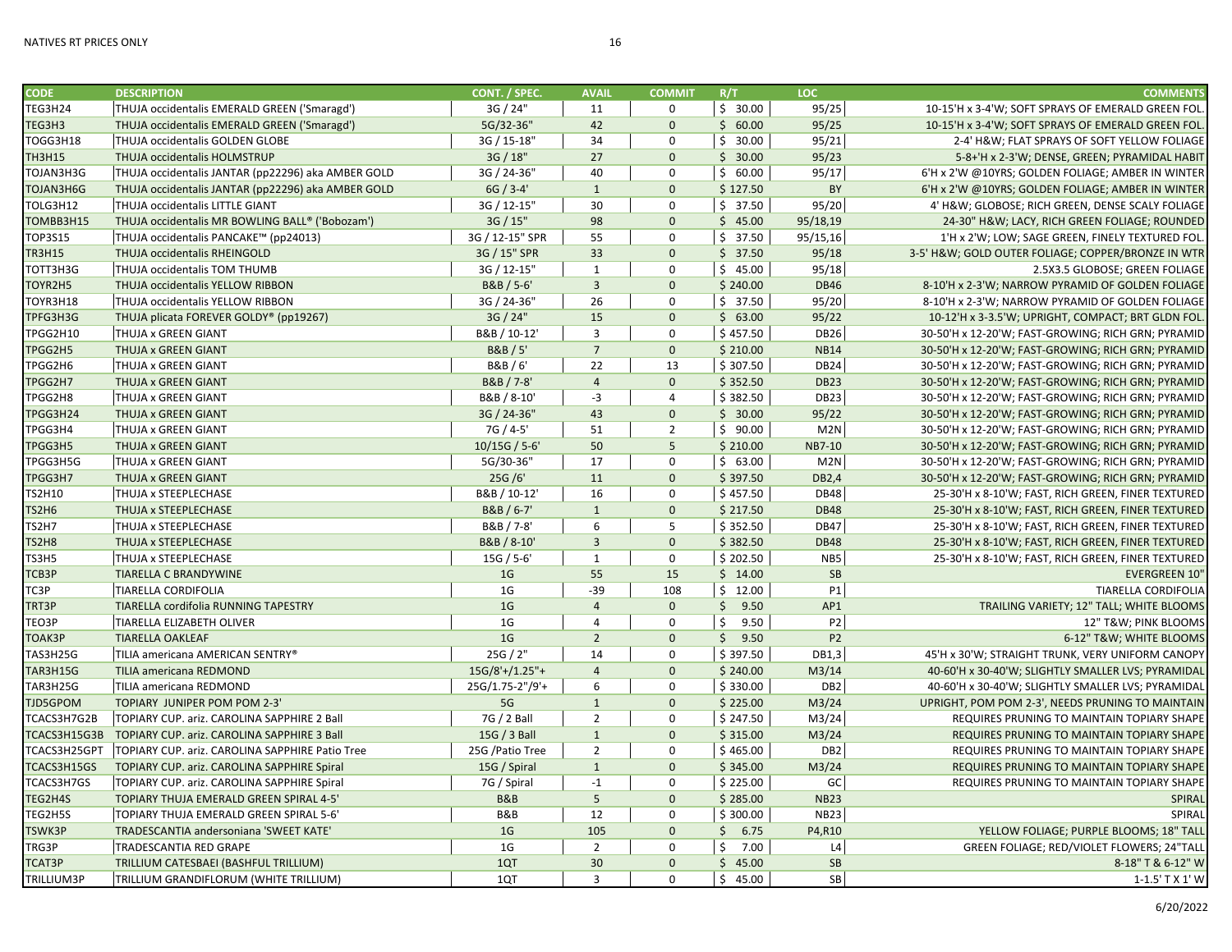| <b>CODE</b>     | <b>DESCRIPTION</b>                                 | CONT. / SPEC.     | <b>AVAIL</b>    | <b>COMMIT</b>  | R/T        | <b>LOC</b>       | <b>COMMENTS</b>                                    |
|-----------------|----------------------------------------------------|-------------------|-----------------|----------------|------------|------------------|----------------------------------------------------|
| TEG3H24         | THUJA occidentalis EMERALD GREEN ('Smaragd')       | 3G / 24"          | 11              | $\Omega$       | \$30.00    | 95/25            | 10-15'H x 3-4'W; SOFT SPRAYS OF EMERALD GREEN FOL. |
| TEG3H3          | THUJA occidentalis EMERALD GREEN ('Smaragd')       | 5G/32-36"         | 42              | $\mathbf{0}$   | \$60.00    | 95/25            | 10-15'H x 3-4'W; SOFT SPRAYS OF EMERALD GREEN FOL. |
| TOGG3H18        | THUJA occidentalis GOLDEN GLOBE                    | 3G / 15-18"       | 34              | 0              | \$30.00    | 95/21            | 2-4' H&W FLAT SPRAYS OF SOFT YELLOW FOLIAGE        |
| TH3H15          | THUJA occidentalis HOLMSTRUP                       | 3G / 18"          | 27              | $\Omega$       | \$30.00    | 95/23            | 5-8+'H x 2-3'W; DENSE, GREEN; PYRAMIDAL HABIT      |
| TOJAN3H3G       | THUJA occidentalis JANTAR (pp22296) aka AMBER GOLD | 3G / 24-36"       | 40              | 0              | \$60.00    | 95/17            | 6'H x 2'W @10YRS; GOLDEN FOLIAGE; AMBER IN WINTER  |
| TOJAN3H6G       | THUJA occidentalis JANTAR (pp22296) aka AMBER GOLD | $6G / 3 - 4'$     | $\mathbf{1}$    | $\mathbf{0}$   | \$127.50   | <b>BY</b>        | 6'H x 2'W @10YRS; GOLDEN FOLIAGE; AMBER IN WINTER  |
| TOLG3H12        | THUJA occidentalis LITTLE GIANT                    | 3G / 12-15"       | 30              | 0              | \$37.50    | 95/20            | 4' H&W GLOBOSE; RICH GREEN, DENSE SCALY FOLIAGE    |
| TOMBB3H15       | THUJA occidentalis MR BOWLING BALL® ('Bobozam')    | 3G / 15"          | 98              | $\Omega$       | \$45.00    | 95/18,19         | 24-30" H&W LACY, RICH GREEN FOLIAGE; ROUNDED       |
| TOP3S15         | THUJA occidentalis PANCAKE™ (pp24013)              | 3G / 12-15" SPR   | 55              | $\mathbf 0$    | \$37.50    | 95/15,16         | 1'H x 2'W; LOW; SAGE GREEN, FINELY TEXTURED FOL.   |
| TR3H15          | THUJA occidentalis RHEINGOLD                       | 3G / 15" SPR      | 33              | $\overline{0}$ | \$37.50    | 95/18            | 3-5' H&W GOLD OUTER FOLIAGE; COPPER/BRONZE IN WTR  |
| TOTT3H3G        | THUJA occidentalis TOM THUMB                       | 3G / 12-15"       | $\mathbf{1}$    | 0              | \$45.00    | 95/18            | 2.5X3.5 GLOBOSE; GREEN FOLIAGE                     |
| TOYR2H5         | THUJA occidentalis YELLOW RIBBON                   | B&B / 5-6'        | $\overline{3}$  | $\mathbf{0}$   | \$240.00   | <b>DB46</b>      | 8-10'H x 2-3'W; NARROW PYRAMID OF GOLDEN FOLIAGE   |
| TOYR3H18        | THUJA occidentalis YELLOW RIBBON                   | 3G / 24-36"       | 26              | 0              | \$37.50    | 95/20            | 8-10'H x 2-3'W; NARROW PYRAMID OF GOLDEN FOLIAGE   |
| TPFG3H3G        | THUJA plicata FOREVER GOLDY® (pp19267)             | 3G / 24"          | 15              | $\mathbf{0}$   | \$63.00    | 95/22            | 10-12'H x 3-3.5'W; UPRIGHT, COMPACT; BRT GLDN FOL. |
| TPGG2H10        | THUJA x GREEN GIANT                                | B&B / 10-12'      | 3               | 0              | \$457.50   | <b>DB26</b>      | 30-50'H x 12-20'W; FAST-GROWING; RICH GRN; PYRAMID |
| TPGG2H5         | THUJA x GREEN GIANT                                | B&B / 5'          | $\overline{7}$  | $\mathbf{0}$   | \$210.00   | <b>NB14</b>      | 30-50'H x 12-20'W; FAST-GROWING; RICH GRN; PYRAMID |
| TPGG2H6         | <b>THUJA x GREEN GIANT</b>                         | B&B / 6'          | 22              | 13             | \$307.50   | <b>DB24</b>      | 30-50'H x 12-20'W; FAST-GROWING; RICH GRN; PYRAMID |
| TPGG2H7         | THUJA x GREEN GIANT                                | B&B / 7-8'        | $\overline{4}$  | $\mathbf{0}$   | \$352.50   | <b>DB23</b>      | 30-50'H x 12-20'W; FAST-GROWING; RICH GRN; PYRAMID |
| TPGG2H8         | THUJA x GREEN GIANT                                | B&B / 8-10'       | $-3$            | 4              | \$382.50   | DB <sub>23</sub> | 30-50'H x 12-20'W; FAST-GROWING; RICH GRN; PYRAMID |
| TPGG3H24        | THUJA x GREEN GIANT                                | 3G / 24-36"       | 43              | $\mathbf{0}$   | \$30.00    | 95/22            | 30-50'H x 12-20'W; FAST-GROWING; RICH GRN; PYRAMID |
| TPGG3H4         | <b>THUJA x GREEN GIANT</b>                         | 7G / 4-5'         | 51              | $\overline{2}$ | \$90.00    | M2N              | 30-50'H x 12-20'W; FAST-GROWING; RICH GRN; PYRAMID |
| TPGG3H5         | THUJA x GREEN GIANT                                | $10/15G / 5 - 6'$ | 50              | 5 <sup>5</sup> | \$210.00   | <b>NB7-10</b>    | 30-50'H x 12-20'W; FAST-GROWING; RICH GRN; PYRAMID |
| TPGG3H5G        | <b>THUJA x GREEN GIANT</b>                         | 5G/30-36"         | 17              | 0              | \$63.00    | M2N              | 30-50'H x 12-20'W; FAST-GROWING; RICH GRN; PYRAMID |
| TPGG3H7         | THUJA x GREEN GIANT                                | 25G/6'            | 11              | $\mathbf{0}$   | \$397.50   | DB2,4            | 30-50'H x 12-20'W; FAST-GROWING; RICH GRN; PYRAMID |
| TS2H10          | <b>THUJA x STEEPLECHASE</b>                        | B&B / 10-12'      | 16              | 0              | \$457.50   | <b>DB48</b>      | 25-30'H x 8-10'W; FAST, RICH GREEN, FINER TEXTURED |
| <b>TS2H6</b>    | THUJA x STEEPLECHASE                               | B&B / 6-7'        | $\mathbf{1}$    | $\mathbf{0}$   | \$217.50   | <b>DB48</b>      | 25-30'H x 8-10'W; FAST, RICH GREEN, FINER TEXTURED |
| TS2H7           | THUJA x STEEPLECHASE                               | B&B / 7-8'        | 6               | 5              | \$352.50   | <b>DB47</b>      | 25-30'H x 8-10'W; FAST, RICH GREEN, FINER TEXTURED |
| TS2H8           | THUJA x STEEPLECHASE                               | B&B / 8-10'       | $\overline{3}$  | $\mathbf{0}$   | \$382.50   | <b>DB48</b>      | 25-30'H x 8-10'W; FAST, RICH GREEN, FINER TEXTURED |
| TS3H5           | THUJA x STEEPLECHASE                               | 15G / 5-6'        | $\mathbf{1}$    | $\mathbf 0$    | \$202.50   | NB5              | 25-30'H x 8-10'W; FAST, RICH GREEN, FINER TEXTURED |
| TCB3P           | <b>TIARELLA C BRANDYWINE</b>                       | 1 <sub>G</sub>    | 55              | 15             | \$14.00    | <b>SB</b>        | <b>EVERGREEN 10"</b>                               |
| TC3P            | <b>TIARELLA CORDIFOLIA</b>                         | 1G                | $-39$           | 108            | \$12.00    | P1               | <b>TIARELLA CORDIFOLIA</b>                         |
| TRT3P           | TIARELLA cordifolia RUNNING TAPESTRY               | 1 <sub>G</sub>    | $\overline{4}$  | $\Omega$       | \$9.50     | AP1              | TRAILING VARIETY; 12" TALL; WHITE BLOOMS           |
|                 |                                                    | 1 <sub>G</sub>    | $\overline{4}$  | 0              | \$<br>9.50 | P <sub>2</sub>   |                                                    |
| TEO3P           | TIARELLA ELIZABETH OLIVER                          | 1 <sub>G</sub>    | $\overline{2}$  | $\mathbf{0}$   |            | P <sub>2</sub>   | 12" T&W PINK BLOOMS                                |
| TOAK3P          | <b>TIARELLA OAKLEAF</b>                            |                   |                 | $\Omega$       | \$9.50     |                  | 6-12" T&W WHITE BLOOMS                             |
| TAS3H25G        | TILIA americana AMERICAN SENTRY®                   | 25G / 2"          | 14              | $\mathbf{0}$   | \$397.50   | DB1,3            | 45'H x 30'W; STRAIGHT TRUNK, VERY UNIFORM CANOPY   |
| <b>TAR3H15G</b> | TILIA americana REDMOND                            | $15G/8'+/1.25"+$  | $\overline{4}$  |                | \$240.00   | M3/14            | 40-60'H x 30-40'W; SLIGHTLY SMALLER LVS; PYRAMIDAL |
| TAR3H25G        | TILIA americana REDMOND                            | 25G/1.75-2"/9'+   | 6               | 0              | \$330.00   | DB <sub>2</sub>  | 40-60'H x 30-40'W; SLIGHTLY SMALLER LVS; PYRAMIDAL |
| TJD5GPOM        | TOPIARY JUNIPER POM POM 2-3'                       | 5G                | $\mathbf{1}$    | $\mathbf{0}$   | \$225.00   | M3/24            | UPRIGHT, POM POM 2-3', NEEDS PRUNING TO MAINTAIN   |
| TCACS3H7G2B     | TOPIARY CUP. ariz. CAROLINA SAPPHIRE 2 Ball        | 7G / 2 Ball       | $\overline{2}$  | 0              | \$247.50   | M3/24            | REQUIRES PRUNING TO MAINTAIN TOPIARY SHAPE         |
| TCACS3H15G3B    | TOPIARY CUP. ariz. CAROLINA SAPPHIRE 3 Ball        | 15G / 3 Ball      | $\mathbf{1}$    | $\mathbf{0}$   | \$315.00   | M3/24            | REQUIRES PRUNING TO MAINTAIN TOPIARY SHAPE         |
| TCACS3H25GPT    | TOPIARY CUP. ariz. CAROLINA SAPPHIRE Patio Tree    | 25G /Patio Tree   | $\overline{2}$  | $\Omega$       | \$465.00   | DB <sub>2</sub>  | REQUIRES PRUNING TO MAINTAIN TOPIARY SHAPE         |
| TCACS3H15GS     | TOPIARY CUP. ariz. CAROLINA SAPPHIRE Spiral        | 15G / Spiral      | $\mathbf{1}$    | $\mathbf{0}$   | \$345.00   | M3/24            | <b>REQUIRES PRUNING TO MAINTAIN TOPIARY SHAPE</b>  |
| TCACS3H7GS      | TOPIARY CUP. ariz. CAROLINA SAPPHIRE Spiral        | 7G / Spiral       | $-1$            | 0              | \$225.00   | GC               | REQUIRES PRUNING TO MAINTAIN TOPIARY SHAPE         |
| TEG2H4S         | TOPIARY THUJA EMERALD GREEN SPIRAL 4-5'            | <b>B&amp;B</b>    | $5\phantom{.0}$ | $\mathbf{0}$   | \$285.00   | <b>NB23</b>      | <b>SPIRAL</b>                                      |
| TEG2H5S         | TOPIARY THUJA EMERALD GREEN SPIRAL 5-6'            | B&B               | 12              | 0              | \$300.00   | <b>NB23</b>      | <b>SPIRAL</b>                                      |
| TSWK3P          | TRADESCANTIA andersoniana 'SWEET KATE'             | 1 <sub>G</sub>    | 105             | $\mathbf{0}$   | \$6.75     | P4,R10           | YELLOW FOLIAGE; PURPLE BLOOMS; 18" TALL            |
| TRG3P           | TRADESCANTIA RED GRAPE                             | 1 <sub>G</sub>    | $\overline{2}$  | $\Omega$       | \$<br>7.00 | L4               | GREEN FOLIAGE; RED/VIOLET FLOWERS; 24"TALL         |
| TCAT3P          | TRILLIUM CATESBAEI (BASHFUL TRILLIUM)              | 1QT               | 30              | $\mathbf{0}$   | \$45.00    | <b>SB</b>        | 8-18" T & 6-12" W                                  |
| TRILLIUM3P      | TRILLIUM GRANDIFLORUM (WHITE TRILLIUM)             | 1QT               | 3               | $\Omega$       | \$45.00    | SB               | 1-1.5' T X 1' W                                    |